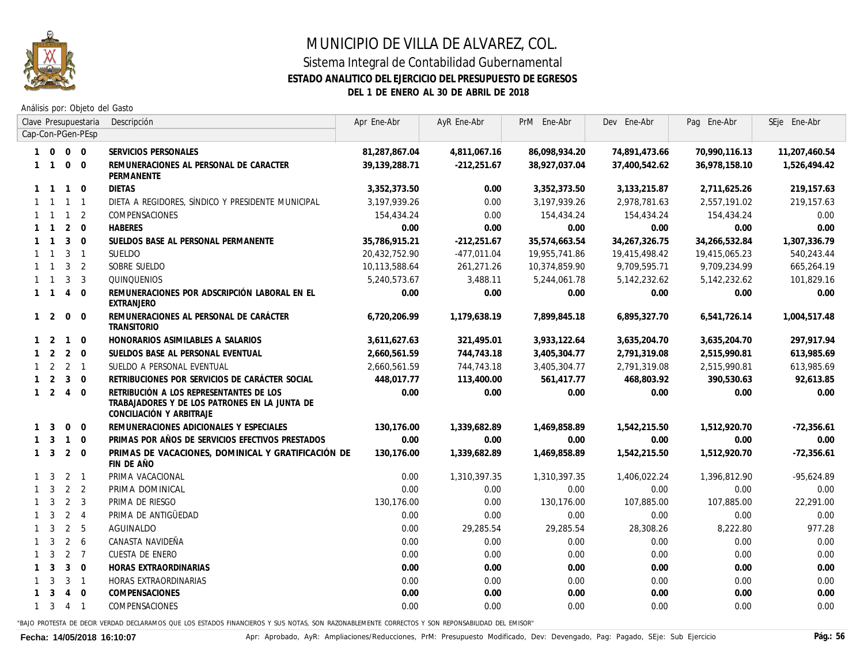

### **ESTADO ANALITICO DEL EJERCICIO DEL PRESUPUESTO DE EGRESOS**

**DEL 1 DE ENERO AL 30 DE ABRIL DE 2018**

Análisis por: Objeto del Gasto

|   |                              |                  | Clave Presupuestaria | Descripción                                                                                                          | Apr Ene-Abr   | AyR Ene-Abr   | PrM Ene-Abr   | Dev Ene-Abr   | Pag Ene-Abr    | SEje Ene-Abr  |
|---|------------------------------|------------------|----------------------|----------------------------------------------------------------------------------------------------------------------|---------------|---------------|---------------|---------------|----------------|---------------|
|   | Cap-Con-PGen-PEsp<br>1 0 0 0 |                  |                      |                                                                                                                      |               |               |               |               |                |               |
|   |                              |                  |                      | SERVICIOS PERSONALES                                                                                                 | 81,287,867.04 | 4,811,067.16  | 86,098,934.20 | 74,891,473.66 | 70,990,116.13  | 11,207,460.54 |
|   | $1 \quad 1$                  | $0\quad 0$       |                      | REMUNERACIONES AL PERSONAL DE CARACTER<br>PERMANENTE                                                                 | 39,139,288.71 | $-212,251.67$ | 38,927,037.04 | 37,400,542.62 | 36,978,158.10  | 1,526,494.42  |
|   | $1 \quad 1$                  | $\overline{1}$   | $\mathbf{0}$         | <b>DIETAS</b>                                                                                                        | 3,352,373.50  | 0.00          | 3,352,373.50  | 3,133,215.87  | 2,711,625.26   | 219,157.63    |
|   | $1 \quad 1$                  | $\overline{1}$   | $\overline{1}$       | DIETA A REGIDORES, SÍNDICO Y PRESIDENTE MUNICIPAL                                                                    | 3,197,939.26  | 0.00          | 3,197,939.26  | 2,978,781.63  | 2,557,191.02   | 219, 157.63   |
|   | $1 \quad 1$                  | $\overline{1}$   | 2                    | COMPENSACIONES                                                                                                       | 154,434.24    | 0.00          | 154,434.24    | 154,434.24    | 154,434.24     | 0.00          |
|   | $1 \quad 1$                  | 2                | $\overline{0}$       | <b>HABERES</b>                                                                                                       | 0.00          | 0.00          | 0.00          | 0.00          | 0.00           | 0.00          |
|   | $1 \quad 1$                  | $\overline{3}$   | $\Omega$             | SUELDOS BASE AL PERSONAL PERMANENTE                                                                                  | 35.786.915.21 | $-212,251.67$ | 35,574,663.54 | 34,267,326.75 | 34,266,532.84  | 1,307,336.79  |
|   | 1 1                          | $3 \quad 1$      |                      | SUELDO                                                                                                               | 20,432,752.90 | -477,011.04   | 19,955,741.86 | 19,415,498.42 | 19,415,065.23  | 540,243.44    |
|   | $1 \quad 1$                  | 3 <sub>2</sub>   |                      | SOBRE SUELDO                                                                                                         | 10,113,588.64 | 261,271.26    | 10,374,859.90 | 9,709,595.71  | 9,709,234.99   | 665,264.19    |
|   | 1 1                          | $\overline{3}$   | 3                    | QUINQUENIOS                                                                                                          | 5,240,573.67  | 3,488.11      | 5,244,061.78  | 5,142,232.62  | 5, 142, 232.62 | 101,829.16    |
|   | $1 \quad 1 \quad 4$          |                  | $\Omega$             | REMUNERACIONES POR ADSCRIPCIÓN LABORAL EN EL<br><b>EXTRANJERO</b>                                                    | 0.00          | 0.00          | 0.00          | 0.00          | 0.00           | 0.00          |
|   | $1\quad 2$                   | $\mathbf 0$      | $\mathbf 0$          | REMUNERACIONES AL PERSONAL DE CARÁCTER<br><b>TRANSITORIO</b>                                                         | 6,720,206.99  | 1,179,638.19  | 7,899,845.18  | 6,895,327.70  | 6,541,726.14   | 1,004,517.48  |
|   | $1\quad 2$                   | $\overline{1}$   | $\Omega$             | HONORARIOS ASIMILABLES A SALARIOS                                                                                    | 3,611,627.63  | 321,495.01    | 3,933,122.64  | 3,635,204.70  | 3,635,204.70   | 297,917.94    |
|   | $1\quad 2$                   | $\overline{2}$   | $\mathbf{0}$         | SUELDOS BASE AL PERSONAL EVENTUAL                                                                                    | 2,660,561.59  | 744,743.18    | 3,405,304.77  | 2,791,319.08  | 2,515,990.81   | 613,985.69    |
|   | $1 \quad 2 \quad 2 \quad 1$  |                  |                      | SUELDO A PERSONAL EVENTUAL                                                                                           | 2,660,561.59  | 744, 743. 18  | 3,405,304.77  | 2,791,319.08  | 2,515,990.81   | 613,985.69    |
|   | $1\quad 2$                   | $\overline{3}$   | $\mathbf{0}$         | RETRIBUCIONES POR SERVICIOS DE CARÁCTER SOCIAL                                                                       | 448,017.77    | 113,400.00    | 561,417.77    | 468,803.92    | 390,530.63     | 92,613.85     |
|   | $1\quad 2$                   | $\overline{4}$   | $\mathbf 0$          | RETRIBUCIÓN A LOS REPRESENTANTES DE LOS<br>TRABAJADORES Y DE LOS PATRONES EN LA JUNTA DE<br>CONCILIACIÓN Y ARBITRAJE | 0.00          | 0.00          | 0.00          | 0.00          | 0.00           | 0.00          |
|   | $1 \quad 3$                  | $\Omega$         | $\Omega$             | REMUNERACIONES ADICIONALES Y ESPECIALES                                                                              | 130.176.00    | 1,339,682.89  | 1,469,858.89  | 1,542,215.50  | 1,512,920.70   | $-72.356.61$  |
|   | $1 \quad 3$                  | $\overline{1}$   | $\overline{0}$       | PRIMAS POR AÑOS DE SERVICIOS EFECTIVOS PRESTADOS                                                                     | 0.00          | 0.00          | 0.00          | 0.00          | 0.00           | 0.00          |
|   | $1 \quad 3$                  | $2 \quad 0$      |                      | PRIMAS DE VACACIONES, DOMINICAL Y GRATIFICACIÓN DE<br>FIN DE AÑO                                                     | 130.176.00    | 1,339,682.89  | 1,469,858.89  | 1,542,215.50  | 1,512,920.70   | $-72,356.61$  |
|   | $1 \quad 3$                  | $2 \quad 1$      |                      | PRIMA VACACIONAL                                                                                                     | 0.00          | 1,310,397.35  | 1,310,397.35  | 1,406,022.24  | 1,396,812.90   | $-95,624.89$  |
|   | $1 \quad 3$                  | 2                | 2                    | PRIMA DOMINICAL                                                                                                      | 0.00          | 0.00          | 0.00          | 0.00          | 0.00           | 0.00          |
|   | $1 \quad 3$                  | 2                | 3                    | PRIMA DE RIESGO                                                                                                      | 130,176.00    | 0.00          | 130,176.00    | 107,885.00    | 107,885.00     | 22,291.00     |
|   | $1 \quad 3$                  | $2 \quad 4$      |                      | PRIMA DE ANTIGÜEDAD                                                                                                  | 0.00          | 0.00          | 0.00          | 0.00          | 0.00           | 0.00          |
|   | $1 \quad 3$                  | 2                | 5                    | AGUINALDO                                                                                                            | 0.00          | 29,285.54     | 29,285.54     | 28,308.26     | 8,222.80       | 977.28        |
|   | $1 \quad 3$                  | $\overline{2}$   | 6                    | CANASTA NAVIDEÑA                                                                                                     | 0.00          | 0.00          | 0.00          | 0.00          | 0.00           | 0.00          |
|   | $1 \quad 3$                  | $2 \overline{7}$ |                      | CUESTA DE ENERO                                                                                                      | 0.00          | 0.00          | 0.00          | 0.00          | 0.00           | 0.00          |
|   | $1 \quad 3$                  | $\mathbf{3}$     | $\overline{0}$       | HORAS EXTRAORDINARIAS                                                                                                | 0.00          | 0.00          | 0.00          | 0.00          | 0.00           | 0.00          |
| 1 | 3                            | $\mathbf{3}$     | $\overline{1}$       | HORAS EXTRAORDINARIAS                                                                                                | 0.00          | 0.00          | 0.00          | 0.00          | 0.00           | 0.00          |
|   | $1 \quad 3$                  | 4 0              |                      | COMPENSACIONES                                                                                                       | 0.00          | 0.00          | 0.00          | 0.00          | 0.00           | 0.00          |
|   | $1 \t3 \t4 \t1$              |                  |                      | COMPENSACIONES                                                                                                       | 0.00          | 0.00          | 0.00          | 0.00          | 0.00           | 0.00          |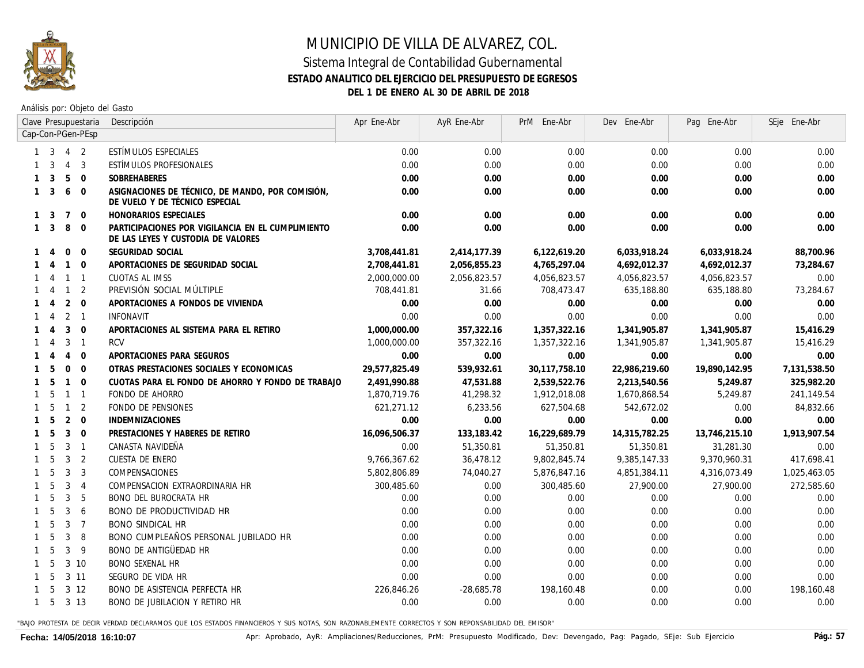

Análisis por: Objeto del Gasto

|              | Clave Presupuestaria                 |                |                | Descripción                                                                             | Apr Ene-Abr   | AyR Ene-Abr  | PrM Ene-Abr   | Dev Ene-Abr   | Pag Ene-Abr   | SEje Ene-Abr |
|--------------|--------------------------------------|----------------|----------------|-----------------------------------------------------------------------------------------|---------------|--------------|---------------|---------------|---------------|--------------|
|              | Cap-Con-PGen-PEsp<br>3<br>$4\quad 2$ |                |                |                                                                                         |               |              |               |               |               |              |
|              |                                      |                |                | ESTÍMULOS ESPECIALES                                                                    | 0.00          | 0.00         | 0.00          | 0.00          | 0.00          | 0.00         |
|              | 3                                    | $\overline{4}$ | $\overline{3}$ | ESTÍMULOS PROFESIONALES                                                                 | 0.00          | 0.00         | 0.00          | 0.00          | 0.00          | 0.00         |
|              | 3                                    | 5              | $\overline{0}$ | <b>SOBREHABERES</b>                                                                     | 0.00          | 0.00         | 0.00          | 0.00          | 0.00          | 0.00         |
| $\mathbf{1}$ | 3                                    | 6              | $\Omega$       | ASIGNACIONES DE TÉCNICO, DE MANDO, POR COMISIÓN,<br>DE VUELO Y DE TÉCNICO ESPECIAL      | 0.00          | 0.00         | 0.00          | 0.00          | 0.00          | 0.00         |
| 1            | 3                                    | 7              | $\overline{0}$ | HONORARIOS ESPECIALES                                                                   | 0.00          | 0.00         | 0.00          | 0.00          | 0.00          | 0.00         |
| $\mathbf{1}$ | 3                                    | 8              | $\Omega$       | PARTICIPACIONES POR VIGILANCIA EN EL CUMPLIMIENTO<br>DE LAS LEYES Y CUSTODIA DE VALORES | 0.00          | 0.00         | 0.00          | 0.00          | 0.00          | 0.00         |
|              | $\overline{4}$                       | $\mathbf 0$    | $\Omega$       | SEGURIDAD SOCIAL                                                                        | 3,708,441.81  | 2,414,177.39 | 6,122,619.20  | 6,033,918.24  | 6,033,918.24  | 88,700.96    |
|              | $\overline{4}$                       |                | $1 \quad 0$    | APORTACIONES DE SEGURIDAD SOCIAL                                                        | 2,708,441.81  | 2,056,855.23 | 4,765,297.04  | 4,692,012.37  | 4,692,012.37  | 73,284.67    |
|              | $\overline{4}$                       |                | $1 \quad 1$    | CUOTAS AL IMSS                                                                          | 2,000,000.00  | 2,056,823.57 | 4,056,823.57  | 4,056,823.57  | 4,056,823.57  | 0.00         |
|              | -4                                   |                | $1\quad 2$     | PREVISIÓN SOCIAL MÚLTIPLE                                                               | 708,441.81    | 31.66        | 708,473.47    | 635,188.80    | 635,188.80    | 73,284.67    |
|              | 4                                    | 2              | $\overline{0}$ | APORTACIONES A FONDOS DE VIVIENDA                                                       | 0.00          | 0.00         | 0.00          | 0.00          | 0.00          | 0.00         |
|              | 4                                    |                | 2 <sub>1</sub> | <b>INFONAVIT</b>                                                                        | 0.00          | 0.00         | 0.00          | 0.00          | 0.00          | 0.00         |
|              | $\overline{4}$                       | 3              | $\overline{0}$ | APORTACIONES AL SISTEMA PARA EL RETIRO                                                  | 1,000,000.00  | 357,322.16   | 1,357,322.16  | 1,341,905.87  | 1,341,905.87  | 15,416.29    |
|              | 4                                    | 3              | $\overline{1}$ | RCV                                                                                     | 1,000,000.00  | 357,322.16   | 1,357,322.16  | 1,341,905.87  | 1,341,905.87  | 15,416.29    |
|              | $\boldsymbol{\vartriangle}$          | $\overline{4}$ | $\Omega$       | APORTACIONES PARA SEGUROS                                                               | 0.00          | 0.00         | 0.00          | 0.00          | 0.00          | 0.00         |
|              | 5                                    | $\mathbf 0$    | $\overline{0}$ | OTRAS PRESTACIONES SOCIALES Y ECONOMICAS                                                | 29,577,825.49 | 539,932.61   | 30,117,758.10 | 22,986,219.60 | 19,890,142.95 | 7,131,538.50 |
|              | 5                                    | $\mathbf{1}$   | $\overline{0}$ | CUOTAS PARA EL FONDO DE AHORRO Y FONDO DE TRABAJO                                       | 2,491,990.88  | 47,531.88    | 2,539,522.76  | 2,213,540.56  | 5,249.87      | 325,982.20   |
| $\mathbf{1}$ | 5                                    | $\mathbf{1}$   | $\overline{1}$ | FONDO DE AHORRO                                                                         | 1,870,719.76  | 41,298.32    | 1,912,018.08  | 1,670,868.54  | 5,249.87      | 241, 149.54  |
| $\mathbf{1}$ | 5                                    | $\mathbf{1}$   | $\overline{2}$ | FONDO DE PENSIONES                                                                      | 621,271.12    | 6,233.56     | 627,504.68    | 542,672.02    | 0.00          | 84,832.66    |
| $\mathbf{1}$ | 5                                    | 2              | $\overline{0}$ | <b>INDEMNIZACIONES</b>                                                                  | 0.00          | 0.00         | 0.00          | 0.00          | 0.00          | 0.00         |
| $\mathbf{1}$ | 5                                    | $\mathbf{3}$   | $\overline{0}$ | PRESTACIONES Y HABERES DE RETIRO                                                        | 16,096,506.37 | 133,183.42   | 16,229,689.79 | 14,315,782.25 | 13,746,215.10 | 1,913,907.54 |
| $\mathbf{1}$ | 5                                    | 3              | $\overline{1}$ | CANASTA NAVIDEÑA                                                                        | 0.00          | 51,350.81    | 51,350.81     | 51,350.81     | 31,281.30     | 0.00         |
| 1            | 5                                    | 3              | $\overline{2}$ | CUESTA DE ENERO                                                                         | 9,766,367.62  | 36,478.12    | 9,802,845.74  | 9,385,147.33  | 9,370,960.31  | 417,698.41   |
|              | 5                                    | 3              | $\overline{3}$ | COMPENSACIONES                                                                          | 5,802,806.89  | 74,040.27    | 5,876,847.16  | 4,851,384.11  | 4,316,073.49  | 1,025,463.05 |
|              | 5                                    | 3              | $\overline{4}$ | COMPENSACION EXTRAORDINARIA HR                                                          | 300,485.60    | 0.00         | 300,485.60    | 27,900.00     | 27,900.00     | 272,585.60   |
| $\mathbf{1}$ | 5                                    | 3              | 5              | <b>BONO DEL BUROCRATA HR</b>                                                            | 0.00          | 0.00         | 0.00          | 0.00          | 0.00          | 0.00         |
| $\mathbf{1}$ | 5                                    | 3              | -6             | <b>BONO DE PRODUCTIVIDAD HR</b>                                                         | 0.00          | 0.00         | 0.00          | 0.00          | 0.00          | 0.00         |
| $\mathbf{1}$ | 5                                    | 3              | $\overline{7}$ | <b>BONO SINDICAL HR</b>                                                                 | 0.00          | 0.00         | 0.00          | 0.00          | 0.00          | 0.00         |
| 1            | 5                                    | 3              | 8              | BONO CUMPLEAÑOS PERSONAL JUBILADO HR                                                    | 0.00          | 0.00         | 0.00          | 0.00          | 0.00          | 0.00         |
| 1            | 5                                    | 3              | - 9            | BONO DE ANTIGÜEDAD HR                                                                   | 0.00          | 0.00         | 0.00          | 0.00          | 0.00          | 0.00         |
| 1            | 5                                    |                | 3 10           | <b>BONO SEXENAL HR</b>                                                                  | 0.00          | 0.00         | 0.00          | 0.00          | 0.00          | 0.00         |
| 1            | 5                                    |                | 3 11           | SEGURO DE VIDA HR                                                                       | 0.00          | 0.00         | 0.00          | 0.00          | 0.00          | 0.00         |
|              | -5                                   |                | $3 \t12$       | <b>BONO DE ASISTENCIA PERFECTA HR</b>                                                   | 226,846.26    | $-28,685.78$ | 198,160.48    | 0.00          | 0.00          | 198,160.48   |
| $\mathbf{1}$ | 5                                    |                | 3 13           | <b>BONO DE JUBILACION Y RETIRO HR</b>                                                   | 0.00          | 0.00         | 0.00          | 0.00          | 0.00          | 0.00         |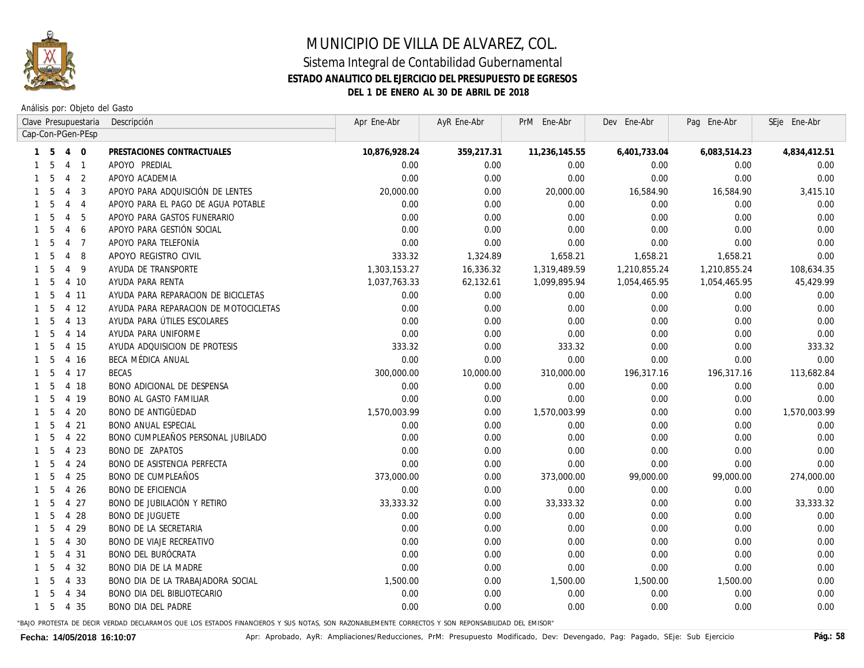

### **ESTADO ANALITICO DEL EJERCICIO DEL PRESUPUESTO DE EGRESOS DEL 1 DE ENERO AL 30 DE ABRIL DE 2018**

Análisis por: Objeto del Gasto

|              |    |                                                                                     | Clave Presupuestaria | Descripción                           | Apr Ene-Abr   | AyR Ene-Abr | PrM Ene-Abr   | Dev Ene-Abr  | Pag Ene-Abr  | SEje Ene-Abr |
|--------------|----|-------------------------------------------------------------------------------------|----------------------|---------------------------------------|---------------|-------------|---------------|--------------|--------------|--------------|
|              |    |                                                                                     | Cap-Con-PGen-PEsp    |                                       |               |             |               |              |              |              |
| $\mathbf{1}$ | 5  | $\mathbf{0}$<br>$\overline{4}$<br>APOYO PREDIAL<br>$\overline{4}$<br>$\overline{1}$ |                      | PRESTACIONES CONTRACTUALES            | 10,876,928.24 | 359,217.31  | 11,236,145.55 | 6,401,733.04 | 6,083,514.23 | 4,834,412.51 |
|              | 5  |                                                                                     |                      |                                       | 0.00          | 0.00        | 0.00          | 0.00         | 0.00         | 0.00         |
| $\mathbf{1}$ | 5  | $\overline{4}$                                                                      | 2                    | APOYO ACADEMIA                        | 0.00          | 0.00        | 0.00          | 0.00         | 0.00         | 0.00         |
| $\mathbf{1}$ | 5  | $\overline{4}$                                                                      | 3                    | APOYO PARA ADQUISICIÓN DE LENTES      | 20,000.00     | 0.00        | 20,000.00     | 16,584.90    | 16,584.90    | 3,415.10     |
| $\mathbf{1}$ | .5 | $\overline{4}$                                                                      | $\overline{4}$       | APOYO PARA EL PAGO DE AGUA POTABLE    | 0.00          | 0.00        | 0.00          | 0.00         | 0.00         | 0.00         |
|              | .5 | $\overline{4}$                                                                      | 5                    | APOYO PARA GASTOS FUNERARIO           | 0.00          | 0.00        | 0.00          | 0.00         | 0.00         | 0.00         |
| 1            | 5  | $\overline{4}$                                                                      | 6                    | APOYO PARA GESTIÓN SOCIAL             | 0.00          | 0.00        | 0.00          | 0.00         | 0.00         | 0.00         |
| 1            | 5  | 4                                                                                   | $\overline{7}$       | APOYO PARA TELEFONÍA                  | 0.00          | 0.00        | 0.00          | 0.00         | 0.00         | 0.00         |
|              | 5  | 4                                                                                   | 8                    | APOYO REGISTRO CIVIL                  | 333.32        | 1,324.89    | 1,658.21      | 1,658.21     | 1,658.21     | 0.00         |
|              | 5  | 4                                                                                   | 9                    | AYUDA DE TRANSPORTE                   | 1,303,153.27  | 16,336.32   | 1,319,489.59  | 1,210,855.24 | 1,210,855.24 | 108,634.35   |
| 1            | 5  |                                                                                     | 4 10                 | AYUDA PARA RENTA                      | 1,037,763.33  | 62,132.61   | 1,099,895.94  | 1,054,465.95 | 1,054,465.95 | 45,429.99    |
| 1            | 5  |                                                                                     | 4 11                 | AYUDA PARA REPARACION DE BICICLETAS   | 0.00          | 0.00        | 0.00          | 0.00         | 0.00         | 0.00         |
|              | 5  |                                                                                     | 4 12                 | AYUDA PARA REPARACION DE MOTOCICLETAS | 0.00          | 0.00        | 0.00          | 0.00         | 0.00         | 0.00         |
| 1            | 5  |                                                                                     | 4 13                 | AYUDA PARA ÚTILES ESCOLARES           | 0.00          | 0.00        | 0.00          | 0.00         | 0.00         | 0.00         |
| 1            | 5  |                                                                                     | 4 14                 | AYUDA PARA UNIFORME                   | 0.00          | 0.00        | 0.00          | 0.00         | 0.00         | 0.00         |
| 1            | .5 |                                                                                     | 4 15                 | AYUDA ADQUISICION DE PROTESIS         | 333.32        | 0.00        | 333.32        | 0.00         | 0.00         | 333.32       |
| 1            | -5 |                                                                                     | 4 16                 | BECA MÉDICA ANUAL                     | 0.00          | 0.00        | 0.00          | 0.00         | 0.00         | 0.00         |
| 1            | 5  |                                                                                     | 4 17                 | BECAS                                 | 300,000.00    | 10,000.00   | 310,000.00    | 196,317.16   | 196,317.16   | 113,682.84   |
| 1            | 5  |                                                                                     | 4 18                 | <b>BONO ADICIONAL DE DESPENSA</b>     | 0.00          | 0.00        | 0.00          | 0.00         | 0.00         | 0.00         |
| $\mathbf{1}$ | 5  |                                                                                     | 4 19                 | <b>BONO AL GASTO FAMILIAR</b>         | 0.00          | 0.00        | 0.00          | 0.00         | 0.00         | 0.00         |
| 1            | 5  | 4                                                                                   | 20                   | <b>BONO DE ANTIGÜEDAD</b>             | 1,570,003.99  | 0.00        | 1,570,003.99  | 0.00         | 0.00         | 1,570,003.99 |
| 1            | 5  |                                                                                     | 4 21                 | <b>BONO ANUAL ESPECIAL</b>            | 0.00          | 0.00        | 0.00          | 0.00         | 0.00         | 0.00         |
| 1            | 5  | 4                                                                                   | 22                   | BONO CUMPLEAÑOS PERSONAL JUBILADO     | 0.00          | 0.00        | 0.00          | 0.00         | 0.00         | 0.00         |
| 1            | 5  |                                                                                     | 4 2 3                | <b>BONO DE ZAPATOS</b>                | 0.00          | 0.00        | 0.00          | 0.00         | 0.00         | 0.00         |
| $\mathbf{1}$ | 5  |                                                                                     | 4 24                 | <b>BONO DE ASISTENCIA PERFECTA</b>    | 0.00          | 0.00        | 0.00          | 0.00         | 0.00         | 0.00         |
| $\mathbf{1}$ | 5  |                                                                                     | 4 25                 | <b>BONO DE CUMPLEAÑOS</b>             | 373,000.00    | 0.00        | 373,000.00    | 99,000.00    | 99,000.00    | 274,000.00   |
| 1            | 5  |                                                                                     | 4 26                 | <b>BONO DE EFICIENCIA</b>             | 0.00          | 0.00        | 0.00          | 0.00         | 0.00         | 0.00         |
| 1            | 5  |                                                                                     | 4 27                 | <b>BONO DE JUBILACIÓN Y RETIRO</b>    | 33, 333. 32   | 0.00        | 33, 333. 32   | 0.00         | 0.00         | 33, 333. 32  |
| 1            | 5  |                                                                                     | 4 28                 | <b>BONO DE JUGUETE</b>                | 0.00          | 0.00        | 0.00          | 0.00         | 0.00         | 0.00         |
| 1            | 5  |                                                                                     | 4 29                 | <b>BONO DE LA SECRETARIA</b>          | 0.00          | 0.00        | 0.00          | 0.00         | 0.00         | 0.00         |
|              | 5  |                                                                                     | 4 30                 | <b>BONO DE VIAJE RECREATIVO</b>       | 0.00          | 0.00        | 0.00          | 0.00         | 0.00         | 0.00         |
|              | -5 |                                                                                     | 4 31                 | BONO DEL BURÓCRATA                    | 0.00          | 0.00        | 0.00          | 0.00         | 0.00         | 0.00         |
|              | 5  |                                                                                     | 4 32                 | <b>BONO DIA DE LA MADRE</b>           | 0.00          | 0.00        | 0.00          | 0.00         | 0.00         | 0.00         |
|              | -5 |                                                                                     | 4 3 3                | BONO DIA DE LA TRABAJADORA SOCIAL     | 1,500.00      | 0.00        | 1,500.00      | 1,500.00     | 1,500.00     | 0.00         |
|              | -5 |                                                                                     | 4 34                 | BONO DIA DEL BIBLIOTECARIO            | 0.00          | 0.00        | 0.00          | 0.00         | 0.00         | 0.00         |
| $\mathbf{1}$ | -5 |                                                                                     | 4 3 5                | <b>BONO DIA DEL PADRE</b>             | 0.00          | 0.00        | 0.00          | 0.00         | 0.00         | 0.00         |
|              |    |                                                                                     |                      |                                       |               |             |               |              |              |              |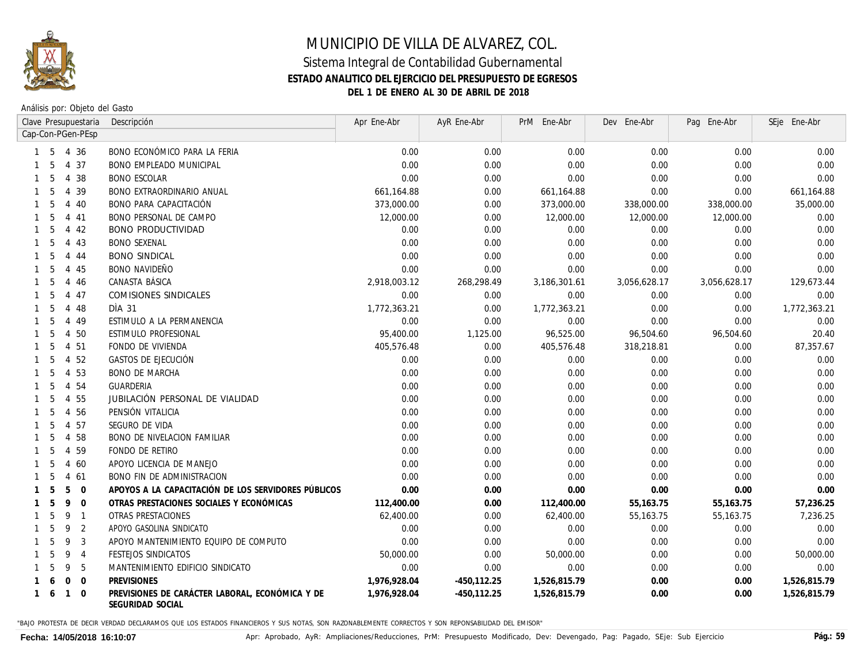

Análisis por: Objeto del Gasto

|              |                                 |                | Clave Presupuestaria | Descripción                                                         | Apr Ene-Abr  | AyR Ene-Abr    | PrM Ene-Abr  | Dev Ene-Abr  | Pag Ene-Abr  | SEje Ene-Abr |
|--------------|---------------------------------|----------------|----------------------|---------------------------------------------------------------------|--------------|----------------|--------------|--------------|--------------|--------------|
|              | Cap-Con-PGen-PEsp<br>-5<br>4 36 |                |                      |                                                                     |              |                |              |              |              |              |
|              |                                 |                |                      | BONO ECONÓMICO PARA LA FERIA                                        | 0.00         | 0.00           | 0.00         | 0.00         | 0.00         | 0.00         |
|              | .5                              |                | 4 37                 | <b>BONO EMPLEADO MUNICIPAL</b>                                      | 0.00         | 0.00           | 0.00         | 0.00         | 0.00         | 0.00         |
|              | .5                              |                | 4 38                 | <b>BONO ESCOLAR</b>                                                 | 0.00         | 0.00           | 0.00         | 0.00         | 0.00         | 0.00         |
|              | 5                               | 4              | 39                   | <b>BONO EXTRAORDINARIO ANUAL</b>                                    | 661,164.88   | 0.00           | 661,164.88   | 0.00         | 0.00         | 661,164.88   |
|              | 5                               | 4              | 40                   | BONO PARA CAPACITACIÓN                                              | 373,000.00   | 0.00           | 373,000.00   | 338,000.00   | 338,000.00   | 35,000.00    |
|              | 5                               | 4              | 41                   | <b>BONO PERSONAL DE CAMPO</b>                                       | 12,000.00    | 0.00           | 12,000.00    | 12,000.00    | 12,000.00    | 0.00         |
|              | 5                               | 4              | 42                   | <b>BONO PRODUCTIVIDAD</b>                                           | 0.00         | 0.00           | 0.00         | 0.00         | 0.00         | 0.00         |
|              | 5                               |                | 4 4 3                | <b>BONO SEXENAL</b>                                                 | 0.00         | 0.00           | 0.00         | 0.00         | 0.00         | 0.00         |
|              | 5                               | 4              | 44                   | <b>BONO SINDICAL</b>                                                | 0.00         | 0.00           | 0.00         | 0.00         | 0.00         | 0.00         |
|              | 5                               |                | 4 45                 | <b>BONO NAVIDEÑO</b>                                                | 0.00         | 0.00           | 0.00         | 0.00         | 0.00         | 0.00         |
|              | 5                               | 4              | 46                   | CANASTA BÁSICA                                                      | 2,918,003.12 | 268,298.49     | 3,186,301.61 | 3,056,628.17 | 3,056,628.17 | 129,673.44   |
|              | 5                               | $\overline{4}$ | 47                   | COMISIONES SINDICALES                                               | 0.00         | 0.00           | 0.00         | 0.00         | 0.00         | 0.00         |
|              | 5                               |                | 4 48                 | DIA 31                                                              | 1,772,363.21 | 0.00           | 1,772,363.21 | 0.00         | 0.00         | 1,772,363.21 |
|              | 5                               | $\overline{4}$ | 49                   | ESTIMULO A LA PERMANENCIA                                           | 0.00         | 0.00           | 0.00         | 0.00         | 0.00         | 0.00         |
|              | .5                              | 4              | 50                   | ESTIMULO PROFESIONAL                                                | 95,400.00    | 1,125.00       | 96,525.00    | 96,504.60    | 96,504.60    | 20.40        |
|              | 5                               | $\overline{4}$ | 51                   | FONDO DE VIVIENDA                                                   | 405,576.48   | 0.00           | 405,576.48   | 318,218.81   | 0.00         | 87,357.67    |
|              | 5                               | $\overline{4}$ | 52                   | GASTOS DE EJECUCIÓN                                                 | 0.00         | 0.00           | 0.00         | 0.00         | 0.00         | 0.00         |
|              | 5                               | 4              | 53                   | <b>BONO DE MARCHA</b>                                               | 0.00         | 0.00           | 0.00         | 0.00         | 0.00         | 0.00         |
|              | 5                               | $\overline{4}$ | 54                   | GUARDERIA                                                           | 0.00         | 0.00           | 0.00         | 0.00         | 0.00         | 0.00         |
|              | 5                               | $\overline{4}$ | 55                   | JUBILACIÓN PERSONAL DE VIALIDAD                                     | 0.00         | 0.00           | 0.00         | 0.00         | 0.00         | 0.00         |
|              | .5                              | $\overline{4}$ | 56                   | PENSIÓN VITALICIA                                                   | 0.00         | 0.00           | 0.00         | 0.00         | 0.00         | 0.00         |
|              | .5                              | $\overline{4}$ | 57                   | SEGURO DE VIDA                                                      | 0.00         | 0.00           | 0.00         | 0.00         | 0.00         | 0.00         |
|              | 5                               | 4              | 58                   | <b>BONO DE NIVELACION FAMILIAR</b>                                  | 0.00         | 0.00           | 0.00         | 0.00         | 0.00         | 0.00         |
|              | 5                               | $\overline{4}$ | 59                   | FONDO DE RETIRO                                                     | 0.00         | 0.00           | 0.00         | 0.00         | 0.00         | 0.00         |
|              | 5                               | $\overline{4}$ | 60                   | APOYO LICENCIA DE MANEJO                                            | 0.00         | 0.00           | 0.00         | 0.00         | 0.00         | 0.00         |
|              | 5                               | $\overline{4}$ | 61                   | <b>BONO FIN DE ADMINISTRACION</b>                                   | 0.00         | 0.00           | 0.00         | 0.00         | 0.00         | 0.00         |
|              | 5                               | 5              | $\overline{0}$       | APOYOS A LA CAPACITACIÓN DE LOS SERVIDORES PÚBLICOS                 | 0.00         | 0.00           | 0.00         | 0.00         | 0.00         | 0.00         |
|              | 5                               | 9              | $\overline{0}$       | OTRAS PRESTACIONES SOCIALES Y ECONÓMICAS                            | 112,400.00   | 0.00           | 112,400.00   | 55,163.75    | 55,163.75    | 57,236.25    |
|              | 5                               | 9              | $\overline{1}$       | OTRAS PRESTACIONES                                                  | 62,400.00    | 0.00           | 62,400.00    | 55,163.75    | 55,163.75    | 7,236.25     |
|              | 5                               | 9              | 2                    | APOYO GASOLINA SINDICATO                                            | 0.00         | 0.00           | 0.00         | 0.00         | 0.00         | 0.00         |
|              | 5                               | 9              | 3                    | APOYO MANTENIMIENTO EQUIPO DE COMPUTO                               | 0.00         | 0.00           | 0.00         | 0.00         | 0.00         | 0.00         |
|              |                                 | 9              | $\overline{4}$       | FESTEJOS SINDICATOS                                                 | 50,000.00    | 0.00           | 50,000.00    | 0.00         | 0.00         | 50,000.00    |
|              |                                 | 9              | 5                    | MANTENIMIENTO EDIFICIO SINDICATO                                    | 0.00         | 0.00           | 0.00         | 0.00         | 0.00         | 0.00         |
|              |                                 | $\Omega$       | $\Omega$             | <b>PREVISIONES</b>                                                  | 1,976,928.04 | $-450, 112.25$ | 1,526,815.79 | 0.00         | 0.00         | 1,526,815.79 |
| $\mathbf{1}$ | -6                              | $\mathbf{1}$   | $\Omega$             | PREVISIONES DE CARÁCTER LABORAL, ECONÓMICA Y DE<br>SEGURIDAD SOCIAL | 1,976,928.04 | $-450, 112.25$ | 1,526,815.79 | 0.00         | 0.00         | 1,526,815.79 |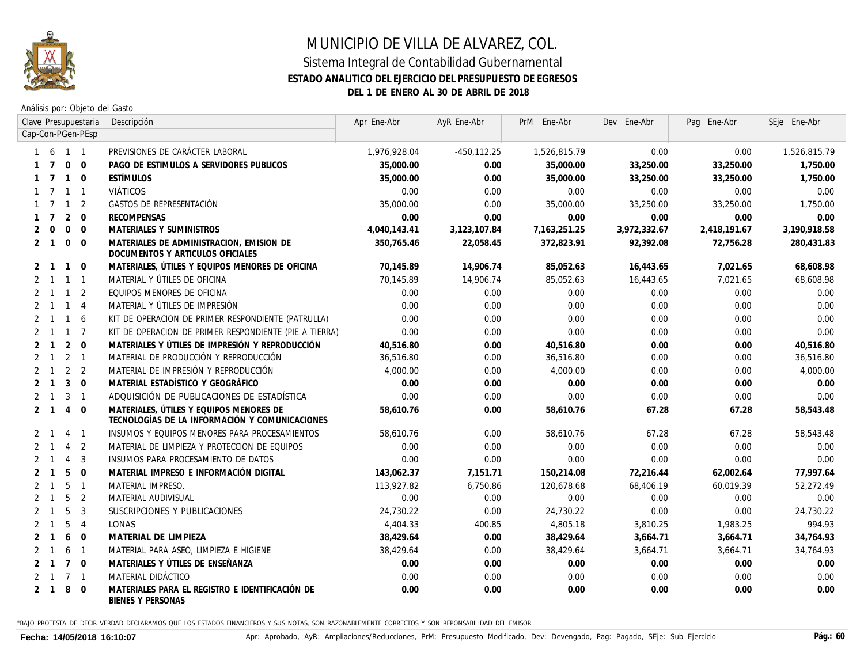

Análisis por: Objeto del Gasto

|                |                                       |                 | Clave Presupuestaria | Descripción                                                                               | Apr Ene-Abr  | AyR Ene-Abr  | PrM Ene-Abr  | Dev Ene-Abr  | Pag Ene-Abr  | SEje Ene-Abr |
|----------------|---------------------------------------|-----------------|----------------------|-------------------------------------------------------------------------------------------|--------------|--------------|--------------|--------------|--------------|--------------|
|                | Cap-Con-PGen-PEsp<br>6<br>$1 \quad 1$ |                 |                      |                                                                                           |              |              |              |              |              |              |
|                |                                       |                 |                      | PREVISIONES DE CARÁCTER LABORAL                                                           | 1,976,928.04 | -450,112.25  | 1,526,815.79 | 0.00         | 0.00         | 1,526,815.79 |
|                |                                       | $\mathbf{0}$    | $\Omega$             | PAGO DE ESTIMULOS A SERVIDORES PUBLICOS                                                   | 35,000.00    | 0.00         | 35,000.00    | 33,250.00    | 33,250.00    | 1,750.00     |
|                |                                       | $\mathbf{1}$    | $\Omega$             | <b>ESTÍMULOS</b>                                                                          | 35,000.00    | 0.00         | 35,000.00    | 33,250.00    | 33,250.00    | 1,750.00     |
|                |                                       | $\mathbf{1}$    | $\overline{1}$       | <i>VIÁTICOS</i>                                                                           | 0.00         | 0.00         | 0.00         | 0.00         | 0.00         | 0.00         |
|                |                                       | $\mathbf 1$     | 2                    | GASTOS DE REPRESENTACIÓN                                                                  | 35,000.00    | 0.00         | 35,000.00    | 33,250.00    | 33,250.00    | 1,750.00     |
| $\mathbf{1}$   | $\overline{7}$                        | 2               | $\Omega$             | <b>RECOMPENSAS</b>                                                                        | 0.00         | 0.00         | 0.00         | 0.00         | 0.00         | 0.00         |
| 2              | $\mathbf 0$                           | $\mathbf 0$     | $\Omega$             | MATERIALES Y SUMINISTROS                                                                  | 4,040,143.41 | 3,123,107.84 | 7,163,251.25 | 3,972,332.67 | 2,418,191.67 | 3,190,918.58 |
| 2              | $\overline{1}$                        | $\mathbf{0}$    | $\Omega$             | MATERIALES DE ADMINISTRACION, EMISION DE<br>DOCUMENTOS Y ARTICULOS OFICIALES              | 350,765.46   | 22,058.45    | 372,823.91   | 92,392.08    | 72,756.28    | 280,431.83   |
|                | 2 1                                   | $\overline{1}$  | $\overline{0}$       | MATERIALES, ÚTILES Y EQUIPOS MENORES DE OFICINA                                           | 70,145.89    | 14,906.74    | 85,052.63    | 16,443.65    | 7,021.65     | 68,608.98    |
|                | $2 \quad 1$                           | $\overline{1}$  | $\overline{1}$       | MATERIAL Y ÚTILES DE OFICINA                                                              | 70,145.89    | 14,906.74    | 85,052.63    | 16,443.65    | 7,021.65     | 68,608.98    |
| 2              | $\overline{1}$                        | $\overline{1}$  | 2                    | EQUIPOS MENORES DE OFICINA                                                                | 0.00         | 0.00         | 0.00         | 0.00         | 0.00         | 0.00         |
| $\mathfrak{p}$ | $\overline{1}$                        | $\overline{1}$  | $\overline{4}$       | MATERIAL Y ÚTILES DE IMPRESIÓN                                                            | 0.00         | 0.00         | 0.00         | 0.00         | 0.00         | 0.00         |
| 2              | $\overline{1}$                        | $\overline{1}$  | 6                    | KIT DE OPERACION DE PRIMER RESPONDIENTE (PATRULLA)                                        | 0.00         | 0.00         | 0.00         | 0.00         | 0.00         | 0.00         |
| 2              | $\mathbf{1}$                          | $\overline{1}$  | $\overline{7}$       | KIT DE OPERACION DE PRIMER RESPONDIENTE (PIE A TIERRA)                                    | 0.00         | 0.00         | 0.00         | 0.00         | 0.00         | 0.00         |
| 2              | $\mathbf{1}$                          | 2               | $\Omega$             | MATERIALES Y ÚTILES DE IMPRESIÓN Y REPRODUCCIÓN                                           | 40,516.80    | 0.00         | 40,516.80    | 0.00         | 0.00         | 40,516.80    |
|                | $\mathbf{1}$                          | $\overline{2}$  | $\overline{1}$       | MATERIAL DE PRODUCCIÓN Y REPRODUCCIÓN                                                     | 36,516.80    | 0.00         | 36,516.80    | 0.00         | 0.00         | 36,516.80    |
|                | $\mathbf{1}$                          | 2               | $\overline{2}$       | MATERIAL DE IMPRESIÓN Y REPRODUCCIÓN                                                      | 4.000.00     | 0.00         | 4,000.00     | 0.00         | 0.00         | 4,000.00     |
|                | $\mathbf{1}$                          | 3               | $\Omega$             | MATERIAL ESTADÍSTICO Y GEOGRÁFICO                                                         | 0.00         | 0.00         | 0.00         | 0.00         | 0.00         | 0.00         |
| 2              | $\mathbf{1}$                          | 3               | $\overline{1}$       | ADQUISICIÓN DE PUBLICACIONES DE ESTADÍSTICA                                               | 0.00         | 0.00         | 0.00         | 0.00         | 0.00         | 0.00         |
|                | $2 \quad 1$                           | $\overline{4}$  | $\overline{0}$       | MATERIALES, ÚTILES Y EQUIPOS MENORES DE<br>TECNOLOGÍAS DE LA INFORMACIÓN Y COMUNICACIONES | 58,610.76    | 0.00         | 58,610.76    | 67.28        | 67.28        | 58,543.48    |
|                | $2 \quad 1$                           | $\overline{4}$  | $\overline{1}$       | INSUMOS Y EQUIPOS MENORES PARA PROCESAMIENTOS                                             | 58.610.76    | 0.00         | 58,610.76    | 67.28        | 67.28        | 58,543.48    |
|                |                                       | $\overline{4}$  | 2                    | MATERIAL DE LIMPIEZA Y PROTECCION DE EQUIPOS                                              | 0.00         | 0.00         | 0.00         | 0.00         | 0.00         | 0.00         |
|                |                                       | $\overline{4}$  | 3                    | INSUMOS PARA PROCESAMIENTO DE DATOS                                                       | 0.00         | 0.00         | 0.00         | 0.00         | 0.00         | 0.00         |
|                |                                       | 5               | $\Omega$             | MATERIAL IMPRESO E INFORMACIÓN DIGITAL                                                    | 143,062.37   | 7,151.71     | 150,214.08   | 72,216.44    | 62,002.64    | 77,997.64    |
| 2              | $\mathbf{1}$                          | 5               | $\overline{1}$       | <b>MATERIAL IMPRESO.</b>                                                                  | 113.927.82   | 6,750.86     | 120.678.68   | 68.406.19    | 60.019.39    | 52,272.49    |
| $\overline{2}$ | $\mathbf{1}$                          | 5               | 2                    | MATERIAL AUDIVISUAL                                                                       | 0.00         | 0.00         | 0.00         | 0.00         | 0.00         | 0.00         |
| 2              | $\mathbf{1}$                          | 5               | 3                    | SUSCRIPCIONES Y PUBLICACIONES                                                             | 24,730.22    | 0.00         | 24,730.22    | 0.00         | 0.00         | 24,730.22    |
| 2              | $\overline{1}$                        | 5               | $\overline{4}$       | <b>LONAS</b>                                                                              | 4,404.33     | 400.85       | 4,805.18     | 3,810.25     | 1,983.25     | 994.93       |
| 2              | $\overline{1}$                        | 6               | $\Omega$             | MATERIAL DE LIMPIEZA                                                                      | 38,429.64    | 0.00         | 38,429.64    | 3,664.71     | 3,664.71     | 34,764.93    |
| $\mathbf{2}$   | $\mathbf{1}$                          | 6               | $\overline{1}$       | MATERIAL PARA ASEO, LIMPIEZA E HIGIENE                                                    | 38.429.64    | 0.00         | 38.429.64    | 3,664.71     | 3,664.71     | 34,764.93    |
|                |                                       | $7\overline{ }$ | $\overline{0}$       | MATERIALES Y ÚTILES DE ENSEÑANZA                                                          | 0.00         | 0.00         | 0.00         | 0.00         | 0.00         | 0.00         |
|                | $\overline{1}$                        | $\overline{7}$  | $\overline{1}$       | MATERIAL DIDÁCTICO                                                                        | 0.00         | 0.00         | 0.00         | 0.00         | 0.00         | 0.00         |
|                | $2 \quad 1$                           | 8               | $\Omega$             | MATERIALES PARA EL REGISTRO E IDENTIFICACIÓN DE<br>BIENES Y PERSONAS                      | 0.00         | 0.00         | 0.00         | 0.00         | 0.00         | 0.00         |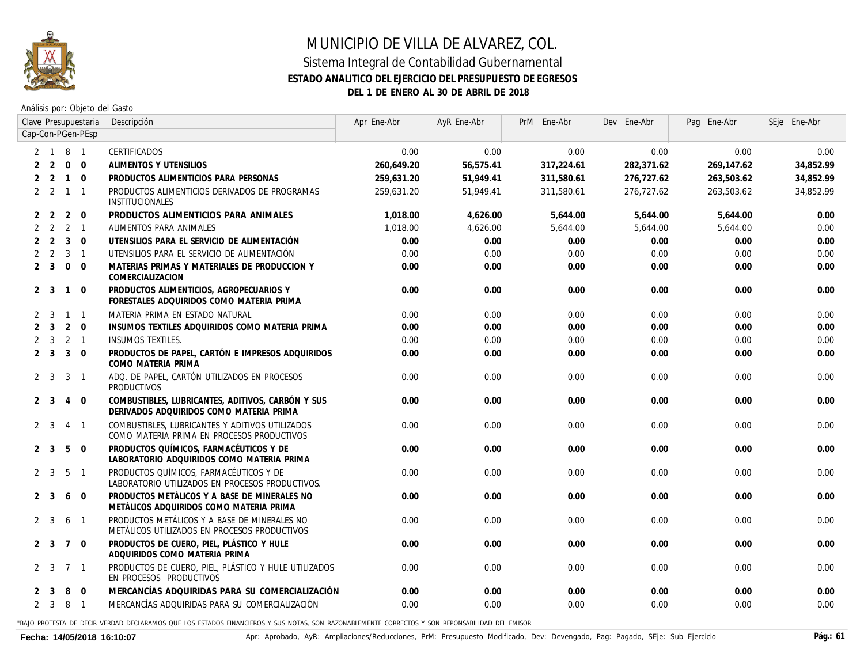

#### **ESTADO ANALITICO DEL EJERCICIO DEL PRESUPUESTO DE EGRESOS**

**DEL 1 DE ENERO AL 30 DE ABRIL DE 2018**

Análisis por: Objeto del Gasto

|   |                              |                 | Clave Presupuestaria | Descripción                                                                                   | Apr Ene-Abr | AyR Ene-Abr | PrM Ene-Abr | Dev Ene-Abr | Pag Ene-Abr | SEje Ene-Abr |
|---|------------------------------|-----------------|----------------------|-----------------------------------------------------------------------------------------------|-------------|-------------|-------------|-------------|-------------|--------------|
|   | Cap-Con-PGen-PEsp<br>2 1 8 1 |                 |                      |                                                                                               |             |             |             |             |             |              |
|   |                              |                 |                      | CERTIFICADOS                                                                                  | 0.00        | 0.00        | 0.00        | 0.00        | 0.00        | 0.00         |
| 2 | 2                            | $\overline{0}$  | $\mathbf{0}$         | ALIMENTOS Y UTENSILIOS                                                                        | 260,649.20  | 56,575.41   | 317,224.61  | 282,371.62  | 269,147.62  | 34,852.99    |
|   | 2 <sub>2</sub>               | $\overline{1}$  | $\Omega$             | PRODUCTOS ALIMENTICIOS PARA PERSONAS                                                          | 259,631.20  | 51,949.41   | 311,580.61  | 276,727.62  | 263,503.62  | 34,852.99    |
|   | $2 \quad 2 \quad 1$          |                 | $\mathbf{1}$         | PRODUCTOS ALIMENTICIOS DERIVADOS DE PROGRAMAS<br>INSTITUCIONALES                              | 259.631.20  | 51,949.41   | 311.580.61  | 276.727.62  | 263.503.62  | 34,852.99    |
|   | 2 <sub>2</sub>               | 2               | $\mathbf 0$          | PRODUCTOS ALIMENTICIOS PARA ANIMALES                                                          | 1.018.00    | 4,626.00    | 5,644.00    | 5,644.00    | 5,644.00    | 0.00         |
| 2 | 2                            | $2 \quad 1$     |                      | ALIMENTOS PARA ANIMALES                                                                       | 1.018.00    | 4.626.00    | 5,644.00    | 5,644.00    | 5,644.00    | 0.00         |
| 2 | $\overline{2}$               | $\overline{3}$  | $\Omega$             | UTENSILIOS PARA EL SERVICIO DE ALIMENTACIÓN                                                   | 0.00        | 0.00        | 0.00        | 0.00        | 0.00        | 0.00         |
|   | 2                            | $3 \quad 1$     |                      | UTENSILIOS PARA EL SERVICIO DE ALIMENTACIÓN                                                   | 0.00        | 0.00        | 0.00        | 0.00        | 0.00        | 0.00         |
|   | $2 \quad 3$                  | $\Omega$        | $\Omega$             | MATERIAS PRIMAS Y MATERIALES DE PRODUCCION Y<br>COMERCIALIZACION                              | 0.00        | 0.00        | 0.00        | 0.00        | 0.00        | 0.00         |
|   | $2 \quad 3$                  | $\overline{1}$  | $\mathbf 0$          | PRODUCTOS ALIMENTICIOS, AGROPECUARIOS Y<br>FORESTALES ADQUIRIDOS COMO MATERIA PRIMA           | 0.00        | 0.00        | 0.00        | 0.00        | 0.00        | 0.00         |
|   | $2 \quad 3$                  | $\overline{1}$  | $\mathbf{1}$         | MATERIA PRIMA EN ESTADO NATURAL                                                               | 0.00        | 0.00        | 0.00        | 0.00        | 0.00        | 0.00         |
|   | 2 <sup>3</sup>               | $2 \quad 0$     |                      | INSUMOS TEXTILES ADQUIRIDOS COMO MATERIA PRIMA                                                | 0.00        | 0.00        | 0.00        | 0.00        | 0.00        | 0.00         |
|   | $2 \quad 3$                  | $2 \quad 1$     |                      | <b>INSUMOS TEXTILES.</b>                                                                      | 0.00        | 0.00        | 0.00        | 0.00        | 0.00        | 0.00         |
|   | 2 <sup>3</sup>               | $\overline{3}$  | $\Omega$             | PRODUCTOS DE PAPEL, CARTÓN E IMPRESOS ADQUIRIDOS<br>COMO MATERIA PRIMA                        | 0.00        | 0.00        | 0.00        | 0.00        | 0.00        | 0.00         |
|   | $2 \quad 3$                  | 3               | $\overline{1}$       | ADO. DE PAPEL, CARTÓN UTILIZADOS EN PROCESOS<br>PRODUCTIVOS                                   | 0.00        | 0.00        | 0.00        | 0.00        | 0.00        | 0.00         |
|   | 2 <sup>3</sup>               | $\overline{4}$  | $\mathbf 0$          | COMBUSTIBLES, LUBRICANTES, ADITIVOS, CARBÓN Y SUS<br>DERIVADOS ADQUIRIDOS COMO MATERIA PRIMA  | 0.00        | 0.00        | 0.00        | 0.00        | 0.00        | 0.00         |
|   | $2 \quad 3$                  | $4 \quad 1$     |                      | COMBUSTIBLES, LUBRICANTES Y ADITIVOS UTILIZADOS<br>COMO MATERIA PRIMA EN PROCESOS PRODUCTIVOS | 0.00        | 0.00        | 0.00        | 0.00        | 0.00        | 0.00         |
|   | 2 <sup>3</sup>               | 5               | $\mathbf 0$          | PRODUCTOS QUÍMICOS, FARMACÉUTICOS Y DE<br>LABORATORIO ADQUIRIDOS COMO MATERIA PRIMA           | 0.00        | 0.00        | 0.00        | 0.00        | 0.00        | 0.00         |
|   | $2 \quad 3$                  | 5               | $\mathbf{1}$         | PRODUCTOS QUÍMICOS, FARMACÉUTICOS Y DE<br>LABORATORIO UTILIZADOS EN PROCESOS PRODUCTIVOS.     | 0.00        | 0.00        | 0.00        | 0.00        | 0.00        | 0.00         |
|   | 2 3                          | 6               | $\overline{0}$       | PRODUCTOS METÁLICOS Y A BASE DE MINERALES NO<br>METÁLICOS ADQUIRIDOS COMO MATERIA PRIMA       | 0.00        | 0.00        | 0.00        | 0.00        | 0.00        | 0.00         |
|   | $2 \quad 3$                  | 6               | $\overline{1}$       | PRODUCTOS METÁLICOS Y A BASE DE MINERALES NO<br>METÁLICOS UTILIZADOS EN PROCESOS PRODUCTIVOS  | 0.00        | 0.00        | 0.00        | 0.00        | 0.00        | 0.00         |
|   | 2 <sup>3</sup>               | $7\overline{ }$ | $\overline{0}$       | PRODUCTOS DE CUERO, PIEL, PLÁSTICO Y HULE<br>ADQUIRIDOS COMO MATERIA PRIMA                    | 0.00        | 0.00        | 0.00        | 0.00        | 0.00        | 0.00         |
|   | $2 \quad 3$                  | $\overline{7}$  | $\mathbf{1}$         | PRODUCTOS DE CUERO, PIEL, PLÁSTICO Y HULE UTILIZADOS<br>EN PROCESOS PRODUCTIVOS               | 0.00        | 0.00        | 0.00        | 0.00        | 0.00        | 0.00         |
|   | 2 <sup>3</sup>               | 8               | $\Omega$             | MERCANCÍAS ADQUIRIDAS PARA SU COMERCIALIZACIÓN                                                | 0.00        | 0.00        | 0.00        | 0.00        | 0.00        | 0.00         |
|   | $2 \quad 3 \quad 8$          |                 | $\overline{1}$       | MERCANCÍAS ADOUIRIDAS PARA SU COMERCIALIZACIÓN                                                | 0.00        | 0.00        | 0.00        | 0.00        | 0.00        | 0.00         |
|   |                              |                 |                      |                                                                                               |             |             |             |             |             |              |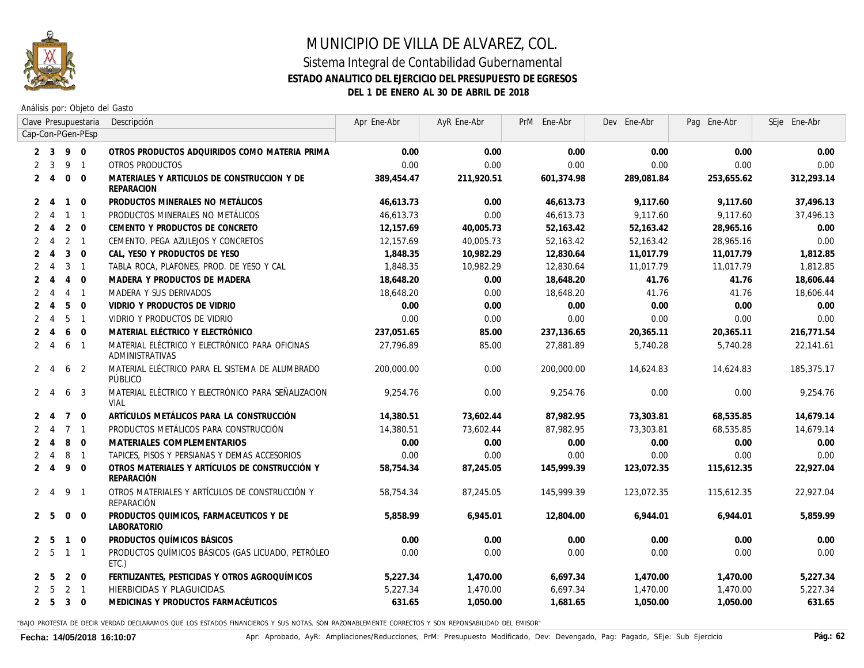

Análisis por: Objeto del Gasto

|                |                                                   |                | Clave Presupuestaria                                                               | Descripción                                                              | Apr Ene-Abr | AyR Ene-Abr | PrM Ene-Abr | Dev Ene-Abr | Pag Ene-Abr | SEje Ene-Abr |
|----------------|---------------------------------------------------|----------------|------------------------------------------------------------------------------------|--------------------------------------------------------------------------|-------------|-------------|-------------|-------------|-------------|--------------|
|                | Cap-Con-PGen-PEsp<br>$2 \quad 3$<br>9<br>$\Omega$ |                |                                                                                    |                                                                          |             |             |             |             |             |              |
|                |                                                   |                | OTROS PRODUCTOS ADQUIRIDOS COMO MATERIA PRIMA<br>OTROS PRODUCTOS<br>$\overline{1}$ |                                                                          | 0.00        | 0.00        | 0.00        | 0.00        | 0.00        | 0.00         |
| $\overline{2}$ | 3                                                 | 9              |                                                                                    |                                                                          | 0.00        | 0.00        | 0.00        | 0.00        | 0.00        | 0.00         |
| 2              | $\overline{4}$                                    | $\mathbf 0$    | $\Omega$                                                                           | MATERIALES Y ARTICULOS DE CONSTRUCCION Y DE<br><b>REPARACION</b>         | 389,454.47  | 211,920.51  | 601,374.98  | 289,081.84  | 253,655.62  | 312,293.14   |
| 2              | $\overline{4}$                                    | $\mathbf{1}$   | $\Omega$                                                                           | PRODUCTOS MINERALES NO METÁLICOS                                         | 46,613.73   | 0.00        | 46,613.73   | 9.117.60    | 9.117.60    | 37,496.13    |
|                | $\overline{4}$                                    | $\mathbf{1}$   | $\overline{1}$                                                                     | PRODUCTOS MINERALES NO METÁLICOS                                         | 46,613.73   | 0.00        | 46,613.73   | 9,117.60    | 9,117.60    | 37,496.13    |
| $\overline{2}$ | $\overline{4}$                                    | 2              | $\Omega$                                                                           | CEMENTO Y PRODUCTOS DE CONCRETO                                          | 12,157.69   | 40,005.73   | 52,163.42   | 52,163.42   | 28,965.16   | 0.00         |
| $\overline{2}$ | $\overline{4}$                                    | 2              | $\overline{1}$                                                                     | CEMENTO, PEGA AZULEJOS Y CONCRETOS                                       | 12.157.69   | 40.005.73   | 52,163.42   | 52,163.42   | 28,965.16   | 0.00         |
| $\mathfrak{D}$ | $\overline{4}$                                    | $\mathbf{3}$   | $\overline{0}$                                                                     | CAL, YESO Y PRODUCTOS DE YESO                                            | 1,848.35    | 10,982.29   | 12,830.64   | 11,017.79   | 11.017.79   | 1,812.85     |
| $\overline{2}$ | $\overline{4}$                                    | 3              | $\overline{1}$                                                                     | TABLA ROCA, PLAFONES, PROD. DE YESO Y CAL                                | 1,848.35    | 10,982.29   | 12,830.64   | 11,017.79   | 11,017.79   | 1,812.85     |
| $\overline{2}$ | 4                                                 | $\overline{4}$ | $\mathbf 0$                                                                        | MADERA Y PRODUCTOS DE MADERA                                             | 18,648.20   | 0.00        | 18,648.20   | 41.76       | 41.76       | 18,606.44    |
| $\overline{2}$ | $\boldsymbol{\varLambda}$                         | $\overline{4}$ | $\overline{1}$                                                                     | MADERA Y SUS DERIVADOS                                                   | 18,648.20   | 0.00        | 18,648.20   | 41.76       | 41.76       | 18,606.44    |
|                | $\boldsymbol{\varLambda}$                         | 5              | $\Omega$                                                                           | VIDRIO Y PRODUCTOS DE VIDRIO                                             | 0.00        | 0.00        | 0.00        | 0.00        | 0.00        | 0.00         |
| $\overline{2}$ | 4                                                 | 5              | $\overline{1}$                                                                     | VIDRIO Y PRODUCTOS DE VIDRIO                                             | 0.00        | 0.00        | 0.00        | 0.00        | 0.00        | 0.00         |
| $\mathfrak{D}$ | $\boldsymbol{\vartriangle}$                       | 6              | $\overline{0}$                                                                     | MATERIAL ELÉCTRICO Y ELECTRÓNICO                                         | 237,051.65  | 85.00       | 237,136.65  | 20,365.11   | 20,365.11   | 216,771.54   |
| $\overline{2}$ | $\overline{4}$                                    | 6              | $\overline{1}$                                                                     | MATERIAL ELÉCTRICO Y ELECTRÓNICO PARA OFICINAS<br><b>ADMINISTRATIVAS</b> | 27.796.89   | 85.00       | 27.881.89   | 5,740.28    | 5,740.28    | 22,141.61    |
| $\mathbf{2}$   | -4                                                | 6              | 2                                                                                  | MATERIAL ELÉCTRICO PARA EL SISTEMA DE ALUMBRADO<br>PÚBLICO               | 200,000.00  | 0.00        | 200,000.00  | 14,624.83   | 14,624.83   | 185, 375.17  |
| $\mathbf{2}$   | $\overline{4}$                                    | 6              | 3                                                                                  | MATERIAL ELÉCTRICO Y ELECTRÓNICO PARA SEÑALIZACION<br><b>VIAL</b>        | 9.254.76    | 0.00        | 9,254.76    | 0.00        | 0.00        | 9,254.76     |
|                | $\overline{4}$                                    | $7^{\circ}$    | $\Omega$                                                                           | ARTÍCULOS METÁLICOS PARA LA CONSTRUCCIÓN                                 | 14,380.51   | 73,602.44   | 87,982.95   | 73,303.81   | 68,535.85   | 14,679.14    |
|                | $\overline{4}$                                    | $\overline{7}$ | $\overline{1}$                                                                     | PRODUCTOS METÁLICOS PARA CONSTRUCCIÓN                                    | 14,380.51   | 73.602.44   | 87,982.95   | 73,303.81   | 68,535.85   | 14,679.14    |
| $\mathfrak{D}$ | $\overline{4}$                                    | 8              | $\Omega$                                                                           | MATERIALES COMPLEMENTARIOS                                               | 0.00        | 0.00        | 0.00        | 0.00        | 0.00        | 0.00         |
|                | $\overline{4}$                                    | 8              | $\overline{1}$                                                                     | TAPICES. PISOS Y PERSIANAS Y DEMAS ACCESORIOS                            | 0.00        | 0.00        | 0.00        | 0.00        | 0.00        | 0.00         |
| $\overline{2}$ | $\overline{4}$                                    | 9              | $\overline{0}$                                                                     | OTROS MATERIALES Y ARTÍCULOS DE CONSTRUCCIÓN Y<br>REPARACIÓN             | 58,754.34   | 87,245.05   | 145,999.39  | 123,072.35  | 115,612.35  | 22,927.04    |
| $\mathbf{2}$   | $\overline{4}$                                    | 9              | $\overline{1}$                                                                     | OTROS MATERIALES Y ARTÍCULOS DE CONSTRUCCIÓN Y<br>REPARACIÓN             | 58,754,34   | 87.245.05   | 145,999,39  | 123.072.35  | 115,612.35  | 22,927.04    |
|                | 2 <sub>5</sub>                                    | $\mathbf 0$    | $\overline{0}$                                                                     | PRODUCTOS QUIMICOS, FARMACEUTICOS Y DE<br><b>LABORATORIO</b>             | 5,858.99    | 6,945.01    | 12,804.00   | 6,944.01    | 6,944.01    | 5,859.99     |
| 2              | -5                                                | $\mathbf{1}$   | $\mathbf 0$                                                                        | PRODUCTOS QUÍMICOS BÁSICOS                                               | 0.00        | 0.00        | 0.00        | 0.00        | 0.00        | 0.00         |
|                | 2 <sub>5</sub>                                    | $\mathbf{1}$   | $\overline{1}$                                                                     | PRODUCTOS QUÍMICOS BÁSICOS (GAS LICUADO, PETRÓLEO<br>ETC.)               | 0.00        | 0.00        | 0.00        | 0.00        | 0.00        | 0.00         |
| $\mathbf{2}$   | -5                                                | 2              | $\overline{0}$                                                                     | FERTILIZANTES, PESTICIDAS Y OTROS AGROQUÍMICOS                           | 5,227.34    | 1,470.00    | 6,697.34    | 1,470.00    | 1,470.00    | 5,227.34     |
| $\overline{2}$ | -5                                                | $\overline{2}$ | $\overline{1}$                                                                     | HIERBICIDAS Y PLAGUICIDAS.                                               | 5,227.34    | 1,470.00    | 6,697.34    | 1,470.00    | 1,470.00    | 5,227.34     |
|                | 2 <sub>5</sub>                                    | $\mathbf{3}$   | $\overline{0}$                                                                     | MEDICINAS Y PRODUCTOS FARMACÉUTICOS                                      | 631.65      | 1,050.00    | 1,681.65    | 1,050.00    | 1,050.00    | 631.65       |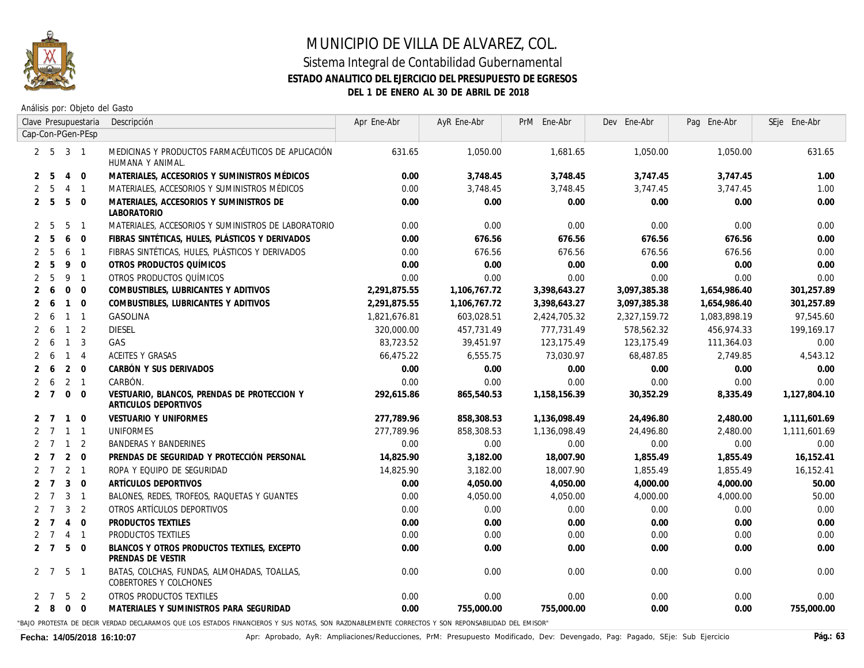

Análisis por: Objeto del Gasto

|                |                |                | Clave Presupuestaria                                                                  | Descripción                                                           | Apr Ene-Abr  | AyR Ene-Abr  | PrM Ene-Abr  | Dev Ene-Abr  | Pag Ene-Abr  | SEje Ene-Abr |
|----------------|----------------|----------------|---------------------------------------------------------------------------------------|-----------------------------------------------------------------------|--------------|--------------|--------------|--------------|--------------|--------------|
|                |                |                | Cap-Con-PGen-PEsp                                                                     |                                                                       |              |              |              |              |              |              |
|                |                |                | $2\ 5\ 3\ 1$<br>MEDICINAS Y PRODUCTOS FARMACÉUTICOS DE APLICACIÓN<br>HUMANA Y ANIMAL. |                                                                       | 631.65       | 1,050.00     | 1,681.65     | 1,050.00     | 1,050.00     | 631.65       |
| 2              | -5             | $\overline{4}$ | $\overline{0}$                                                                        | MATERIALES, ACCESORIOS Y SUMINISTROS MÉDICOS                          | 0.00         | 3,748.45     | 3,748.45     | 3,747.45     | 3,747.45     | 1.00         |
| 2              | -5             | $\overline{4}$ | $\overline{1}$                                                                        | MATERIALES, ACCESORIOS Y SUMINISTROS MÉDICOS                          | 0.00         | 3,748.45     | 3,748.45     | 3,747.45     | 3,747.45     | 7.00         |
| $\overline{2}$ | -5             | 5              | $\Omega$                                                                              | MATERIALES, ACCESORIOS Y SUMINISTROS DE<br><b>LABORATORIO</b>         | 0.00         | 0.00         | 0.00         | 0.00         | 0.00         | 0.00         |
| 2              | -5             | 5              | $\overline{1}$                                                                        | MATERIALES, ACCESORIOS Y SUMINISTROS DE LABORATORIO                   | 0.00         | 0.00         | 0.00         | 0.00         | 0.00         | 0.00         |
| $\overline{2}$ | -5             | 6              | $\mathbf{0}$                                                                          | FIBRAS SINTÉTICAS, HULES, PLÁSTICOS Y DERIVADOS                       | 0.00         | 676.56       | 676.56       | 676.56       | 676.56       | 0.00         |
| $\overline{2}$ | 5              | 6              | $\overline{1}$                                                                        | FIBRAS SINTÉTICAS, HULES, PLÁSTICOS Y DERIVADOS                       | 0.00         | 676.56       | 676.56       | 676.56       | 676.56       | 0.00         |
| $\overline{2}$ | 5              | 9              | $\overline{0}$                                                                        | OTROS PRODUCTOS QUÍMICOS                                              | 0.00         | 0.00         | 0.00         | 0.00         | 0.00         | 0.00         |
| 2              | -5             | 9              | $\overline{1}$                                                                        | OTROS PRODUCTOS QUÍMICOS                                              | 0.00         | 0.00         | 0.00         | 0.00         | 0.00         | 0.00         |
| 2              | 6              | $\Omega$       | $\overline{0}$                                                                        | COMBUSTIBLES, LUBRICANTES Y ADITIVOS                                  | 2,291,875.55 | 1,106,767.72 | 3,398,643.27 | 3,097,385.38 | 1,654,986.40 | 301,257.89   |
| 2              | -6             | $\mathbf{1}$   | $\overline{0}$                                                                        | COMBUSTIBLES, LUBRICANTES Y ADITIVOS                                  | 2,291,875.55 | 1,106,767.72 | 3,398,643.27 | 3,097,385.38 | 1,654,986.40 | 301,257.89   |
| 2              | -6             | $\mathbf{1}$   | $\overline{1}$                                                                        | <i>GASOLINA</i>                                                       | 1,821,676.81 | 603,028.51   | 2,424,705.32 | 2,327,159.72 | 1,083,898.19 | 97,545.60    |
| 2              | 6              | $\mathbf{1}$   | $\overline{2}$                                                                        | DIESEL                                                                | 320,000.00   | 457,731.49   | 777,731.49   | 578,562.32   | 456,974.33   | 199.169.17   |
| 2              | -6             | $\mathbf{1}$   | 3                                                                                     | <b>GAS</b>                                                            | 83,723.52    | 39,451.97    | 123, 175.49  | 123, 175.49  | 111,364.03   | 0.00         |
| $\mathbf{2}$   | 6              |                | $1 \quad 4$                                                                           | <b>ACEITES Y GRASAS</b>                                               | 66,475.22    | 6,555.75     | 73,030.97    | 68,487.85    | 2,749.85     | 4,543.12     |
| 2              | 6              | $\overline{2}$ | $\overline{0}$                                                                        | CARBÓN Y SUS DERIVADOS                                                | 0.00         | 0.00         | 0.00         | 0.00         | 0.00         | 0.00         |
|                | 6              |                | $2 \quad 1$                                                                           | CARBÓN.                                                               | 0.00         | 0.00         | 0.00         | 0.00         | 0.00         | 0.00         |
| 2              | $\overline{7}$ | $\mathbf 0$    | $\Omega$                                                                              | VESTUARIO, BLANCOS, PRENDAS DE PROTECCION Y<br>ARTICULOS DEPORTIVOS   | 292,615.86   | 865,540.53   | 1,158,156.39 | 30,352.29    | 8,335.49     | 1,127,804.10 |
| 2              | 7              | $\mathbf{1}$   | $\Omega$                                                                              | <b>VESTUARIO Y UNIFORMES</b>                                          | 277,789.96   | 858,308.53   | 1,136,098.49 | 24,496.80    | 2,480.00     | 1,111,601.69 |
| 2              | $\overline{7}$ |                | $1 \quad 1$                                                                           | UNIFORMES                                                             | 277,789.96   | 858,308.53   | 1,136,098.49 | 24,496.80    | 2,480.00     | 1,111,601.69 |
| $\mathbf{2}$   | $\overline{7}$ | $\overline{1}$ | $\overline{2}$                                                                        | <b>BANDERAS Y BANDERINES</b>                                          | 0.00         | 0.00         | 0.00         | 0.00         | 0.00         | 0.00         |
| $\mathbf{2}$   | $\overline{7}$ | $\overline{2}$ | $\overline{0}$                                                                        | PRENDAS DE SEGURIDAD Y PROTECCIÓN PERSONAL                            | 14,825.90    | 3,182.00     | 18,007.90    | 1,855.49     | 1,855.49     | 16,152.41    |
| $\mathbf{2}$   | $\overline{7}$ | $2 \quad 1$    |                                                                                       | ROPA Y EQUIPO DE SEGURIDAD                                            | 14,825.90    | 3,182.00     | 18,007.90    | 1,855.49     | 1,855.49     | 16, 152.41   |
| 2              | $\overline{7}$ | 3              | $\Omega$                                                                              | ARTÍCULOS DEPORTIVOS                                                  | 0.00         | 4,050.00     | 4,050.00     | 4,000.00     | 4,000.00     | 50.00        |
|                | $\overline{7}$ | 3              | $\overline{1}$                                                                        | BALONES, REDES, TROFEOS, RAQUETAS Y GUANTES                           | 0.00         | 4,050.00     | 4,050.00     | 4,000.00     | 4,000.00     | 50.00        |
| 2              | $\overline{7}$ | 3              | $\overline{2}$                                                                        | OTROS ARTÍCULOS DEPORTIVOS                                            | 0.00         | 0.00         | 0.00         | 0.00         | 0.00         | 0.00         |
|                | $\overline{7}$ | $\overline{4}$ | $\Omega$                                                                              | PRODUCTOS TEXTILES                                                    | 0.00         | 0.00         | 0.00         | 0.00         | 0.00         | 0.00         |
|                | 7              | $\overline{4}$ | $\overline{1}$                                                                        | <b>PRODUCTOS TEXTILES</b>                                             | 0.00         | 0.00         | 0.00         | 0.00         | 0.00         | 0.00         |
| $\overline{2}$ | $\overline{7}$ | 5              | $\mathbf{0}$                                                                          | BLANCOS Y OTROS PRODUCTOS TEXTILES, EXCEPTO<br>PRENDAS DE VESTIR      | 0.00         | 0.00         | 0.00         | 0.00         | 0.00         | 0.00         |
|                | 2 7            | 5              | $\overline{1}$                                                                        | BATAS, COLCHAS, FUNDAS, ALMOHADAS, TOALLAS,<br>COBERTORES Y COLCHONES | 0.00         | 0.00         | 0.00         | 0.00         | 0.00         | 0.00         |
| 2              | 7              | 5              | 2                                                                                     | OTROS PRODUCTOS TEXTILES                                              | 0.00         | 0.00         | 0.00         | 0.00         | 0.00         | 0.00         |
|                | $2 \quad 8$    | $\overline{0}$ | $\Omega$                                                                              | MATERIALES Y SUMINISTROS PARA SEGURIDAD                               | 0.00         | 755,000.00   | 755,000.00   | 0.00         | 0.00         | 755,000.00   |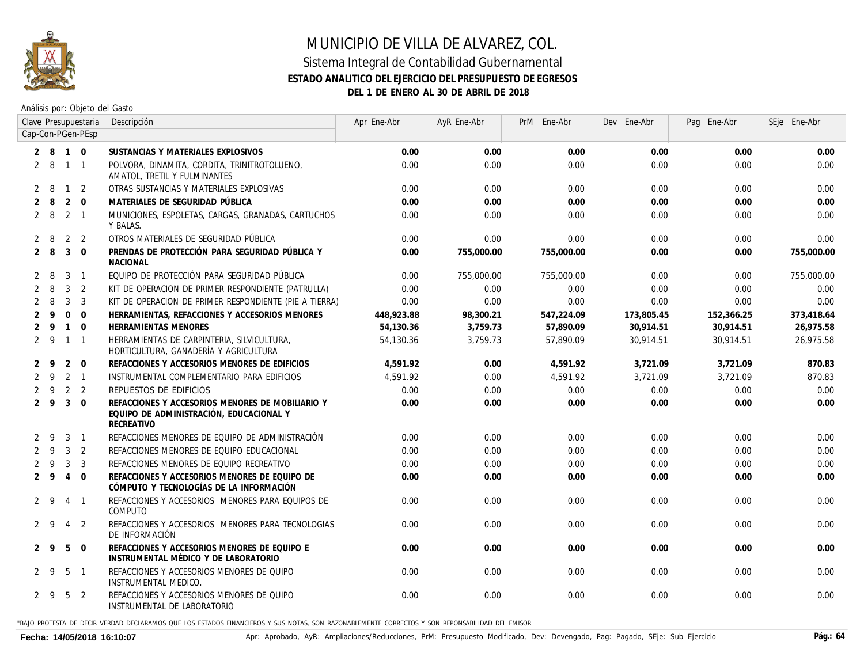

### MUNICIPIO DE VILLA DE ALVAREZ, COL. Sistema Integral de Contabilidad Gubernamental **ESTADO ANALITICO DEL EJERCICIO DEL PRESUPUESTO DE EGRESOS**

**DEL 1 DE ENERO AL 30 DE ABRIL DE 2018**

Análisis por: Objeto del Gasto

|   |                  |                | Clave Presupuestaria | Descripción                                                                                                      | Apr Ene-Abr | AyR Ene-Abr | PrM Ene-Abr | Dev Ene-Abr | Pag Ene-Abr | SEje Ene-Abr |
|---|------------------|----------------|----------------------|------------------------------------------------------------------------------------------------------------------|-------------|-------------|-------------|-------------|-------------|--------------|
|   |                  |                | Cap-Con-PGen-PEsp    |                                                                                                                  |             |             |             |             |             |              |
|   | 2 8 1 0          |                |                      | SUSTANCIAS Y MATERIALES EXPLOSIVOS                                                                               | 0.00        | 0.00        | 0.00        | 0.00        | 0.00        | 0.00         |
|   | $2 \quad 8$      | $1\quad1$      |                      | POLVORA. DINAMITA. CORDITA. TRINITROTOLUENO.<br>AMATOL, TRETIL Y FULMINANTES                                     | 0.00        | 0.00        | 0.00        | 0.00        | 0.00        | 0.00         |
|   | 2 8              | $\overline{1}$ | 2                    | OTRAS SUSTANCIAS Y MATERIALES EXPLOSIVAS                                                                         | 0.00        | 0.00        | 0.00        | 0.00        | 0.00        | 0.00         |
|   | 2 8              |                | $2 \quad 0$          | MATERIALES DE SEGURIDAD PÚBLICA                                                                                  | 0.00        | 0.00        | 0.00        | 0.00        | 0.00        | 0.00         |
|   | 2 8              | $2 \quad 1$    |                      | MUNICIONES, ESPOLETAS, CARGAS, GRANADAS, CARTUCHOS<br>Y BALAS.                                                   | 0.00        | 0.00        | 0.00        | 0.00        | 0.00        | 0.00         |
|   | $2 \quad 8$      |                | 2 2                  | OTROS MATERIALES DE SEGURIDAD PÚBLICA                                                                            | 0.00        | 0.00        | 0.00        | 0.00        | 0.00        | 0.00         |
|   | $2 \quad 8$      | $\overline{3}$ | $\overline{0}$       | PRENDAS DE PROTECCIÓN PARA SEGURIDAD PÚBLICA Y<br>NACIONAL                                                       | 0.00        | 755,000.00  | 755,000.00  | 0.00        | 0.00        | 755,000.00   |
|   | $2 \quad 8$      | 3              | $\overline{1}$       | EQUIPO DE PROTECCIÓN PARA SEGURIDAD PÚBLICA                                                                      | 0.00        | 755,000.00  | 755,000.00  | 0.00        | 0.00        | 755,000.00   |
|   | $2 \quad 8$      | $\mathbf{3}$   | 2                    | KIT DE OPERACION DE PRIMER RESPONDIENTE (PATRULLA)                                                               | 0.00        | 0.00        | 0.00        | 0.00        | 0.00        | 0.00         |
|   | $2 \quad 8$      | 3              | 3                    | KIT DE OPERACION DE PRIMER RESPONDIENTE (PIE A TIERRA)                                                           | 0.00        | 0.00        | 0.00        | 0.00        | 0.00        | 0.00         |
|   | $2 \overline{9}$ | $\Omega$       | $\Omega$             | HERRAMIENTAS, REFACCIONES Y ACCESORIOS MENORES                                                                   | 448,923.88  | 98,300.21   | 547,224.09  | 173,805.45  | 152,366.25  | 373,418.64   |
|   | $2 \overline{9}$ | $\overline{1}$ | $\Omega$             | HERRAMIENTAS MENORES                                                                                             | 54.130.36   | 3,759.73    | 57,890.09   | 30,914.51   | 30,914.51   | 26,975.58    |
|   | $2 \overline{9}$ |                | $1 \quad 1$          | HERRAMIENTAS DE CARPINTERIA, SILVICULTURA,<br>HORTICULTURA, GANADERÍA Y AGRICULTURA                              | 54,130.36   | 3,759.73    | 57,890.09   | 30,914.51   | 30,914.51   | 26,975.58    |
|   | $2 \overline{9}$ | 2              | $\Omega$             | REFACCIONES Y ACCESORIOS MENORES DE EDIFICIOS                                                                    | 4,591.92    | 0.00        | 4,591.92    | 3,721.09    | 3,721.09    | 870.83       |
|   | $2 \overline{9}$ |                | 2 <sub>1</sub>       | INSTRUMENTAL COMPLEMENTARIO PARA EDIFICIOS                                                                       | 4.591.92    | 0.00        | 4.591.92    | 3,721.09    | 3.721.09    | 870.83       |
|   | $2 \overline{9}$ |                | 2 <sub>2</sub>       | REPUESTOS DE EDIFICIOS                                                                                           | 0.00        | 0.00        | 0.00        | 0.00        | 0.00        | 0.00         |
|   | $2 \overline{9}$ | $\overline{3}$ | $\overline{0}$       | REFACCIONES Y ACCESORIOS MENORES DE MOBILIARIO Y<br>EQUIPO DE ADMINISTRACIÓN, EDUCACIONAL Y<br><b>RECREATIVO</b> | 0.00        | 0.00        | 0.00        | 0.00        | 0.00        | 0.00         |
|   | $2 \quad 9$      | $3 \quad 1$    |                      | REFACCIONES MENORES DE EOUIPO DE ADMINISTRACIÓN                                                                  | 0.00        | 0.00        | 0.00        | 0.00        | 0.00        | 0.00         |
|   | $2 \overline{9}$ |                | 3 <sub>2</sub>       | REFACCIONES MENORES DE EQUIPO EDUCACIONAL                                                                        | 0.00        | 0.00        | 0.00        | 0.00        | 0.00        | 0.00         |
|   | $2 \overline{9}$ | 3              | -3                   | REFACCIONES MENORES DE EQUIPO RECREATIVO                                                                         | 0.00        | 0.00        | 0.00        | 0.00        | 0.00        | 0.00         |
|   | $2 \quad 9$      | $\overline{4}$ | $\Omega$             | REFACCIONES Y ACCESORIOS MENORES DE EQUIPO DE<br>CÓMPUTO Y TECNOLOGÍAS DE LA INFORMACIÓN                         | 0.00        | 0.00        | 0.00        | 0.00        | 0.00        | 0.00         |
|   | $2 \quad 9$      | $\overline{4}$ | $\overline{1}$       | REFACCIONES Y ACCESORIOS MENORES PARA EQUIPOS DE<br>COMPUTO                                                      | 0.00        | 0.00        | 0.00        | 0.00        | 0.00        | 0.00         |
| 2 | -9               | 4              | 2                    | REFACCIONES Y ACCESORIOS MENORES PARA TECNOLOGIAS<br>DE INFORMACIÓN                                              | 0.00        | 0.00        | 0.00        | 0.00        | 0.00        | 0.00         |
|   | $2 \quad 9$      | 5              | $\Omega$             | REFACCIONES Y ACCESORIOS MENORES DE EQUIPO E<br>INSTRUMENTAL MÉDICO Y DE LABORATORIO                             | 0.00        | 0.00        | 0.00        | 0.00        | 0.00        | 0.00         |
|   | $2 \overline{9}$ | 5              | $\overline{1}$       | REFACCIONES Y ACCESORIOS MENORES DE QUIPO<br>INSTRUMENTAL MEDICO.                                                | 0.00        | 0.00        | 0.00        | 0.00        | 0.00        | 0.00         |
|   | 29               | 5              | 2                    | REFACCIONES Y ACCESORIOS MENORES DE QUIPO<br>INSTRUMENTAL DE LABORATORIO                                         | 0.00        | 0.00        | 0.00        | 0.00        | 0.00        | 0.00         |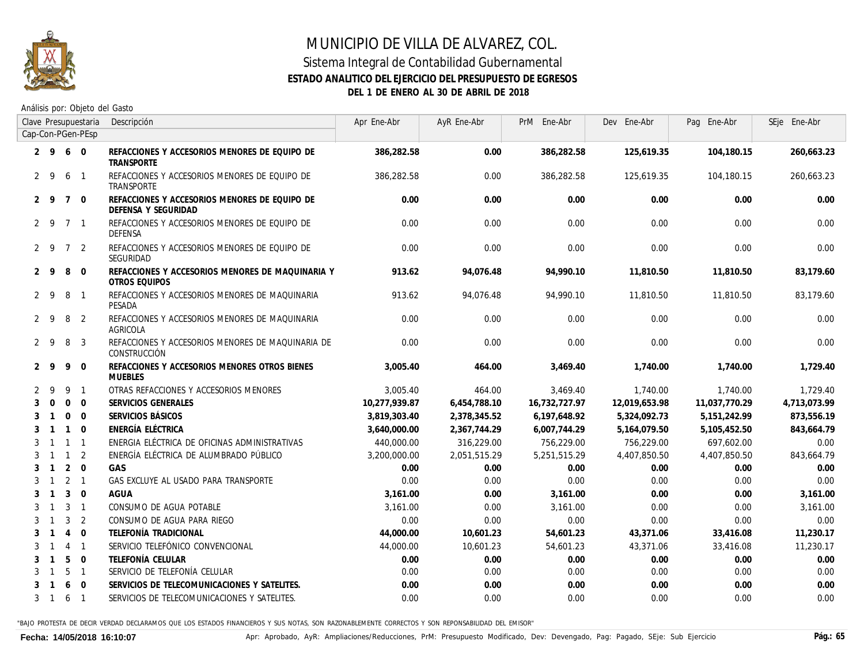

#### **ESTADO ANALITICO DEL EJERCICIO DEL PRESUPUESTO DE EGRESOS**

**DEL 1 DE ENERO AL 30 DE ABRIL DE 2018**

Análisis por: Objeto del Gasto

|              |                                                                                                                            |                | Descripción                                                              |               |              |               | Dev Ene-Abr   |                  | SEje Ene-Abr                                                                                      |
|--------------|----------------------------------------------------------------------------------------------------------------------------|----------------|--------------------------------------------------------------------------|---------------|--------------|---------------|---------------|------------------|---------------------------------------------------------------------------------------------------|
|              |                                                                                                                            |                |                                                                          |               |              |               |               |                  |                                                                                                   |
|              |                                                                                                                            | $\overline{0}$ | REFACCIONES Y ACCESORIOS MENORES DE EQUIPO DE<br><b>TRANSPORTE</b>       | 386,282.58    | 0.00         | 386,282.58    | 125,619.35    | 104,180.15       | 260,663.23                                                                                        |
|              | 6                                                                                                                          | $\mathbf{1}$   | REFACCIONES Y ACCESORIOS MENORES DE EQUIPO DE<br>TRANSPORTE              | 386,282.58    | 0.00         | 386,282.58    |               | 104, 180.15      | 260,663.23                                                                                        |
|              | $7^{\circ}$                                                                                                                | $\overline{0}$ | REFACCIONES Y ACCESORIOS MENORES DE EQUIPO DE<br>DEFENSA Y SEGURIDAD     | 0.00          | 0.00         | 0.00          | 0.00          | 0.00             | 0.00                                                                                              |
|              | $\overline{7}$                                                                                                             | $\mathbf{1}$   | REFACCIONES Y ACCESORIOS MENORES DE EQUIPO DE<br>DEFENSA                 | 0.00          | 0.00         | 0.00          | 0.00          | 0.00             | 0.00                                                                                              |
|              | $\overline{7}$                                                                                                             | 2              | REFACCIONES Y ACCESORIOS MENORES DE EQUIPO DE<br>SEGURIDAD               | 0.00          | 0.00         | 0.00          | 0.00          | 0.00             | 0.00                                                                                              |
|              | 8                                                                                                                          | $\Omega$       | REFACCIONES Y ACCESORIOS MENORES DE MAQUINARIA Y<br><b>OTROS EQUIPOS</b> | 913.62        | 94,076.48    | 94,990.10     | 11,810.50     | 11,810.50        | 83,179.60                                                                                         |
|              | 8                                                                                                                          | $\mathbf{1}$   | REFACCIONES Y ACCESORIOS MENORES DE MAQUINARIA<br>PESADA                 | 913.62        | 94,076.48    | 94,990.10     | 11,810.50     | <i>11,810.50</i> | 83,179.60                                                                                         |
|              | 8                                                                                                                          | $\overline{2}$ | REFACCIONES Y ACCESORIOS MENORES DE MAQUINARIA<br>AGRICOLA               | 0.00          | 0.00         | 0.00          | 0.00          | 0.00             | 0.00                                                                                              |
|              | 8                                                                                                                          | 3              | REFACCIONES Y ACCESORIOS MENORES DE MAQUINARIA DE<br>CONSTRUCCIÓN        | 0.00          | 0.00         | 0.00          | 0.00          | 0.00             | 0.00                                                                                              |
|              | 9                                                                                                                          | $\mathbf 0$    | REFACCIONES Y ACCESORIOS MENORES OTROS BIENES<br><b>MUEBLES</b>          | 3,005.40      | 464.00       | 3,469.40      | 1,740.00      | 1,740.00         | 1,729.40                                                                                          |
| 9            | 9                                                                                                                          | $\mathbf{1}$   | OTRAS REFACCIONES Y ACCESORIOS MENORES                                   | 3,005.40      | 464.00       | 3,469.40      |               | 1,740.00         | 1,729.40                                                                                          |
| $\Omega$     | $\mathbf 0$                                                                                                                | $\mathbf{0}$   | SERVICIOS GENERALES                                                      | 10,277,939.87 | 6,454,788.10 | 16,732,727.97 | 12,019,653.98 | 11,037,770.29    | 4,713,073.99                                                                                      |
| $\mathbf{1}$ | $\Omega$                                                                                                                   | $\Omega$       | SERVICIOS BÁSICOS                                                        | 3.819.303.40  | 2,378,345.52 | 6,197,648.92  | 5,324,092.73  | 5, 151, 242.99   | 873,556.19                                                                                        |
| $\mathbf{1}$ | $\overline{1}$                                                                                                             | $\Omega$       | ENERGÍA ELÉCTRICA                                                        | 3,640,000.00  | 2,367,744.29 | 6,007,744.29  | 5,164,079.50  | 5,105,452.50     | 843,664.79                                                                                        |
|              | $\overline{1}$                                                                                                             | $\mathbf{1}$   | ENERGIA ELÉCTRICA DE OFICINAS ADMINISTRATIVAS                            | 440,000,00    | 316,229.00   | 756,229.00    |               | 697,602.00       | 0.00                                                                                              |
|              | $\overline{1}$                                                                                                             | 2              | ENERGÍA ELÉCTRICA DE ALUMBRADO PÚBLICO                                   | 3,200,000.00  | 2,051,515.29 | 5,251,515.29  |               | 4,407,850.50     | 843,664.79                                                                                        |
|              | 2                                                                                                                          | $\mathbf 0$    | GAS                                                                      | 0.00          | 0.00         | 0.00          | 0.00          | 0.00             | 0.00                                                                                              |
|              | 2                                                                                                                          |                | GAS EXCLUYE AL USADO PARA TRANSPORTE                                     | 0.00          | 0.00         | 0.00          | 0.00          | 0.00             | 0.00                                                                                              |
|              | $\mathbf{3}$                                                                                                               | $\mathbf 0$    | AGUA                                                                     | 3,161.00      | 0.00         | 3,161.00      | 0.00          | 0.00             | 3,161.00                                                                                          |
|              | 3                                                                                                                          | $\overline{1}$ | CONSUMO DE AGUA POTABLE                                                  | 3.161.00      | 0.00         | 3.161.00      | 0.00          | 0.00             | 3.161.00                                                                                          |
|              | $\overline{3}$                                                                                                             | 2              | CONSUMO DE AGUA PARA RIEGO                                               | 0.00          | 0.00         | 0.00          | 0.00          | 0.00             | 0.00                                                                                              |
|              | $\overline{4}$                                                                                                             | $\mathbf 0$    | TELEFONÍA TRADICIONAL                                                    | 44,000.00     | 10,601.23    | 54,601.23     | 43,371.06     | 33,416.08        | 11,230.17                                                                                         |
|              | $\overline{4}$                                                                                                             | $\overline{1}$ | SERVICIO TELEFÓNICO CONVENCIONAL                                         | 44,000.00     | 10,601.23    | 54,601.23     | 43,371.06     | 33,416.08        | 11,230.17                                                                                         |
|              | 5                                                                                                                          | $\mathbf{0}$   | TELEFONÍA CELULAR                                                        | 0.00          | 0.00         | 0.00          | 0.00          | 0.00             | 0.00                                                                                              |
|              | 5                                                                                                                          | $\overline{1}$ | SERVICIO DE TELEFONÍA CELULAR                                            | 0.00          | 0.00         | 0.00          | 0.00          | 0.00             | 0.00                                                                                              |
|              | 6                                                                                                                          | $\Omega$       | SERVICIOS DE TELECOMUNICACIONES Y SATELITES.                             | 0.00          | 0.00         | 0.00          | 0.00          | 0.00             | 0.00                                                                                              |
| -1           | 6                                                                                                                          | $\overline{1}$ | SERVICIOS DE TELECOMUNICACIONES Y SATELITES.                             | 0.00          | 0.00         | 0.00          | 0.00          | 0.00             | 0.00                                                                                              |
|              | 2 9<br>$2 \quad 9$<br>$2 \quad 9$<br>$2 \overline{9}$<br>$2 \overline{9}$<br>$2 \overline{9}$<br>2 9<br>$2 \quad 9$<br>2 9 | $2 \quad 9$    | Clave Presupuestaria<br>Cap-Con-PGen-PEsp<br>6<br>$\overline{1}$         |               | Apr Ene-Abr  |               |               |                  | AyR Ene-Abr<br>PrM Ene-Abr<br>Pag Ene-Abr<br>125,619.35<br>1,740.00<br>756,229.00<br>4,407,850.50 |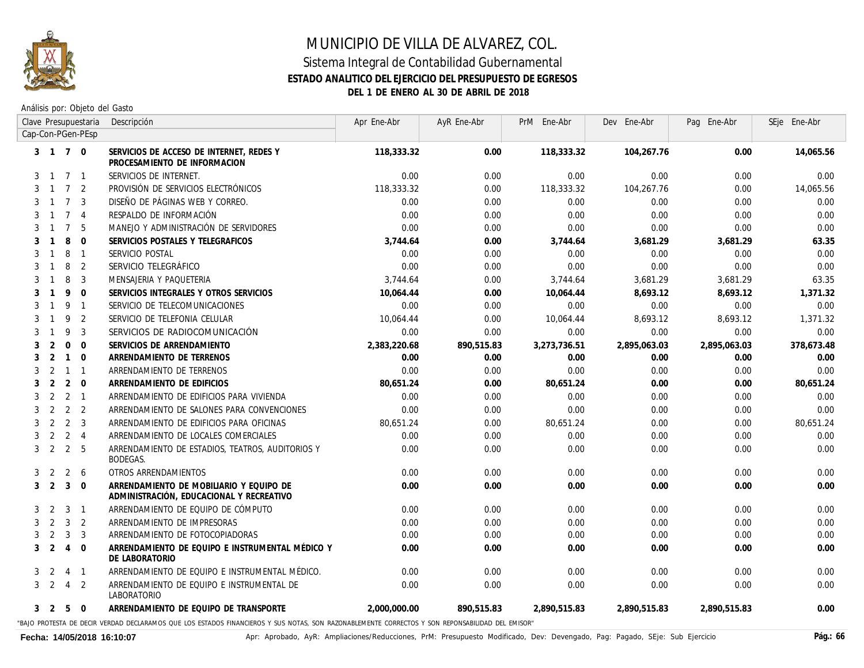

Análisis por: Objeto del Gasto

| Clave Presupuestaria                                | Descripción        |                                                                                                                                                  | Apr Ene-Abr  | AyR Ene-Abr | PrM Ene-Abr  | Dev Ene-Abr  | Pag Ene-Abr  | SEje Ene-Abr |
|-----------------------------------------------------|--------------------|--------------------------------------------------------------------------------------------------------------------------------------------------|--------------|-------------|--------------|--------------|--------------|--------------|
| Cap-Con-PGen-PEsp                                   |                    |                                                                                                                                                  |              |             |              |              |              |              |
| 3 1 7 0                                             |                    | SERVICIOS DE ACCESO DE INTERNET, REDES Y<br>PROCESAMIENTO DE INFORMACION                                                                         | 118,333.32   | 0.00        | 118,333.32   | 104,267.76   | 0.00         | 14,065.56    |
| 7 <sub>1</sub><br>3<br>$\overline{1}$               |                    | SERVICIOS DE INTERNET.                                                                                                                           | 0.00         | 0.00        | 0.00         | 0.00         | 0.00         | 0.00         |
| 7 <sup>2</sup><br>3                                 |                    | PROVISIÓN DE SERVICIOS ELECTRÓNICOS                                                                                                              | 118,333,32   | 0.00        | 118,333.32   | 104,267.76   | 0.00         | 14,065.56    |
| $7^{\circ}$<br>$\overline{3}$<br>3                  |                    | DISEÑO DE PÁGINAS WEB Y CORREO.                                                                                                                  | 0.00         | 0.00        | 0.00         | 0.00         | 0.00         | 0.00         |
| $7^{\circ}$<br>3<br>$\overline{4}$                  |                    | RESPALDO DE INFORMACIÓN                                                                                                                          | 0.00         | 0.00        | 0.00         | 0.00         | 0.00         | 0.00         |
| $\overline{7}$<br>5<br>3                            |                    | MANEJO Y ADMINISTRACIÓN DE SERVIDORES                                                                                                            | 0.00         | 0.00        | 0.00         | 0.00         | 0.00         | 0.00         |
| 8<br>$\Omega$<br>3                                  |                    | SERVICIOS POSTALES Y TELEGRAFICOS                                                                                                                | 3,744.64     | 0.00        | 3,744.64     | 3,681.29     | 3,681.29     | 63.35        |
| 8<br>3<br>$\overline{\phantom{0}}$<br>$\mathbf{1}$  | SERVICIO POSTAL    |                                                                                                                                                  | 0.00         | 0.00        | 0.00         | 0.00         | 0.00         | 0.00         |
| $\overline{2}$<br>8<br>3<br>-1                      |                    | SERVICIO TELEGRÁFICO                                                                                                                             | 0.00         | 0.00        | 0.00         | 0.00         | 0.00         | 0.00         |
| 8<br>$\overline{\mathbf{3}}$<br>3<br>$\overline{1}$ |                    | MENSAJERIA Y PAQUETERIA                                                                                                                          | 3,744.64     | 0.00        | 3,744.64     | 3,681.29     | 3,681.29     | 63.35        |
| 9<br>$\overline{0}$<br>3<br>$\mathbf{1}$            |                    | SERVICIOS INTEGRALES Y OTROS SERVICIOS                                                                                                           | 10.064.44    | 0.00        | 10,064.44    | 8,693.12     | 8,693.12     | 1,371.32     |
| 9<br>$\overline{1}$<br>3<br>$\mathbf{1}$            |                    | SERVICIO DE TELECOMUNICACIONES                                                                                                                   | 0.00         | 0.00        | 0.00         | 0.00         | 0.00         | 0.00         |
| 9<br>$\overline{2}$<br>3<br>$\mathbf{1}$            |                    | SERVICIO DE TELEFONIA CELULAR                                                                                                                    | 10.064.44    | 0.00        | 10.064.44    | 8.693.12     | 8.693.12     | 1.371.32     |
| 9<br>$\overline{3}$<br>3                            |                    | SERVICIOS DE RADIOCOMUNICACIÓN                                                                                                                   | 0.00         | 0.00        | 0.00         | 0.00         | 0.00         | 0.00         |
| $\overline{0}$<br>2<br>$\overline{0}$<br>3          |                    | SERVICIOS DE ARRENDAMIENTO                                                                                                                       | 2,383,220.68 | 890,515.83  | 3,273,736.51 | 2,895,063.03 | 2,895,063.03 | 378,673.48   |
| 2<br>$1\quad 0$<br>3                                |                    | ARRENDAMIENTO DE TERRENOS                                                                                                                        | 0.00         | 0.00        | 0.00         | 0.00         | 0.00         | 0.00         |
| 2<br>3<br>$1 \quad 1$                               |                    | ARRENDAMIENTO DE TERRENOS                                                                                                                        | 0.00         | 0.00        | 0.00         | 0.00         | 0.00         | 0.00         |
| 2<br>$2 \quad 0$<br>3                               |                    | ARRENDAMIENTO DE EDIFICIOS                                                                                                                       | 80,651.24    | 0.00        | 80,651.24    | 0.00         | 0.00         | 80.651.24    |
| 2 <sub>1</sub><br>2<br>3                            |                    | ARRENDAMIENTO DE EDIFICIOS PARA VIVIENDA                                                                                                         | 0.00         | 0.00        | 0.00         | 0.00         | 0.00         | 0.00         |
| 2<br>2 <sub>2</sub><br>3                            |                    | ARRENDAMIENTO DE SALONES PARA CONVENCIONES                                                                                                       | 0.00         | 0.00        | 0.00         | 0.00         | 0.00         | 0.00         |
| 2 <sub>3</sub><br>2<br>3                            |                    | ARRENDAMIENTO DE EDIFICIOS PARA OFICINAS                                                                                                         | 80,651.24    | 0.00        | 80,651.24    | 0.00         | 0.00         | 80,651.24    |
| 2<br>$2 \quad 4$<br>3                               |                    | ARRENDAMIENTO DE LOCALES COMERCIALES                                                                                                             | 0.00         | 0.00        | 0.00         | 0.00         | 0.00         | 0.00         |
| 2<br>2 <sub>5</sub><br>3                            | <b>BODEGAS.</b>    | ARRENDAMIENTO DE ESTADIOS, TEATROS, AUDITORIOS Y                                                                                                 | 0.00         | 0.00        | 0.00         | 0.00         | 0.00         | 0.00         |
| 2<br>$2\quad 6$<br>3                                |                    | OTROS ARRENDAMIENTOS                                                                                                                             | 0.00         | 0.00        | 0.00         | 0.00         | 0.00         | 0.00         |
| 2<br>3<br>$\overline{0}$<br>3                       |                    | ARRENDAMIENTO DE MOBILIARIO Y EQUIPO DE<br>ADMINISTRACIÓN, EDUCACIONAL Y RECREATIVO                                                              | 0.00         | 0.00        | 0.00         | 0.00         | 0.00         | 0.00         |
| 2<br>3<br>3<br>$\overline{1}$                       |                    | ARRENDAMIENTO DE EQUIPO DE CÓMPUTO                                                                                                               | 0.00         | 0.00        | 0.00         | 0.00         | 0.00         | 0.00         |
| 3 <sup>2</sup><br>2<br>3                            |                    | ARRENDAMIENTO DE IMPRESORAS                                                                                                                      | 0.00         | 0.00        | 0.00         | 0.00         | 0.00         | 0.00         |
| 3<br>$\overline{3}$<br>2<br>3                       |                    | ARRENDAMIENTO DE FOTOCOPIADORAS                                                                                                                  | 0.00         | 0.00        | 0.00         | 0.00         | 0.00         | 0.00         |
| 2<br>$\overline{0}$<br>3<br>$\overline{4}$          | DE LABORATORIO     | ARRENDAMIENTO DE EQUIPO E INSTRUMENTAL MÉDICO Y                                                                                                  | 0.00         | 0.00        | 0.00         | 0.00         | 0.00         | 0.00         |
| 2<br>4 1<br>3                                       |                    | ARRENDAMIENTO DE EQUIPO E INSTRUMENTAL MÉDICO.                                                                                                   | 0.00         | 0.00        | 0.00         | 0.00         | 0.00         | 0.00         |
| 2<br>$4\quad 2$<br>3                                | <i>LABORATORIO</i> | ARRENDAMIENTO DE EQUIPO E INSTRUMENTAL DE                                                                                                        | 0.00         | 0.00        | 0.00         | 0.00         | 0.00         | 0.00         |
| 5<br>$\overline{0}$<br>3 2                          |                    | ARRENDAMIENTO DE EQUIPO DE TRANSPORTE                                                                                                            | 2,000,000.00 | 890,515.83  | 2,890,515.83 | 2,890,515.83 | 2,890,515.83 | 0.00         |
|                                                     |                    | "BAJO PROTESTA DE DECIR VERDAD DECLARAMOS QUE LOS ESTADOS FINANCIEROS Y SUS NOTAS, SON RAZONABLEMENTE CORRECTOS Y SON REPONSABILIDAD DEL EMISOR" |              |             |              |              |              |              |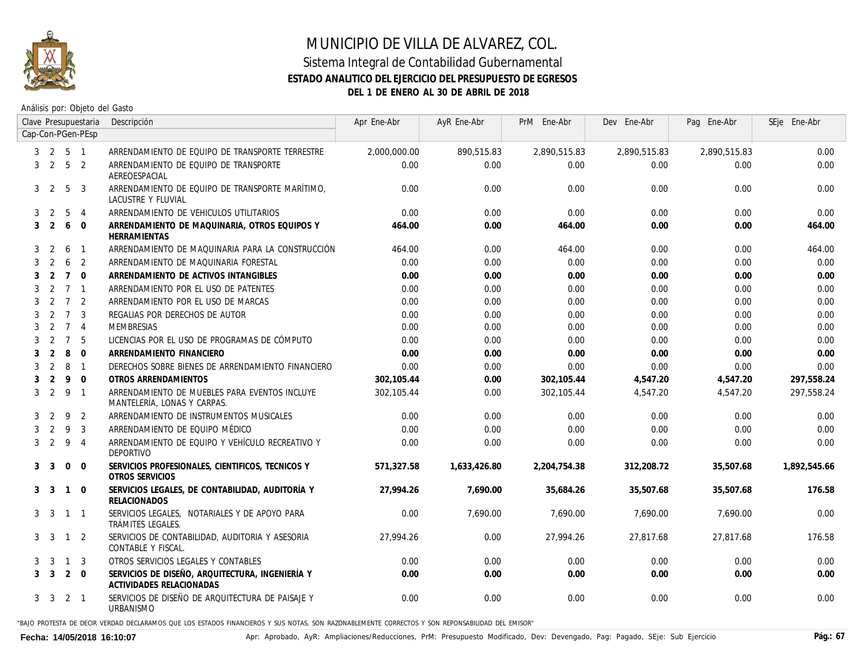

#### Sistema Integral de Contabilidad Gubernamental **ESTADO ANALITICO DEL EJERCICIO DEL PRESUPUESTO DE EGRESOS DEL 1 DE ENERO AL 30 DE ABRIL DE 2018**

Análisis por: Objeto del Gasto

|   |                               |                 | Clave Presupuestaria | Descripción                                                                  | Apr Ene-Abr  | AyR Ene-Abr  | PrM Ene-Abr  | Dev Ene-Abr  | Pag Ene-Abr  | SEje Ene-Abr |
|---|-------------------------------|-----------------|----------------------|------------------------------------------------------------------------------|--------------|--------------|--------------|--------------|--------------|--------------|
|   | Cap-Con-PGen-PEsp<br>5 1<br>2 |                 |                      |                                                                              |              |              |              |              |              |              |
| 3 |                               |                 |                      | ARRENDAMIENTO DE EQUIPO DE TRANSPORTE TERRESTRE                              | 2,000,000.00 | 890,515.83   | 2,890,515.83 | 2,890,515.83 | 2,890,515.83 | 0.00         |
| 3 | 2                             | 5 <sub>2</sub>  |                      | ARRENDAMIENTO DE EQUIPO DE TRANSPORTE<br>AEREOESPACIAL                       | 0.00         | 0.00         | 0.00         | 0.00         | 0.00         | 0.00         |
|   | 3 <sub>2</sub>                | 5               | 3                    | ARRENDAMIENTO DE EQUIPO DE TRANSPORTE MARÍTIMO.<br>LACUSTRE Y FLUVIAL        | 0.00         | 0.00         | 0.00         | 0.00         | 0.00         | 0.00         |
| 3 | 2                             | 5               | $\overline{4}$       | ARRENDAMIENTO DE VEHICULOS UTILITARIOS                                       | 0.00         | 0.00         | 0.00         | 0.00         | 0.00         | 0.00         |
| 3 | 2                             | 6               | $\mathbf 0$          | ARRENDAMIENTO DE MAQUINARIA, OTROS EQUIPOS Y<br>HERRAMIENTAS                 | 464.00       | 0.00         | 464.00       | 0.00         | 0.00         | 464.00       |
| 3 | 2                             | 6               | $\overline{1}$       | ARRENDAMIENTO DE MAQUINARIA PARA LA CONSTRUCCIÓN                             | 464.00       | 0.00         | 464.00       | 0.00         | 0.00         | 464.00       |
| 3 | 2                             | 6               | 2                    | ARRENDAMIENTO DE MAQUINARIA FORESTAL                                         | 0.00         | 0.00         | 0.00         | 0.00         | 0.00         | 0.00         |
| 3 | 2                             | $\overline{7}$  | $\Omega$             | ARRENDAMIENTO DE ACTIVOS INTANGIBLES                                         | 0.00         | 0.00         | 0.00         | 0.00         | 0.00         | 0.00         |
| 3 | 2                             | $7\overline{ }$ | $\mathbf{1}$         | ARRENDAMIENTO POR EL USO DE PATENTES                                         | 0.00         | 0.00         | 0.00         | 0.00         | 0.00         | 0.00         |
| 3 | 2                             | $\overline{7}$  | 2                    | ARRENDAMIENTO POR EL USO DE MARCAS                                           | 0.00         | 0.00         | 0.00         | 0.00         | 0.00         | 0.00         |
| 3 | 2                             | $\overline{7}$  | 3                    | REGALIAS POR DERECHOS DE AUTOR                                               | 0.00         | 0.00         | 0.00         | 0.00         | 0.00         | 0.00         |
| 3 | 2                             | $\overline{7}$  | $\overline{4}$       | MEMBRESIAS                                                                   | 0.00         | 0.00         | 0.00         | 0.00         | 0.00         | 0.00         |
| 3 | 2                             | $\overline{7}$  | 5                    | LICENCIAS POR EL USO DE PROGRAMAS DE CÓMPUTO                                 | 0.00         | 0.00         | 0.00         | 0.00         | 0.00         | 0.00         |
| 3 | 2                             | 8               | $\Omega$             | ARRENDAMIENTO FINANCIERO                                                     | 0.00         | 0.00         | 0.00         | 0.00         | 0.00         | 0.00         |
| 3 | 2                             | 8               | $\overline{1}$       | DERECHOS SOBRE BIENES DE ARRENDAMIENTO FINANCIERO                            | 0.00         | 0.00         | 0.00         | 0.00         | 0.00         | 0.00         |
|   | $\overline{2}$                | 9               | $\mathbf 0$          | OTROS ARRENDAMIENTOS                                                         | 302,105.44   | 0.00         | 302,105.44   | 4,547.20     | 4,547.20     | 297,558.24   |
| 3 | 2                             | 9               | $\mathbf{1}$         | ARRENDAMIENTO DE MUEBLES PARA EVENTOS INCLUYE<br>MANTELERÍA, LONAS Y CARPAS. | 302, 105.44  | 0.00         | 302, 105.44  | 4,547.20     | 4,547.20     | 297,558.24   |
| 3 | 2                             | 9               | 2                    | ARRENDAMIENTO DE INSTRUMENTOS MUSICALES                                      | 0.00         | 0.00         | 0.00         | 0.00         | 0.00         | 0.00         |
| 3 | 2                             | -9              | 3                    | ARRENDAMIENTO DE EQUIPO MÉDICO                                               | 0.00         | 0.00         | 0.00         | 0.00         | 0.00         | 0.00         |
| 3 | 2                             | 9               | $\overline{4}$       | ARRENDAMIENTO DE EQUIPO Y VEHÍCULO RECREATIVO Y<br>DEPORTIVO                 | 0.00         | 0.00         | 0.00         | 0.00         | 0.00         | 0.00         |
| 3 | - 3                           | $\mathbf{0}$    | $\mathbf 0$          | SERVICIOS PROFESIONALES, CIENTIFICOS, TECNICOS Y<br>OTROS SERVICIOS          | 571.327.58   | 1,633,426.80 | 2,204,754.38 | 312,208.72   | 35,507.68    | 1,892,545.66 |
|   | 3 <sup>3</sup>                | $\overline{1}$  | $\mathbf 0$          | SERVICIOS LEGALES, DE CONTABILIDAD, AUDITORÍA Y<br><b>RELACIONADOS</b>       | 27.994.26    | 7,690.00     | 35,684.26    | 35,507.68    | 35,507.68    | 176.58       |
| 3 | - 3                           | $\overline{1}$  | $\mathbf{1}$         | SERVICIOS LEGALES, NOTARIALES Y DE APOYO PARA<br>TRÁMITES LEGALES.           | 0.00         | 7,690.00     | 7,690.00     | 7,690.00     | 7,690.00     | 0.00         |
|   | 3 3                           | $\overline{1}$  | 2                    | SERVICIOS DE CONTABILIDAD, AUDITORIA Y ASESORIA<br>CONTABLE Y FISCAL.        | 27,994.26    | 0.00         | 27,994.26    | 27,817.68    | 27,817.68    | 176.58       |
|   | 3 3                           | $\overline{1}$  | 3                    | OTROS SERVICIOS LEGALES Y CONTABLES                                          | 0.00         | 0.00         | 0.00         | 0.00         | 0.00         | 0.00         |
| 3 | $\overline{3}$                | 2               | $\Omega$             | SERVICIOS DE DISEÑO, ARQUITECTURA, INGENIERÍA Y<br>ACTIVIDADES RELACIONADAS  | 0.00         | 0.00         | 0.00         | 0.00         | 0.00         | 0.00         |
| 3 | - 3                           | 2 1             |                      | SERVICIOS DE DISEÑO DE ARQUITECTURA DE PAISAJE Y<br>URBANISMO                | 0.00         | 0.00         | 0.00         | 0.00         | 0.00         | 0.00         |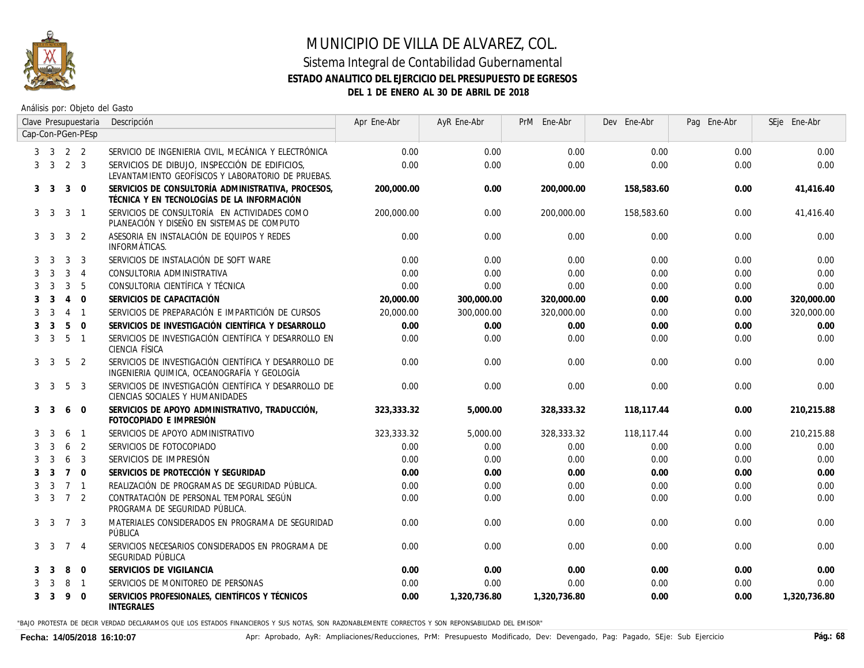

Análisis por: Objeto del Gasto

|   |                             |                | Clave Presupuestaria | Descripción                                                                                          | Apr Ene-Abr | AyR Ene-Abr  | PrM Ene-Abr  | Dev Ene-Abr | Pag Ene-Abr | SEje Ene-Abr |
|---|-----------------------------|----------------|----------------------|------------------------------------------------------------------------------------------------------|-------------|--------------|--------------|-------------|-------------|--------------|
|   |                             |                | Cap-Con-PGen-PEsp    |                                                                                                      |             |              |              |             |             |              |
|   | $3 \quad 3 \quad 2 \quad 2$ |                |                      | SERVICIO DE INGENIERIA CIVIL, MECÁNICA Y ELECTRÓNICA                                                 | 0.00        | 0.00         | 0.00         | 0.00        | 0.00        | 0.00         |
|   | 3 <sup>3</sup>              | 2 3            |                      | SERVICIOS DE DIBUJO, INSPECCIÓN DE EDIFICIOS,<br>LEVANTAMIENTO GEOFÍSICOS Y LABORATORIO DE PRUEBAS.  | 0.00        | 0.00         | 0.00         | 0.00        | 0.00        | 0.00         |
|   | 3 <sup>3</sup>              | 3              | $\mathbf{0}$         | SERVICIOS DE CONSULTORÍA ADMINISTRATIVA, PROCESOS,<br>TÉCNICA Y EN TECNOLOGÍAS DE LA INFORMACIÓN     | 200,000.00  | 0.00         | 200,000.00   | 158,583.60  | 0.00        | 41,416.40    |
|   | 3 <sup>3</sup>              | 3              | $\overline{1}$       | SERVICIOS DE CONSULTORÍA EN ACTIVIDADES COMO<br>PLANEACIÓN Y DISEÑO EN SISTEMAS DE COMPUTO           | 200,000,00  | 0.00         | 200,000,00   | 158,583,60  | 0.00        | 41.416.40    |
| 3 | -3                          | 3              | 2                    | ASESORIA EN INSTALACIÓN DE EQUIPOS Y REDES<br>INFORMÁTICAS.                                          | 0.00        | 0.00         | 0.00         | 0.00        | 0.00        | 0.00         |
| 3 | 3                           | 3              | 3                    | SERVICIOS DE INSTALACIÓN DE SOFT WARE                                                                | 0.00        | 0.00         | 0.00         | 0.00        | 0.00        | 0.00         |
| 3 | 3                           | 3              | $\overline{4}$       | CONSULTORIA ADMINISTRATIVA                                                                           | 0.00        | 0.00         | 0.00         | 0.00        | 0.00        | 0.00         |
| 3 | 3                           | 3              | 5                    | CONSULTORIA CIENTÍFICA Y TÉCNICA                                                                     | 0.00        | 0.00         | 0.00         | 0.00        | 0.00        | 0.00         |
| 3 | 3                           | $\overline{4}$ | $\mathbf{0}$         | SERVICIOS DE CAPACITACIÓN                                                                            | 20,000.00   | 300,000.00   | 320,000.00   | 0.00        | 0.00        | 320,000.00   |
| 3 | 3                           | $\overline{4}$ | $\overline{1}$       | SERVICIOS DE PREPARACIÓN E IMPARTICIÓN DE CURSOS                                                     | 20,000,00   | 300,000.00   | 320,000.00   | 0.00        | 0.00        | 320,000.00   |
| 3 | 3                           | 5              | $\mathbf{0}$         | SERVICIOS DE INVESTIGACIÓN CIENTÍFICA Y DESARROLLO                                                   | 0.00        | 0.00         | 0.00         | 0.00        | 0.00        | 0.00         |
| 3 | 3                           | 5              | $\overline{1}$       | SERVICIOS DE INVESTIGACIÓN CIENTÍFICA Y DESARROLLO EN<br>CIENCIA FÍSICA                              | 0.00        | 0.00         | 0.00         | 0.00        | 0.00        | 0.00         |
| 3 | 3                           | 5              | 2                    | SERVICIOS DE INVESTIGACIÓN CIENTÍFICA Y DESARROLLO DE<br>INGENIERIA QUIMICA, OCEANOGRAFÍA Y GEOLOGÍA | 0.00        | 0.00         | 0.00         | 0.00        | 0.00        | 0.00         |
| 3 | 3                           | 5              | 3                    | SERVICIOS DE INVESTIGACIÓN CIENTÍFICA Y DESARROLLO DE<br>CIENCIAS SOCIALES Y HUMANIDADES             | 0.00        | 0.00         | 0.00         | 0.00        | 0.00        | 0.00         |
| 3 | 3                           | 6              | $\overline{0}$       | SERVICIOS DE APOYO ADMINISTRATIVO, TRADUCCIÓN,<br>FOTOCOPIADO E IMPRESIÓN                            | 323,333.32  | 5,000.00     | 328,333.32   | 118,117.44  | 0.00        | 210,215.88   |
| 3 | 3                           | 6              | $\overline{1}$       | SERVICIOS DE APOYO ADMINISTRATIVO                                                                    | 323,333.32  | 5,000.00     | 328,333.32   | 118,117.44  | 0.00        | 210,215.88   |
| 3 | 3                           | 6              | 2                    | SERVICIOS DE FOTOCOPIADO                                                                             | 0.00        | 0.00         | 0.00         | 0.00        | 0.00        | 0.00         |
| 3 | 3                           | 6              | 3                    | SERVICIOS DE IMPRESIÓN                                                                               | 0.00        | 0.00         | 0.00         | 0.00        | 0.00        | 0.00         |
| 3 | 3                           | $\overline{7}$ | $\Omega$             | SERVICIOS DE PROTECCIÓN Y SEGURIDAD                                                                  | 0.00        | 0.00         | 0.00         | 0.00        | 0.00        | 0.00         |
| 3 | 3                           | $\overline{7}$ | $\overline{1}$       | REALIZACIÓN DE PROGRAMAS DE SEGURIDAD PÚBLICA.                                                       | 0.00        | 0.00         | 0.00         | 0.00        | 0.00        | 0.00         |
| 3 | 3                           |                | 7 <sup>2</sup>       | CONTRATACIÓN DE PERSONAL TEMPORAL SEGÚN<br>PROGRAMA DE SEGURIDAD PÚBLICA.                            | 0.00        | 0.00         | 0.00         | 0.00        | 0.00        | 0.00         |
|   | 3 <sup>3</sup>              | $\overline{7}$ | 3                    | MATERIALES CONSIDERADOS EN PROGRAMA DE SEGURIDAD<br>PÚBLICA                                          | 0.00        | 0.00         | 0.00         | 0.00        | 0.00        | 0.00         |
| 3 | -3                          | $\overline{7}$ | -4                   | SERVICIOS NECESARIOS CONSIDERADOS EN PROGRAMA DE<br>SEGURIDAD PÚBLICA                                | 0.00        | 0.00         | 0.00         | 0.00        | 0.00        | 0.00         |
|   | 3                           | 8              | $\Omega$             | SERVICIOS DE VIGILANCIA                                                                              | 0.00        | 0.00         | 0.00         | 0.00        | 0.00        | 0.00         |
|   | 3                           | 8              | $\overline{1}$       | SERVICIOS DE MONITOREO DE PERSONAS                                                                   | 0.00        | 0.00         | 0.00         | 0.00        | 0.00        | 0.00         |
| 3 | 3                           | 9              | $\Omega$             | SERVICIOS PROFESIONALES, CIENTÍFICOS Y TÉCNICOS<br><b>INTEGRALES</b>                                 | 0.00        | 1,320,736.80 | 1,320,736.80 | 0.00        | 0.00        | 1,320,736.80 |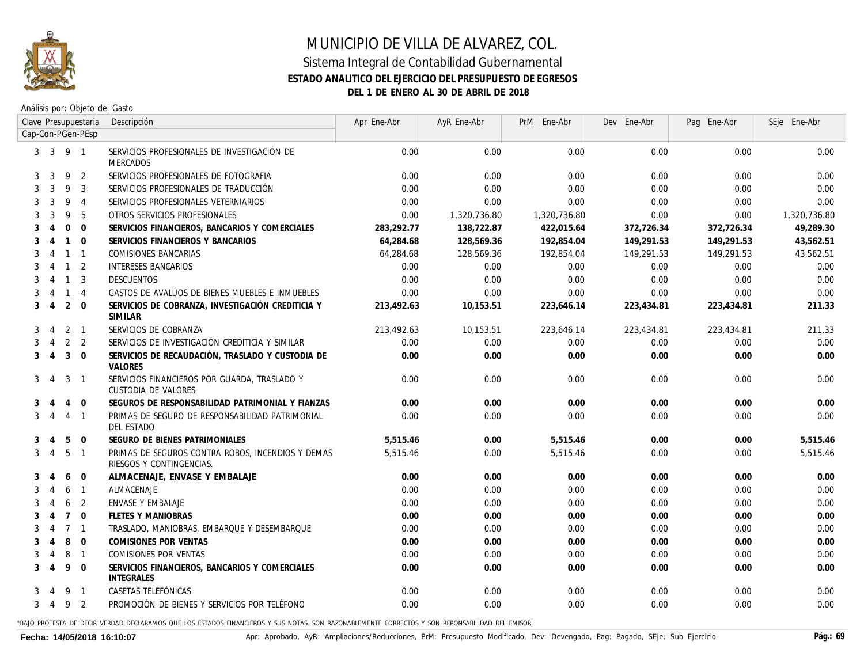

Análisis por: Objeto del Gasto

|   |                |                | Clave Presupuestaria     | Descripción                                                                   | Apr Ene-Abr | AyR Ene-Abr  | PrM Ene-Abr  | Dev Ene-Abr | Pag Ene-Abr | SEje Ene-Abr |
|---|----------------|----------------|--------------------------|-------------------------------------------------------------------------------|-------------|--------------|--------------|-------------|-------------|--------------|
|   |                |                | Cap-Con-PGen-PEsp        |                                                                               |             |              |              |             |             |              |
|   | $3 \quad 3$    | 9 1            |                          | SERVICIOS PROFESIONALES DE INVESTIGACIÓN DE<br>MERCADOS                       | 0.00        | 0.00         | 0.00         | 0.00        | 0.00        | 0.00         |
| 3 | 3              | 9              | 2                        | SERVICIOS PROFESIONALES DE FOTOGRAFIA                                         | 0.00        | 0.00         | 0.00         | 0.00        | 0.00        | 0.00         |
| 3 | 3              | 9              | 3                        | SERVICIOS PROFESIONALES DE TRADUCCIÓN                                         | 0.00        | 0.00         | 0.00         | 0.00        | 0.00        | 0.00         |
| 3 | 3              | 9              | $\overline{4}$           | SERVICIOS PROFESIONALES VETERNIARIOS                                          | 0.00        | 0.00         | 0.00         | 0.00        | 0.00        | 0.00         |
| 3 | 3              | 9              | 5                        | OTROS SERVICIOS PROFESIONALES                                                 | 0.00        | 1,320,736.80 | 1,320,736.80 | 0.00        | 0.00        | 1,320,736.80 |
| 3 | 4              | $\mathbf 0$    | $\Omega$                 | SERVICIOS FINANCIEROS, BANCARIOS Y COMERCIALES                                | 283,292.77  | 138,722.87   | 422,015.64   | 372,726.34  | 372,726.34  | 49,289.30    |
| 3 |                | $\mathbf{1}$   | $\Omega$                 | SERVICIOS FINANCIEROS Y BANCARIOS                                             | 64,284.68   | 128,569.36   | 192,854.04   | 149,291.53  | 149,291.53  | 43,562.51    |
| 3 | 4              | $\mathbf{1}$   | $\overline{1}$           | COMISIONES BANCARIAS                                                          | 64,284.68   | 128,569.36   | 192,854.04   | 149,291.53  | 149,291.53  | 43,562.51    |
|   | 4              |                | $1\quad 2$               | <b>INTERESES BANCARIOS</b>                                                    | 0.00        | 0.00         | 0.00         | 0.00        | 0.00        | 0.00         |
|   | $\overline{4}$ | $\overline{1}$ | $\overline{\mathbf{3}}$  | <b>DESCUENTOS</b>                                                             | 0.00        | 0.00         | 0.00         | 0.00        | 0.00        | 0.00         |
|   |                | $\mathbf{1}$   | $\overline{4}$           | GASTOS DE AVALÚOS DE BIENES MUEBLES E INMUEBLES                               | 0.00        | 0.00         | 0.00         | 0.00        | 0.00        | 0.00         |
| 3 | $\overline{4}$ | $2 \quad 0$    |                          | SERVICIOS DE COBRANZA, INVESTIGACIÓN CREDITICIA Y<br>SIMILAR                  | 213,492.63  | 10,153.51    | 223,646.14   | 223,434.81  | 223,434.81  | 211.33       |
| 3 | $\overline{4}$ |                | $2 \quad 1$              | SERVICIOS DE COBRANZA                                                         | 213,492.63  | 10,153.51    | 223,646.14   | 223,434.81  | 223,434.81  | 211.33       |
| 3 | $\overline{4}$ |                | 2 <sub>2</sub>           | SERVICIOS DE INVESTIGACIÓN CREDITICIA Y SIMILAR                               | 0.00        | 0.00         | 0.00         | 0.00        | 0.00        | 0.00         |
| 3 | $\overline{4}$ | 3              | $\overline{0}$           | SERVICIOS DE RECAUDACIÓN, TRASLADO Y CUSTODIA DE<br>VALORES                   | 0.00        | 0.00         | 0.00         | 0.00        | 0.00        | 0.00         |
| 3 | $\overline{A}$ |                | $3 \quad 1$              | SERVICIOS FINANCIEROS POR GUARDA, TRASLADO Y<br>CUSTODIA DE VALORES           | 0.00        | 0.00         | 0.00         | 0.00        | 0.00        | 0.00         |
| 3 | -4             | $\overline{4}$ | $\overline{0}$           | SEGUROS DE RESPONSABILIDAD PATRIMONIAL Y FIANZAS                              | 0.00        | 0.00         | 0.00         | 0.00        | 0.00        | 0.00         |
| 3 | $\overline{4}$ | $\overline{4}$ | $\overline{1}$           | PRIMAS DE SEGURO DE RESPONSABILIDAD PATRIMONIAL<br>DEL ESTADO                 | 0.00        | 0.00         | 0.00         | 0.00        | 0.00        | 0.00         |
| 3 | 4              | 5              | $\overline{0}$           | SEGURO DE BIENES PATRIMONIALES                                                | 5,515.46    | 0.00         | 5,515.46     | 0.00        | 0.00        | 5,515.46     |
| 3 | 4              | 5              | $\overline{1}$           | PRIMAS DE SEGUROS CONTRA ROBOS, INCENDIOS Y DEMAS<br>RIESGOS Y CONTINGENCIAS. | 5,515.46    | 0.00         | 5,515.46     | 0.00        | 0.00        | 5,515.46     |
| 3 |                | 6              | $\overline{0}$           | ALMACENAJE, ENVASE Y EMBALAJE                                                 | 0.00        | 0.00         | 0.00         | 0.00        | 0.00        | 0.00         |
| 3 | 4              | 6              | $\overline{1}$           | ALMACENAJE                                                                    | 0.00        | 0.00         | 0.00         | 0.00        | 0.00        | 0.00         |
| 3 |                | 6              | $\overline{2}$           | ENVASE Y EMBALAJE                                                             | 0.00        | 0.00         | 0.00         | 0.00        | 0.00        | 0.00         |
| 3 | 4              | $\overline{7}$ | $\overline{0}$           | <b>FLETES Y MANIOBRAS</b>                                                     | 0.00        | 0.00         | 0.00         | 0.00        | 0.00        | 0.00         |
| 3 | 4              | 7 <sub>1</sub> |                          | TRASLADO, MANIOBRAS, EMBARQUE Y DESEMBARQUE                                   | 0.00        | 0.00         | 0.00         | 0.00        | 0.00        | 0.00         |
| 3 | 4              | 8              | $\overline{0}$           | <b>COMISIONES POR VENTAS</b>                                                  | 0.00        | 0.00         | 0.00         | 0.00        | 0.00        | 0.00         |
| 3 | 4              | 8              | $\overline{\phantom{0}}$ | COMISIONES POR VENTAS                                                         | 0.00        | 0.00         | 0.00         | 0.00        | 0.00        | 0.00         |
| 3 | 4              | 9              | $\overline{0}$           | SERVICIOS FINANCIEROS, BANCARIOS Y COMERCIALES<br><b>INTEGRALES</b>           | 0.00        | 0.00         | 0.00         | 0.00        | 0.00        | 0.00         |
|   |                | 9              | $\overline{1}$           | CASETAS TELEFÓNICAS                                                           | 0.00        | 0.00         | 0.00         | 0.00        | 0.00        | 0.00         |
|   | $3 \quad 4$    |                | 9 2                      | PROMOCIÓN DE BIENES Y SERVICIOS POR TELÉFONO                                  | 0.00        | 0.00         | 0.00         | 0.00        | 0.00        | 0.00         |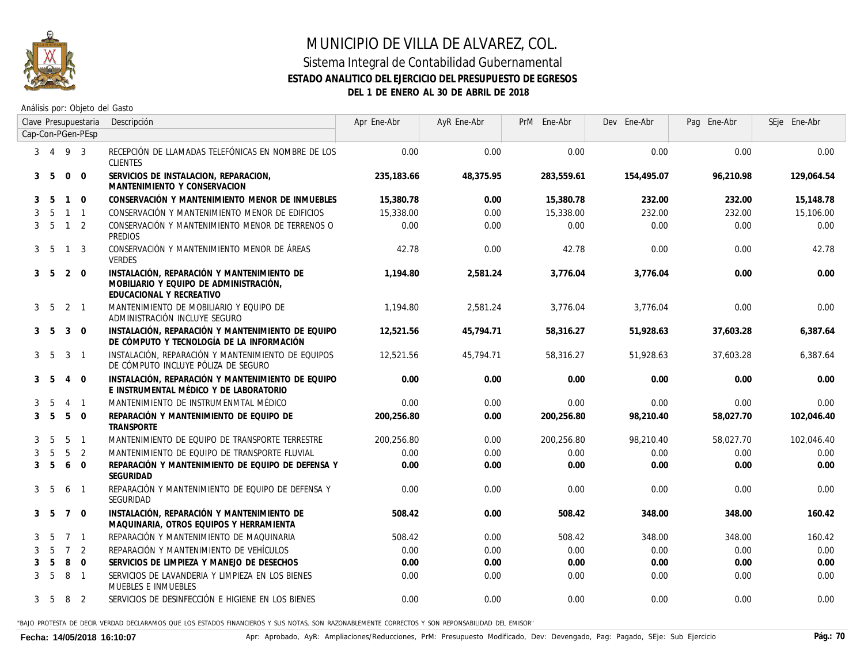

Análisis por: Objeto del Gasto

|   |                 |                | Clave Presupuestaria     | Descripción                                                                                                      | Apr Ene-Abr | AyR Ene-Abr | PrM Ene-Abr | Dev Ene-Abr | Pag Ene-Abr | SEje Ene-Abr |
|---|-----------------|----------------|--------------------------|------------------------------------------------------------------------------------------------------------------|-------------|-------------|-------------|-------------|-------------|--------------|
|   |                 |                | Cap-Con-PGen-PEsp        |                                                                                                                  |             |             |             |             |             |              |
|   | $3 \t4 \t9 \t3$ |                |                          | RECEPCIÓN DE LLAMADAS TELEFÓNICAS EN NOMBRE DE LOS<br><b>CLIENTES</b>                                            | 0.00        | 0.00        | 0.00        | 0.00        | 0.00        | 0.00         |
| 3 | - 5             | $\overline{0}$ | $\overline{0}$           | SERVICIOS DE INSTALACION, REPARACION,<br>MANTENIMIENTO Y CONSERVACION                                            | 235,183.66  | 48,375.95   | 283,559.61  | 154,495.07  | 96,210.98   | 129,064.54   |
| 3 | -5              | $\mathbf{1}$   | $\Omega$                 | CONSERVACIÓN Y MANTENIMIENTO MENOR DE INMUEBLES                                                                  | 15,380.78   | 0.00        | 15,380.78   | 232.00      | 232.00      | 15,148.78    |
| 3 | 5               | $\mathbf{1}$   | $\overline{1}$           | CONSERVACIÓN Y MANTENIMIENTO MENOR DE EDIFICIOS                                                                  | 15,338.00   | 0.00        | 15,338.00   | 232.00      | 232.00      | 15,106.00    |
|   | 3 <sub>5</sub>  | $\overline{1}$ | 2                        | CONSERVACIÓN Y MANTENIMIENTO MENOR DE TERRENOS O<br>PREDIOS                                                      | 0.00        | 0.00        | 0.00        | 0.00        | 0.00        | 0.00         |
|   | 3 5             | $\mathbf{1}$   | 3                        | CONSERVACIÓN Y MANTENIMIENTO MENOR DE ÁREAS<br>VERDES                                                            | 42.78       | 0.00        | 42.78       | 0.00        | 0.00        | 42.78        |
|   | 3 5             | 2              | $\Omega$                 | INSTALACIÓN, REPARACIÓN Y MANTENIMIENTO DE<br>MOBILIARIO Y EQUIPO DE ADMINISTRACIÓN,<br>EDUCACIONAL Y RECREATIVO | 1.194.80    | 2.581.24    | 3.776.04    | 3.776.04    | 0.00        | 0.00         |
|   | 3 5             | 2              | $\overline{1}$           | MANTENIMIENTO DE MOBILIARIO Y EQUIPO DE<br>ADMINISTRACIÓN INCLUYE SEGURO                                         | 1,194.80    | 2,581.24    | 3,776.04    | 3,776.04    | 0.00        | 0.00         |
|   | 3 5             | 3              | $\Omega$                 | INSTALACIÓN, REPARACIÓN Y MANTENIMIENTO DE EQUIPO<br>DE CÓMPUTO Y TECNOLOGÍA DE LA INFORMACIÓN                   | 12.521.56   | 45,794.71   | 58,316.27   | 51,928.63   | 37,603.28   | 6,387.64     |
|   | 3 <sub>5</sub>  | 3              | $\overline{1}$           | INSTALACIÓN. REPARACIÓN Y MANTENIMIENTO DE EQUIPOS<br>DE CÓMPUTO INCLUYE PÓLIZA DE SEGURO                        | 12,521.56   | 45,794.71   | 58,316.27   | 51,928.63   | 37,603.28   | 6,387.64     |
|   | 3 <sub>5</sub>  | 4              | $\Omega$                 | INSTALACIÓN, REPARACIÓN Y MANTENIMIENTO DE EQUIPO<br>E INSTRUMENTAL MÉDICO Y DE LABORATORIO                      | 0.00        | 0.00        | 0.00        | 0.00        | 0.00        | 0.00         |
|   | .5              | 4              | $\overline{1}$           | MANTENIMIENTO DE INSTRUMENMTAL MÉDICO                                                                            | 0.00        | 0.00        | 0.00        | 0.00        | 0.00        | 0.00         |
| 3 | 5               | 5              | $\Omega$                 | REPARACIÓN Y MANTENIMIENTO DE EQUIPO DE<br>TRANSPORTE                                                            | 200.256.80  | 0.00        | 200,256.80  | 98.210.40   | 58.027.70   | 102.046.40   |
| 3 | -5              | 5              | $\overline{\phantom{0}}$ | MANTENIMIENTO DE EQUIPO DE TRANSPORTE TERRESTRE                                                                  | 200,256.80  | 0.00        | 200,256.80  | 98,210.40   | 58,027.70   | 102,046.40   |
|   | 5               | 5              | 2                        | MANTENIMIENTO DE EQUIPO DE TRANSPORTE FLUVIAL                                                                    | 0.00        | 0.00        | 0.00        | 0.00        | 0.00        | 0.00         |
| 3 | 5               | 6              | $\Omega$                 | REPARACIÓN Y MANTENIMIENTO DE EQUIPO DE DEFENSA Y<br>SEGURIDAD                                                   | 0.00        | 0.00        | 0.00        | 0.00        | 0.00        | 0.00         |
| 3 | -5              | 6              | $\overline{1}$           | REPARACIÓN Y MANTENIMIENTO DE EQUIPO DE DEFENSA Y<br>SEGURIDAD                                                   | 0.00        | 0.00        | 0.00        | 0.00        | 0.00        | 0.00         |
|   | 3 5             | $7\quad 0$     |                          | INSTALACIÓN, REPARACIÓN Y MANTENIMIENTO DE<br>MAQUINARIA, OTROS EQUIPOS Y HERRAMIENTA                            | 508.42      | 0.00        | 508.42      | 348.00      | 348.00      | 160.42       |
| 3 | -5              | $\overline{7}$ | $\overline{1}$           | REPARACIÓN Y MANTENIMIENTO DE MAQUINARIA                                                                         | 508.42      | 0.00        | 508.42      | 348.00      | 348.00      | 160.42       |
| 3 | 5               | $\overline{7}$ | 2                        | REPARACIÓN Y MANTENIMIENTO DE VEHÍCULOS                                                                          | 0.00        | 0.00        | 0.00        | 0.00        | 0.00        | 0.00         |
| 3 | 5               | 8              | $\overline{0}$           | SERVICIOS DE LIMPIEZA Y MANEJO DE DESECHOS                                                                       | 0.00        | 0.00        | 0.00        | 0.00        | 0.00        | 0.00         |
| 3 | 5               | 8              | $\overline{\phantom{0}}$ | SERVICIOS DE LAVANDERIA Y LIMPIEZA EN LOS BIENES<br>MUEBLES E INMUEBLES                                          | 0.00        | 0.00        | 0.00        | 0.00        | 0.00        | 0.00         |
| 3 | - 5             | 8              | 2                        | SERVICIOS DE DESINFECCIÓN E HIGIENE EN LOS BIENES                                                                | 0.00        | 0.00        | 0.00        | 0.00        | 0.00        | 0.00         |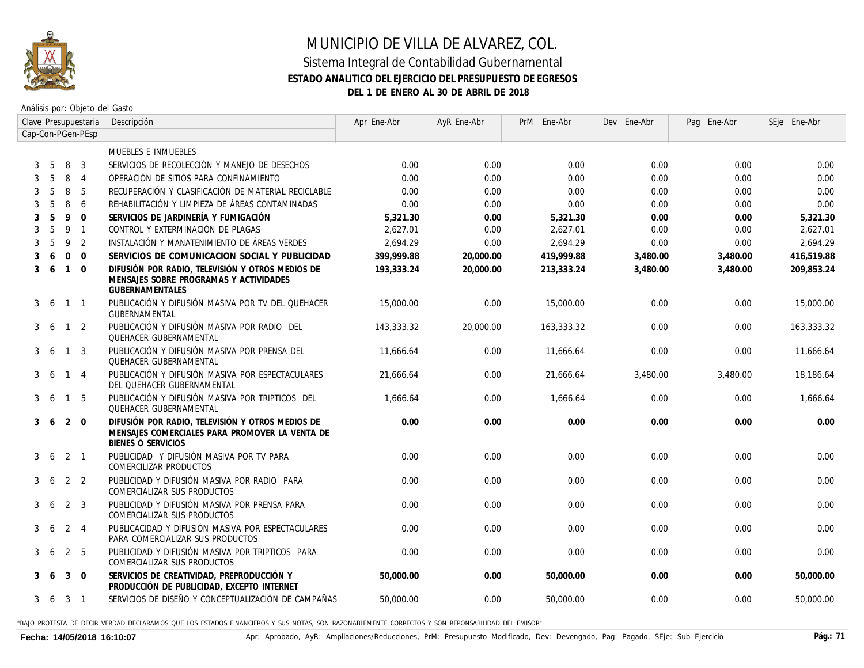

#### Sistema Integral de Contabilidad Gubernamental **ESTADO ANALITICO DEL EJERCICIO DEL PRESUPUESTO DE EGRESOS DEL 1 DE ENERO AL 30 DE ABRIL DE 2018**

Análisis por: Objeto del Gasto

|   |    |              | Clave Presupuestaria | Descripción                                                                                                                     | Apr Ene-Abr | AyR Ene-Abr | PrM Ene-Abr | Dev Ene-Abr | Pag Ene-Abr | SEje Ene-Abr |
|---|----|--------------|----------------------|---------------------------------------------------------------------------------------------------------------------------------|-------------|-------------|-------------|-------------|-------------|--------------|
|   |    |              | Cap-Con-PGen-PEsp    |                                                                                                                                 |             |             |             |             |             |              |
|   |    |              |                      | MUEBLES E INMUEBLES                                                                                                             |             |             |             |             |             |              |
|   | 5  | 8            | 3                    | SERVICIOS DE RECOLECCIÓN Y MANEJO DE DESECHOS                                                                                   | 0.00        | 0.00        | 0.00        | 0.00        | 0.00        | 0.00         |
|   | -5 | 8            | $\overline{4}$       | OPERACIÓN DE SITIOS PARA CONFINAMIENTO                                                                                          | 0.00        | 0.00        | 0.00        | 0.00        | 0.00        | 0.00         |
|   | -5 | 8            | 5                    | RECUPERACIÓN Y CLASIFICACIÓN DE MATERIAL RECICLABLE                                                                             | 0.00        | 0.00        | 0.00        | 0.00        | 0.00        | 0.00         |
|   | .5 | 8            | 6                    | REHABILITACIÓN Y LIMPIEZA DE ÁREAS CONTAMINADAS                                                                                 | 0.00        | 0.00        | 0.00        | 0.00        | 0.00        | 0.00         |
|   | -5 | 9            | $\Omega$             | SERVICIOS DE JARDINERÍA Y FUMIGACIÓN                                                                                            | 5,321.30    | 0.00        | 5,321.30    | 0.00        | 0.00        | 5,321.30     |
|   | 5  | 9            | $\overline{1}$       | CONTROL Y EXTERMINACIÓN DE PLAGAS                                                                                               | 2,627.01    | 0.00        | 2,627.01    | 0.00        | 0.00        | 2,627.01     |
|   | .5 | 9            | $\overline{2}$       | INSTALACIÓN Y MANATENIMIENTO DE ÁREAS VERDES                                                                                    | 2.694.29    | 0.00        | 2.694.29    | 0.00        | 0.00        | 2.694.29     |
|   | 6  | $\Omega$     | $\Omega$             | SERVICIOS DE COMUNICACION SOCIAL Y PUBLICIDAD                                                                                   | 399.999.88  | 20,000.00   | 419,999.88  | 3,480.00    | 3,480.00    | 416,519.88   |
| 3 | 6  | $\mathbf{1}$ | $\overline{0}$       | DIFUSIÓN POR RADIO, TELEVISIÓN Y OTROS MEDIOS DE<br>MENSAJES SOBRE PROGRAMAS Y ACTIVIDADES<br><b>GUBERNAMENTALES</b>            | 193,333.24  | 20,000.00   | 213,333.24  | 3,480.00    | 3,480.00    | 209,853.24   |
| 3 | -6 |              | $1 \quad 1$          | PUBLICACIÓN Y DIFUSIÓN MASIVA POR TV DEL QUEHACER<br>GUBERNAMENTAL                                                              | 15,000.00   | 0.00        | 15,000.00   | 0.00        | 0.00        | 15,000.00    |
| 3 | -6 | $\mathbf{1}$ | 2                    | PUBLICACIÓN Y DIFUSIÓN MASIVA POR RADIO  DEL<br><b>QUEHACER GUBERNAMENTAL</b>                                                   | 143,333.32  | 20,000.00   | 163,333.32  | 0.00        | 0.00        | 163,333.32   |
| 3 | -6 | $\mathbf{1}$ | 3                    | PUBLICACIÓN Y DIFUSIÓN MASIVA POR PRENSA DEL<br><b>QUEHACER GUBERNAMENTAL</b>                                                   | 11,666.64   | 0.00        | 11,666,64   | 0.00        | 0.00        | 11.666.64    |
| 3 | -6 | $\mathbf{1}$ | -4                   | PUBLICACIÓN Y DIFUSIÓN MASIVA POR ESPECTACULARES<br>DEL QUEHACER GUBERNAMENTAL                                                  | 21,666.64   | 0.00        | 21,666.64   | 3,480.00    | 3,480.00    | 18,186.64    |
| 3 | -6 | $\mathbf{1}$ | 5                    | PUBLICACIÓN Y DIFUSIÓN MASIVA POR TRIPTICOS DEL<br><b>QUEHACER GUBERNAMENTAL</b>                                                | 1,666,64    | 0.00        | 1,666,64    | 0.00        | 0.00        | 1,666.64     |
| 3 | -6 | 2            | $\overline{0}$       | DIFUSIÓN POR RADIO, TELEVISIÓN Y OTROS MEDIOS DE<br>MENSAJES COMERCIALES PARA PROMOVER LA VENTA DE<br><b>BIENES O SERVICIOS</b> | 0.00        | 0.00        | 0.00        | 0.00        | 0.00        | 0.00         |
| 3 | -6 | $2 \quad 1$  |                      | PUBLICIDAD Y DIFUSIÓN MASIVA POR TV PARA<br>COMERCILIZAR PRODUCTOS                                                              | 0.00        | 0.00        | 0.00        | 0.00        | 0.00        | 0.00         |
| 3 | -6 |              | 2 <sub>2</sub>       | PUBLICIDAD Y DIFUSIÓN MASIVA POR RADIO PARA<br>COMERCIALIZAR SUS PRODUCTOS                                                      | 0.00        | 0.00        | 0.00        | 0.00        | 0.00        | 0.00         |
| 3 | -6 | 2            | 3                    | PUBLICIDAD Y DIFUSIÓN MASIVA POR PRENSA PARA<br>COMERCIALIZAR SUS PRODUCTOS                                                     | 0.00        | 0.00        | 0.00        | 0.00        | 0.00        | 0.00         |
| 3 | -6 | $2 \quad 4$  |                      | PUBLICACIDAD Y DIFUSIÓN MASIVA POR ESPECTACULARES<br>PARA COMERCIALIZAR SUS PRODUCTOS                                           | 0.00        | 0.00        | 0.00        | 0.00        | 0.00        | 0.00         |
| 3 |    | 2            | 5                    | PUBLICIDAD Y DIFUSIÓN MASIVA POR TRIPTICOS PARA<br>COMERCIALIZAR SUS PRODUCTOS                                                  | 0.00        | 0.00        | 0.00        | 0.00        | 0.00        | 0.00         |
| 3 | -6 | 3            | $\overline{0}$       | SERVICIOS DE CREATIVIDAD, PREPRODUCCIÓN Y<br>PRODUCCIÓN DE PUBLICIDAD, EXCEPTO INTERNET                                         | 50,000.00   | 0.00        | 50,000.00   | 0.00        | 0.00        | 50,000.00    |
| 3 | -6 | $3 \quad 1$  |                      | SERVICIOS DE DISEÑO Y CONCEPTUALIZACIÓN DE CAMPAÑAS                                                                             | 50.000.00   | 0.00        | 50,000,00   | 0.00        | 0.00        | 50.000.00    |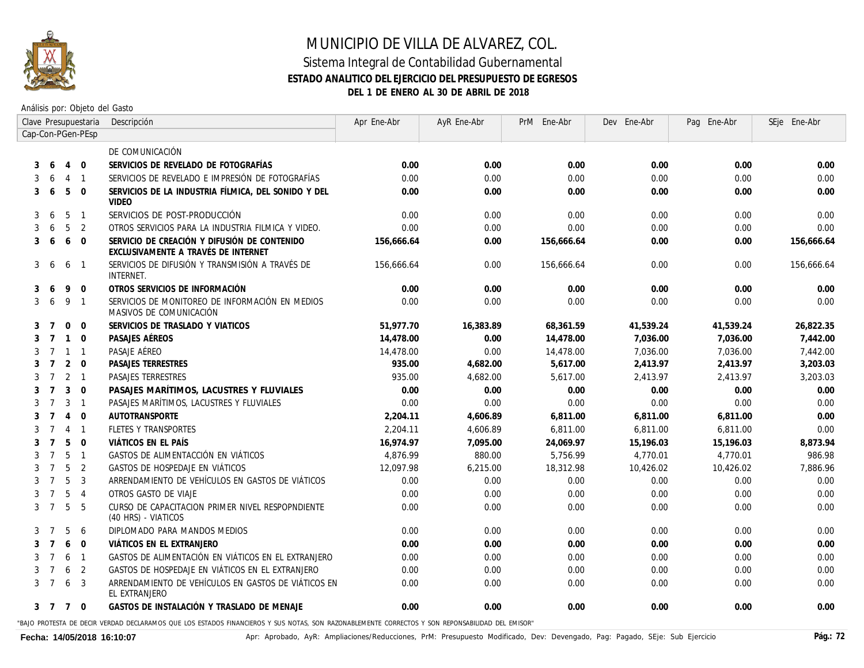

#### Sistema Integral de Contabilidad Gubernamental **ESTADO ANALITICO DEL EJERCICIO DEL PRESUPUESTO DE EGRESOS DEL 1 DE ENERO AL 30 DE ABRIL DE 2018**

Análisis por: Objeto del Gasto

| Cap-Con-PGen-PEsp<br>DE COMUNICACIÓN<br>$\mathbf{0}$<br>SERVICIOS DE REVELADO DE FOTOGRAFÍAS<br>0.00<br>0.00<br>$\overline{4}$<br>0.00<br>0.00<br>0.00<br>6<br>3<br>SERVICIOS DE REVELADO E IMPRESIÓN DE FOTOGRAFÍAS<br>0.00<br>0.00<br>0.00<br>0.00<br>0.00<br>$\overline{4}$<br>$\overline{1}$<br>6<br>5<br>$\Omega$<br>SERVICIOS DE LA INDUSTRIA FÍLMICA, DEL SONIDO Y DEL<br>0.00<br>0.00<br>0.00<br>0.00<br>0.00<br>3<br>6<br><b>VIDEO</b><br>5<br>SERVICIOS DE POST-PRODUCCIÓN<br>0.00<br>0.00<br>0.00<br>0.00<br>$\overline{1}$<br>0.00<br>3<br>6<br>5<br>$\overline{2}$<br>OTROS SERVICIOS PARA LA INDUSTRIA FILMICA Y VIDEO.<br>0.00<br>0.00<br>0.00<br>0.00<br>0.00<br>6<br>6<br>SERVICIO DE CREACIÓN Y DIFUSIÓN DE CONTENIDO<br>0.00<br>0.00<br>$\Omega$<br>156,666.64<br>156,666.64<br>0.00<br>3<br>-6<br>EXCLUSIVAMENTE A TRAVÉS DE INTERNET<br>SERVICIOS DE DIFUSIÓN Y TRANSMISIÓN A TRAVÉS DE<br>0.00<br>0.00<br>0.00<br>3<br>6<br>$\overline{1}$<br>156,666,64<br>156,666.64<br>6<br><i>INTERNET.</i><br>OTROS SERVICIOS DE INFORMACIÓN<br>0.00<br>0.00<br>0.00<br>0.00<br>0.00<br>9<br>$\mathbf 0$<br>-6<br>9<br>SERVICIOS DE MONITOREO DE INFORMACIÓN EN MEDIOS<br>0.00<br>$\overline{1}$<br>0.00<br>0.00<br>0.00<br>0.00<br>3<br>-6<br>MASIVOS DE COMUNICACIÓN<br>SERVICIOS DE TRASLADO Y VIATICOS<br>51,977.70<br>$\Omega$<br>$\Omega$<br>16,383.89<br>68,361.59<br>41,539.24<br>41,539.24<br>7<br>3<br>$\Omega$<br>PASAJES AÉREOS<br>0.00<br>14,478.00<br>7,036.00<br>7,036.00<br>$\mathbf{1}$<br>14,478.00<br>3<br>$\overline{7}$<br>PASAJE AÉREO<br>14,478.00<br>7,036.00<br>7,036.00<br>$\mathbf{1}$<br>$\sqrt{1}$<br>14,478.00<br>0.00<br>$\overline{7}$<br>3<br>2<br>$\Omega$<br><b>PASAJES TERRESTRES</b><br>935.00<br>4,682.00<br>5.617.00<br>2,413.97<br>2,413.97<br>$\overline{7}$<br><b>PASAJES TERRESTRES</b><br>$2 \quad 1$<br>935.00<br>4.682.00<br>5.617.00<br>2.413.97<br>2.413.97<br>$\overline{7}$<br>3<br>0.00<br>0.00<br>3<br>$\overline{0}$<br>PASAJES MARÍTIMOS, LACUSTRES Y FLUVIALES<br>0.00<br>0.00<br>0.00<br>3<br>PASAJES MARÍTIMOS, LACUSTRES Y FLUVIALES<br>0.00<br>0.00<br>0.00<br>0.00<br>0.00<br>$\overline{7}$<br>$\overline{1}$<br>$\overline{0}$<br><b>AUTOTRANSPORTE</b><br>2,204.11<br>4,606.89<br>6,811.00<br>6,811.00<br>6,811.00<br>$\overline{7}$<br>$\overline{4}$<br>FLETES Y TRANSPORTES<br>2,204.11<br>4,606.89<br>$\overline{4}$<br>$\overline{1}$<br>6,811.00<br>6,811.00<br>6,811.00<br>$\overline{7}$<br>5<br>$\Omega$<br>VIÁTICOS EN EL PAÍS<br>16.974.97<br>7.095.00<br>$\overline{7}$<br>24.069.97<br>15,196.03<br>15.196.03<br>3<br>5<br>880.00<br>$\overline{1}$<br>GASTOS DE ALIMENTACCIÓN EN VIÁTICOS<br>4.876.99<br>5,756,99<br>4.770.01<br>4.770.01<br>7<br>3<br>5<br>$\overline{2}$<br>GASTOS DE HOSPEDAJE EN VIÁTICOS<br>12,097.98<br>6,215.00<br>18,312.98<br>10,426.02<br>10,426.02<br>$\overline{7}$<br>5<br>$\overline{3}$<br>ARRENDAMIENTO DE VEHÍCULOS EN GASTOS DE VIÁTICOS<br>0.00<br>0.00<br>$\overline{7}$<br>0.00<br>0.00<br>0.00<br>5<br>$\overline{4}$<br>OTROS GASTO DE VIAJE<br>0.00<br>0.00<br>0.00<br>0.00<br>0.00<br>$\overline{7}$<br>5<br>5<br>CURSO DE CAPACITACION PRIMER NIVEL RESPOPNDIENTE<br>0.00<br>0.00<br>0.00<br>0.00<br>0.00<br>3<br>$\overline{7}$<br>(40 HRS) - VIATICOS<br>5<br>0.00<br>0.00<br>0.00<br>-6<br>DIPLOMADO PARA MANDOS MEDIOS<br>0.00<br>0.00<br>7<br>6<br>$\Omega$<br>VIÁTICOS EN EL EXTRANJERO<br>0.00<br>0.00<br>0.00<br>0.00<br>0.00<br>$\overline{7}$<br>GASTOS DE ALIMENTACIÓN EN VIÁTICOS EN EL EXTRANJERO<br>6<br>$\overline{1}$<br>0.00<br>0.00<br>0.00<br>0.00<br>0.00<br>7<br>GASTOS DE HOSPEDAJE EN VIÁTICOS EN EL EXTRANJERO<br>6<br>2<br>0.00<br>0.00<br>0.00<br>0.00<br>0.00<br>$\overline{7}$<br>ARRENDAMIENTO DE VEHÍCULOS EN GASTOS DE VIÁTICOS EN<br>6<br>3<br>0.00<br>0.00<br>0.00<br>0.00<br>0.00<br>$\overline{7}$<br>3<br>EL EXTRANJERO<br>GASTOS DE INSTALACIÓN Y TRASLADO DE MENAJE<br>0.00<br>3 7 7<br>$\overline{0}$<br>0.00<br>0.00<br>0.00<br>0.00 | Clave Presupuestaria |  | Descripción | Apr Ene-Abr | AyR Ene-Abr | PrM Ene-Abr | Dev Ene-Abr | Pag Ene-Abr | SEje Ene-Abr |
|----------------------------------------------------------------------------------------------------------------------------------------------------------------------------------------------------------------------------------------------------------------------------------------------------------------------------------------------------------------------------------------------------------------------------------------------------------------------------------------------------------------------------------------------------------------------------------------------------------------------------------------------------------------------------------------------------------------------------------------------------------------------------------------------------------------------------------------------------------------------------------------------------------------------------------------------------------------------------------------------------------------------------------------------------------------------------------------------------------------------------------------------------------------------------------------------------------------------------------------------------------------------------------------------------------------------------------------------------------------------------------------------------------------------------------------------------------------------------------------------------------------------------------------------------------------------------------------------------------------------------------------------------------------------------------------------------------------------------------------------------------------------------------------------------------------------------------------------------------------------------------------------------------------------------------------------------------------------------------------------------------------------------------------------------------------------------------------------------------------------------------------------------------------------------------------------------------------------------------------------------------------------------------------------------------------------------------------------------------------------------------------------------------------------------------------------------------------------------------------------------------------------------------------------------------------------------------------------------------------------------------------------------------------------------------------------------------------------------------------------------------------------------------------------------------------------------------------------------------------------------------------------------------------------------------------------------------------------------------------------------------------------------------------------------------------------------------------------------------------------------------------------------------------------------------------------------------------------------------------------------------------------------------------------------------------------------------------------------------------------------------------------------------------------------------------------------------------------------------------------------------------------------------------------------------------------------------------------------------------------------------------------------------------------------------------------------------------------------------------------------------------------------------------------------------------------------------------------------------------------------------------------------------------------------------------------------------------------------------------------------------------|----------------------|--|-------------|-------------|-------------|-------------|-------------|-------------|--------------|
|                                                                                                                                                                                                                                                                                                                                                                                                                                                                                                                                                                                                                                                                                                                                                                                                                                                                                                                                                                                                                                                                                                                                                                                                                                                                                                                                                                                                                                                                                                                                                                                                                                                                                                                                                                                                                                                                                                                                                                                                                                                                                                                                                                                                                                                                                                                                                                                                                                                                                                                                                                                                                                                                                                                                                                                                                                                                                                                                                                                                                                                                                                                                                                                                                                                                                                                                                                                                                                                                                                                                                                                                                                                                                                                                                                                                                                                                                                                                                                                                                |                      |  |             |             |             |             |             |             |              |
|                                                                                                                                                                                                                                                                                                                                                                                                                                                                                                                                                                                                                                                                                                                                                                                                                                                                                                                                                                                                                                                                                                                                                                                                                                                                                                                                                                                                                                                                                                                                                                                                                                                                                                                                                                                                                                                                                                                                                                                                                                                                                                                                                                                                                                                                                                                                                                                                                                                                                                                                                                                                                                                                                                                                                                                                                                                                                                                                                                                                                                                                                                                                                                                                                                                                                                                                                                                                                                                                                                                                                                                                                                                                                                                                                                                                                                                                                                                                                                                                                |                      |  |             |             |             |             |             |             |              |
|                                                                                                                                                                                                                                                                                                                                                                                                                                                                                                                                                                                                                                                                                                                                                                                                                                                                                                                                                                                                                                                                                                                                                                                                                                                                                                                                                                                                                                                                                                                                                                                                                                                                                                                                                                                                                                                                                                                                                                                                                                                                                                                                                                                                                                                                                                                                                                                                                                                                                                                                                                                                                                                                                                                                                                                                                                                                                                                                                                                                                                                                                                                                                                                                                                                                                                                                                                                                                                                                                                                                                                                                                                                                                                                                                                                                                                                                                                                                                                                                                |                      |  |             |             |             |             |             |             | 0.00         |
|                                                                                                                                                                                                                                                                                                                                                                                                                                                                                                                                                                                                                                                                                                                                                                                                                                                                                                                                                                                                                                                                                                                                                                                                                                                                                                                                                                                                                                                                                                                                                                                                                                                                                                                                                                                                                                                                                                                                                                                                                                                                                                                                                                                                                                                                                                                                                                                                                                                                                                                                                                                                                                                                                                                                                                                                                                                                                                                                                                                                                                                                                                                                                                                                                                                                                                                                                                                                                                                                                                                                                                                                                                                                                                                                                                                                                                                                                                                                                                                                                |                      |  |             |             |             |             |             |             | 0.00         |
|                                                                                                                                                                                                                                                                                                                                                                                                                                                                                                                                                                                                                                                                                                                                                                                                                                                                                                                                                                                                                                                                                                                                                                                                                                                                                                                                                                                                                                                                                                                                                                                                                                                                                                                                                                                                                                                                                                                                                                                                                                                                                                                                                                                                                                                                                                                                                                                                                                                                                                                                                                                                                                                                                                                                                                                                                                                                                                                                                                                                                                                                                                                                                                                                                                                                                                                                                                                                                                                                                                                                                                                                                                                                                                                                                                                                                                                                                                                                                                                                                |                      |  |             |             |             |             |             |             | 0.00         |
|                                                                                                                                                                                                                                                                                                                                                                                                                                                                                                                                                                                                                                                                                                                                                                                                                                                                                                                                                                                                                                                                                                                                                                                                                                                                                                                                                                                                                                                                                                                                                                                                                                                                                                                                                                                                                                                                                                                                                                                                                                                                                                                                                                                                                                                                                                                                                                                                                                                                                                                                                                                                                                                                                                                                                                                                                                                                                                                                                                                                                                                                                                                                                                                                                                                                                                                                                                                                                                                                                                                                                                                                                                                                                                                                                                                                                                                                                                                                                                                                                |                      |  |             |             |             |             |             |             | 0.00         |
|                                                                                                                                                                                                                                                                                                                                                                                                                                                                                                                                                                                                                                                                                                                                                                                                                                                                                                                                                                                                                                                                                                                                                                                                                                                                                                                                                                                                                                                                                                                                                                                                                                                                                                                                                                                                                                                                                                                                                                                                                                                                                                                                                                                                                                                                                                                                                                                                                                                                                                                                                                                                                                                                                                                                                                                                                                                                                                                                                                                                                                                                                                                                                                                                                                                                                                                                                                                                                                                                                                                                                                                                                                                                                                                                                                                                                                                                                                                                                                                                                |                      |  |             |             |             |             |             |             | 0.00         |
|                                                                                                                                                                                                                                                                                                                                                                                                                                                                                                                                                                                                                                                                                                                                                                                                                                                                                                                                                                                                                                                                                                                                                                                                                                                                                                                                                                                                                                                                                                                                                                                                                                                                                                                                                                                                                                                                                                                                                                                                                                                                                                                                                                                                                                                                                                                                                                                                                                                                                                                                                                                                                                                                                                                                                                                                                                                                                                                                                                                                                                                                                                                                                                                                                                                                                                                                                                                                                                                                                                                                                                                                                                                                                                                                                                                                                                                                                                                                                                                                                |                      |  |             |             |             |             |             |             | 156,666.64   |
|                                                                                                                                                                                                                                                                                                                                                                                                                                                                                                                                                                                                                                                                                                                                                                                                                                                                                                                                                                                                                                                                                                                                                                                                                                                                                                                                                                                                                                                                                                                                                                                                                                                                                                                                                                                                                                                                                                                                                                                                                                                                                                                                                                                                                                                                                                                                                                                                                                                                                                                                                                                                                                                                                                                                                                                                                                                                                                                                                                                                                                                                                                                                                                                                                                                                                                                                                                                                                                                                                                                                                                                                                                                                                                                                                                                                                                                                                                                                                                                                                |                      |  |             |             |             |             |             |             | 156,666.64   |
|                                                                                                                                                                                                                                                                                                                                                                                                                                                                                                                                                                                                                                                                                                                                                                                                                                                                                                                                                                                                                                                                                                                                                                                                                                                                                                                                                                                                                                                                                                                                                                                                                                                                                                                                                                                                                                                                                                                                                                                                                                                                                                                                                                                                                                                                                                                                                                                                                                                                                                                                                                                                                                                                                                                                                                                                                                                                                                                                                                                                                                                                                                                                                                                                                                                                                                                                                                                                                                                                                                                                                                                                                                                                                                                                                                                                                                                                                                                                                                                                                |                      |  |             |             |             |             |             |             | 0.00         |
|                                                                                                                                                                                                                                                                                                                                                                                                                                                                                                                                                                                                                                                                                                                                                                                                                                                                                                                                                                                                                                                                                                                                                                                                                                                                                                                                                                                                                                                                                                                                                                                                                                                                                                                                                                                                                                                                                                                                                                                                                                                                                                                                                                                                                                                                                                                                                                                                                                                                                                                                                                                                                                                                                                                                                                                                                                                                                                                                                                                                                                                                                                                                                                                                                                                                                                                                                                                                                                                                                                                                                                                                                                                                                                                                                                                                                                                                                                                                                                                                                |                      |  |             |             |             |             |             |             | 0.00         |
|                                                                                                                                                                                                                                                                                                                                                                                                                                                                                                                                                                                                                                                                                                                                                                                                                                                                                                                                                                                                                                                                                                                                                                                                                                                                                                                                                                                                                                                                                                                                                                                                                                                                                                                                                                                                                                                                                                                                                                                                                                                                                                                                                                                                                                                                                                                                                                                                                                                                                                                                                                                                                                                                                                                                                                                                                                                                                                                                                                                                                                                                                                                                                                                                                                                                                                                                                                                                                                                                                                                                                                                                                                                                                                                                                                                                                                                                                                                                                                                                                |                      |  |             |             |             |             |             |             | 26,822.35    |
|                                                                                                                                                                                                                                                                                                                                                                                                                                                                                                                                                                                                                                                                                                                                                                                                                                                                                                                                                                                                                                                                                                                                                                                                                                                                                                                                                                                                                                                                                                                                                                                                                                                                                                                                                                                                                                                                                                                                                                                                                                                                                                                                                                                                                                                                                                                                                                                                                                                                                                                                                                                                                                                                                                                                                                                                                                                                                                                                                                                                                                                                                                                                                                                                                                                                                                                                                                                                                                                                                                                                                                                                                                                                                                                                                                                                                                                                                                                                                                                                                |                      |  |             |             |             |             |             |             | 7,442.00     |
|                                                                                                                                                                                                                                                                                                                                                                                                                                                                                                                                                                                                                                                                                                                                                                                                                                                                                                                                                                                                                                                                                                                                                                                                                                                                                                                                                                                                                                                                                                                                                                                                                                                                                                                                                                                                                                                                                                                                                                                                                                                                                                                                                                                                                                                                                                                                                                                                                                                                                                                                                                                                                                                                                                                                                                                                                                                                                                                                                                                                                                                                                                                                                                                                                                                                                                                                                                                                                                                                                                                                                                                                                                                                                                                                                                                                                                                                                                                                                                                                                |                      |  |             |             |             |             |             |             | 7,442.00     |
|                                                                                                                                                                                                                                                                                                                                                                                                                                                                                                                                                                                                                                                                                                                                                                                                                                                                                                                                                                                                                                                                                                                                                                                                                                                                                                                                                                                                                                                                                                                                                                                                                                                                                                                                                                                                                                                                                                                                                                                                                                                                                                                                                                                                                                                                                                                                                                                                                                                                                                                                                                                                                                                                                                                                                                                                                                                                                                                                                                                                                                                                                                                                                                                                                                                                                                                                                                                                                                                                                                                                                                                                                                                                                                                                                                                                                                                                                                                                                                                                                |                      |  |             |             |             |             |             |             | 3,203.03     |
|                                                                                                                                                                                                                                                                                                                                                                                                                                                                                                                                                                                                                                                                                                                                                                                                                                                                                                                                                                                                                                                                                                                                                                                                                                                                                                                                                                                                                                                                                                                                                                                                                                                                                                                                                                                                                                                                                                                                                                                                                                                                                                                                                                                                                                                                                                                                                                                                                                                                                                                                                                                                                                                                                                                                                                                                                                                                                                                                                                                                                                                                                                                                                                                                                                                                                                                                                                                                                                                                                                                                                                                                                                                                                                                                                                                                                                                                                                                                                                                                                |                      |  |             |             |             |             |             |             | 3,203.03     |
|                                                                                                                                                                                                                                                                                                                                                                                                                                                                                                                                                                                                                                                                                                                                                                                                                                                                                                                                                                                                                                                                                                                                                                                                                                                                                                                                                                                                                                                                                                                                                                                                                                                                                                                                                                                                                                                                                                                                                                                                                                                                                                                                                                                                                                                                                                                                                                                                                                                                                                                                                                                                                                                                                                                                                                                                                                                                                                                                                                                                                                                                                                                                                                                                                                                                                                                                                                                                                                                                                                                                                                                                                                                                                                                                                                                                                                                                                                                                                                                                                |                      |  |             |             |             |             |             |             | 0.00         |
|                                                                                                                                                                                                                                                                                                                                                                                                                                                                                                                                                                                                                                                                                                                                                                                                                                                                                                                                                                                                                                                                                                                                                                                                                                                                                                                                                                                                                                                                                                                                                                                                                                                                                                                                                                                                                                                                                                                                                                                                                                                                                                                                                                                                                                                                                                                                                                                                                                                                                                                                                                                                                                                                                                                                                                                                                                                                                                                                                                                                                                                                                                                                                                                                                                                                                                                                                                                                                                                                                                                                                                                                                                                                                                                                                                                                                                                                                                                                                                                                                |                      |  |             |             |             |             |             |             | 0.00         |
|                                                                                                                                                                                                                                                                                                                                                                                                                                                                                                                                                                                                                                                                                                                                                                                                                                                                                                                                                                                                                                                                                                                                                                                                                                                                                                                                                                                                                                                                                                                                                                                                                                                                                                                                                                                                                                                                                                                                                                                                                                                                                                                                                                                                                                                                                                                                                                                                                                                                                                                                                                                                                                                                                                                                                                                                                                                                                                                                                                                                                                                                                                                                                                                                                                                                                                                                                                                                                                                                                                                                                                                                                                                                                                                                                                                                                                                                                                                                                                                                                |                      |  |             |             |             |             |             |             | 0.00         |
|                                                                                                                                                                                                                                                                                                                                                                                                                                                                                                                                                                                                                                                                                                                                                                                                                                                                                                                                                                                                                                                                                                                                                                                                                                                                                                                                                                                                                                                                                                                                                                                                                                                                                                                                                                                                                                                                                                                                                                                                                                                                                                                                                                                                                                                                                                                                                                                                                                                                                                                                                                                                                                                                                                                                                                                                                                                                                                                                                                                                                                                                                                                                                                                                                                                                                                                                                                                                                                                                                                                                                                                                                                                                                                                                                                                                                                                                                                                                                                                                                |                      |  |             |             |             |             |             |             | 0.00         |
|                                                                                                                                                                                                                                                                                                                                                                                                                                                                                                                                                                                                                                                                                                                                                                                                                                                                                                                                                                                                                                                                                                                                                                                                                                                                                                                                                                                                                                                                                                                                                                                                                                                                                                                                                                                                                                                                                                                                                                                                                                                                                                                                                                                                                                                                                                                                                                                                                                                                                                                                                                                                                                                                                                                                                                                                                                                                                                                                                                                                                                                                                                                                                                                                                                                                                                                                                                                                                                                                                                                                                                                                                                                                                                                                                                                                                                                                                                                                                                                                                |                      |  |             |             |             |             |             |             | 8.873.94     |
|                                                                                                                                                                                                                                                                                                                                                                                                                                                                                                                                                                                                                                                                                                                                                                                                                                                                                                                                                                                                                                                                                                                                                                                                                                                                                                                                                                                                                                                                                                                                                                                                                                                                                                                                                                                                                                                                                                                                                                                                                                                                                                                                                                                                                                                                                                                                                                                                                                                                                                                                                                                                                                                                                                                                                                                                                                                                                                                                                                                                                                                                                                                                                                                                                                                                                                                                                                                                                                                                                                                                                                                                                                                                                                                                                                                                                                                                                                                                                                                                                |                      |  |             |             |             |             |             |             | 986,98       |
|                                                                                                                                                                                                                                                                                                                                                                                                                                                                                                                                                                                                                                                                                                                                                                                                                                                                                                                                                                                                                                                                                                                                                                                                                                                                                                                                                                                                                                                                                                                                                                                                                                                                                                                                                                                                                                                                                                                                                                                                                                                                                                                                                                                                                                                                                                                                                                                                                                                                                                                                                                                                                                                                                                                                                                                                                                                                                                                                                                                                                                                                                                                                                                                                                                                                                                                                                                                                                                                                                                                                                                                                                                                                                                                                                                                                                                                                                                                                                                                                                |                      |  |             |             |             |             |             |             | 7,886.96     |
|                                                                                                                                                                                                                                                                                                                                                                                                                                                                                                                                                                                                                                                                                                                                                                                                                                                                                                                                                                                                                                                                                                                                                                                                                                                                                                                                                                                                                                                                                                                                                                                                                                                                                                                                                                                                                                                                                                                                                                                                                                                                                                                                                                                                                                                                                                                                                                                                                                                                                                                                                                                                                                                                                                                                                                                                                                                                                                                                                                                                                                                                                                                                                                                                                                                                                                                                                                                                                                                                                                                                                                                                                                                                                                                                                                                                                                                                                                                                                                                                                |                      |  |             |             |             |             |             |             | 0.00         |
|                                                                                                                                                                                                                                                                                                                                                                                                                                                                                                                                                                                                                                                                                                                                                                                                                                                                                                                                                                                                                                                                                                                                                                                                                                                                                                                                                                                                                                                                                                                                                                                                                                                                                                                                                                                                                                                                                                                                                                                                                                                                                                                                                                                                                                                                                                                                                                                                                                                                                                                                                                                                                                                                                                                                                                                                                                                                                                                                                                                                                                                                                                                                                                                                                                                                                                                                                                                                                                                                                                                                                                                                                                                                                                                                                                                                                                                                                                                                                                                                                |                      |  |             |             |             |             |             |             | 0.00         |
|                                                                                                                                                                                                                                                                                                                                                                                                                                                                                                                                                                                                                                                                                                                                                                                                                                                                                                                                                                                                                                                                                                                                                                                                                                                                                                                                                                                                                                                                                                                                                                                                                                                                                                                                                                                                                                                                                                                                                                                                                                                                                                                                                                                                                                                                                                                                                                                                                                                                                                                                                                                                                                                                                                                                                                                                                                                                                                                                                                                                                                                                                                                                                                                                                                                                                                                                                                                                                                                                                                                                                                                                                                                                                                                                                                                                                                                                                                                                                                                                                |                      |  |             |             |             |             |             |             | 0.00         |
|                                                                                                                                                                                                                                                                                                                                                                                                                                                                                                                                                                                                                                                                                                                                                                                                                                                                                                                                                                                                                                                                                                                                                                                                                                                                                                                                                                                                                                                                                                                                                                                                                                                                                                                                                                                                                                                                                                                                                                                                                                                                                                                                                                                                                                                                                                                                                                                                                                                                                                                                                                                                                                                                                                                                                                                                                                                                                                                                                                                                                                                                                                                                                                                                                                                                                                                                                                                                                                                                                                                                                                                                                                                                                                                                                                                                                                                                                                                                                                                                                |                      |  |             |             |             |             |             |             | 0.00         |
|                                                                                                                                                                                                                                                                                                                                                                                                                                                                                                                                                                                                                                                                                                                                                                                                                                                                                                                                                                                                                                                                                                                                                                                                                                                                                                                                                                                                                                                                                                                                                                                                                                                                                                                                                                                                                                                                                                                                                                                                                                                                                                                                                                                                                                                                                                                                                                                                                                                                                                                                                                                                                                                                                                                                                                                                                                                                                                                                                                                                                                                                                                                                                                                                                                                                                                                                                                                                                                                                                                                                                                                                                                                                                                                                                                                                                                                                                                                                                                                                                |                      |  |             |             |             |             |             |             | 0.00         |
|                                                                                                                                                                                                                                                                                                                                                                                                                                                                                                                                                                                                                                                                                                                                                                                                                                                                                                                                                                                                                                                                                                                                                                                                                                                                                                                                                                                                                                                                                                                                                                                                                                                                                                                                                                                                                                                                                                                                                                                                                                                                                                                                                                                                                                                                                                                                                                                                                                                                                                                                                                                                                                                                                                                                                                                                                                                                                                                                                                                                                                                                                                                                                                                                                                                                                                                                                                                                                                                                                                                                                                                                                                                                                                                                                                                                                                                                                                                                                                                                                |                      |  |             |             |             |             |             |             | 0.00         |
|                                                                                                                                                                                                                                                                                                                                                                                                                                                                                                                                                                                                                                                                                                                                                                                                                                                                                                                                                                                                                                                                                                                                                                                                                                                                                                                                                                                                                                                                                                                                                                                                                                                                                                                                                                                                                                                                                                                                                                                                                                                                                                                                                                                                                                                                                                                                                                                                                                                                                                                                                                                                                                                                                                                                                                                                                                                                                                                                                                                                                                                                                                                                                                                                                                                                                                                                                                                                                                                                                                                                                                                                                                                                                                                                                                                                                                                                                                                                                                                                                |                      |  |             |             |             |             |             |             | 0.00         |
|                                                                                                                                                                                                                                                                                                                                                                                                                                                                                                                                                                                                                                                                                                                                                                                                                                                                                                                                                                                                                                                                                                                                                                                                                                                                                                                                                                                                                                                                                                                                                                                                                                                                                                                                                                                                                                                                                                                                                                                                                                                                                                                                                                                                                                                                                                                                                                                                                                                                                                                                                                                                                                                                                                                                                                                                                                                                                                                                                                                                                                                                                                                                                                                                                                                                                                                                                                                                                                                                                                                                                                                                                                                                                                                                                                                                                                                                                                                                                                                                                |                      |  |             |             |             |             |             |             | 0.00         |
|                                                                                                                                                                                                                                                                                                                                                                                                                                                                                                                                                                                                                                                                                                                                                                                                                                                                                                                                                                                                                                                                                                                                                                                                                                                                                                                                                                                                                                                                                                                                                                                                                                                                                                                                                                                                                                                                                                                                                                                                                                                                                                                                                                                                                                                                                                                                                                                                                                                                                                                                                                                                                                                                                                                                                                                                                                                                                                                                                                                                                                                                                                                                                                                                                                                                                                                                                                                                                                                                                                                                                                                                                                                                                                                                                                                                                                                                                                                                                                                                                |                      |  |             |             |             |             |             |             | 0.00         |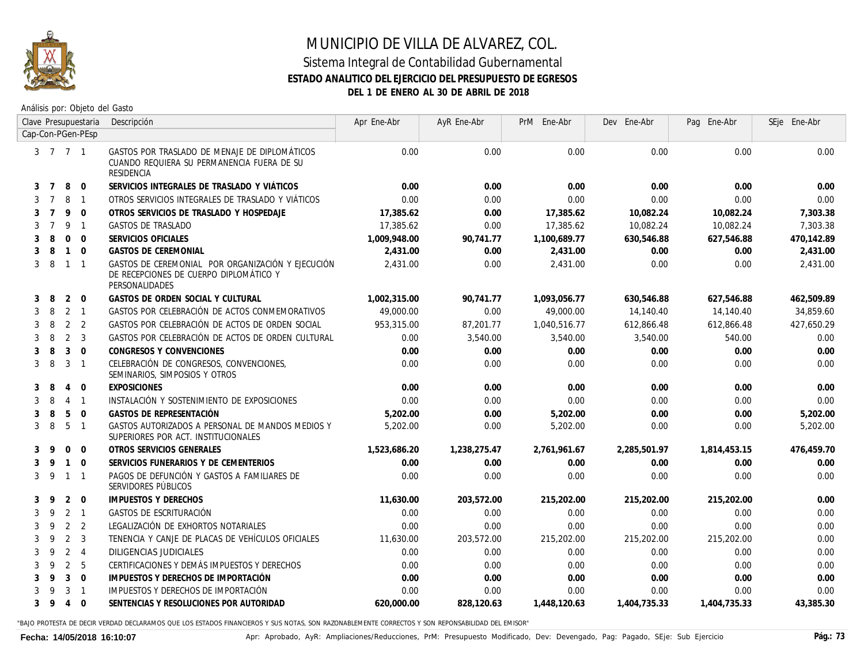

Análisis por: Objeto del Gasto

|   |                |                | Clave Presupuestaria     | Descripción                                                                                                   | Apr Ene-Abr  | AyR Ene-Abr  | PrM Ene-Abr  | Dev Ene-Abr  | Pag Ene-Abr  | SEje Ene-Abr |
|---|----------------|----------------|--------------------------|---------------------------------------------------------------------------------------------------------------|--------------|--------------|--------------|--------------|--------------|--------------|
|   |                |                | Cap-Con-PGen-PEsp        |                                                                                                               |              |              |              |              |              |              |
|   | 3 7 7 1        |                |                          | GASTOS POR TRASLADO DE MENAJE DE DIPLOMÁTICOS<br>CUANDO REQUIERA SU PERMANENCIA FUERA DE SU<br>RESIDENCIA     | 0.00         | 0.00         | 0.00         | 0.00         | 0.00         | 0.00         |
| 3 | $\overline{7}$ | 8              | $\mathbf 0$              | SERVICIOS INTEGRALES DE TRASLADO Y VIÁTICOS                                                                   | 0.00         | 0.00         | 0.00         | 0.00         | 0.00         | 0.00         |
| 3 | $\overline{7}$ | 8              | $\overline{1}$           | OTROS SERVICIOS INTEGRALES DE TRASLADO Y VIÁTICOS                                                             | 0.00         | 0.00         | 0.00         | 0.00         | 0.00         | 0.00         |
| 3 | $\overline{7}$ | 9              | $\overline{0}$           | OTROS SERVICIOS DE TRASLADO Y HOSPEDAJE                                                                       | 17,385.62    | 0.00         | 17,385.62    | 10,082.24    | 10,082.24    | 7,303.38     |
| 3 | $\overline{7}$ | 9              | $\overline{1}$           | GASTOS DE TRASLADO                                                                                            | 17,385.62    | 0.00         | 17.385.62    | 10,082.24    | 10,082.24    | 7,303.38     |
| 3 | 8              | $\mathbf{0}$   | $\overline{0}$           | SERVICIOS OFICIALES                                                                                           | 1,009,948.00 | 90,741.77    | 1,100,689.77 | 630,546.88   | 627,546.88   | 470,142.89   |
| 3 | 8              | $\overline{1}$ | $\overline{0}$           | <b>GASTOS DE CEREMONIAL</b>                                                                                   | 2,431.00     | 0.00         | 2,431.00     | 0.00         | 0.00         | 2,431.00     |
| 3 | -8             | $\overline{1}$ | $\overline{1}$           | GASTOS DE CEREMONIAL POR ORGANIZACIÓN Y EJECUCIÓN<br>DE RECEPCIONES DE CUERPO DIPLOMÁTICO Y<br>PERSONALIDADES | 2,431.00     | 0.00         | 2,431.00     | 0.00         | 0.00         | 2,431.00     |
| 3 | 8              | 2 0            |                          | GASTOS DE ORDEN SOCIAL Y CULTURAL                                                                             | 1,002,315.00 | 90.741.77    | 1,093,056.77 | 630,546.88   | 627,546.88   | 462,509.89   |
| 3 | 8              | $2 \quad 1$    |                          | GASTOS POR CELEBRACIÓN DE ACTOS CONMEMORATIVOS                                                                | 49,000.00    | 0.00         | 49,000.00    | 14,140.40    | 14,140.40    | 34,859.60    |
| 3 | 8              | 2 <sub>2</sub> |                          | GASTOS POR CELEBRACIÓN DE ACTOS DE ORDEN SOCIAL                                                               | 953,315.00   | 87,201.77    | 1,040,516.77 | 612,866.48   | 612,866.48   | 427,650.29   |
| 3 | 8              | 2 <sup>3</sup> |                          | GASTOS POR CELEBRACIÓN DE ACTOS DE ORDEN CULTURAL                                                             | 0.00         | 3,540.00     | 3,540.00     | 3,540.00     | 540.00       | 0.00         |
| 3 | 8              | 3              | $\overline{0}$           | CONGRESOS Y CONVENCIONES                                                                                      | 0.00         | 0.00         | 0.00         | 0.00         | 0.00         | 0.00         |
| 3 | 8              | 3              | $\overline{\phantom{0}}$ | CELEBRACIÓN DE CONGRESOS, CONVENCIONES,<br>SEMINARIOS, SIMPOSIOS Y OTROS                                      | 0.00         | 0.00         | 0.00         | 0.00         | 0.00         | 0.00         |
| 3 | 8              | 4              | $\overline{0}$           | <b>EXPOSICIONES</b>                                                                                           | 0.00         | 0.00         | 0.00         | 0.00         | 0.00         | 0.00         |
| 3 | 8              | $\overline{4}$ | $\overline{1}$           | INSTALACIÓN Y SOSTENIMIENTO DE EXPOSICIONES                                                                   | 0.00         | 0.00         | 0.00         | 0.00         | 0.00         | 0.00         |
| 3 | 8              | 5              | $\overline{0}$           | GASTOS DE REPRESENTACIÓN                                                                                      | 5,202.00     | 0.00         | 5,202.00     | 0.00         | 0.00         | 5,202.00     |
| 3 | 8              | 5              | $\overline{1}$           | GASTOS AUTORIZADOS A PERSONAL DE MANDOS MEDIOS Y<br>SUPERIORES POR ACT. INSTITUCIONALES                       | 5,202.00     | 0.00         | 5,202.00     | 0.00         | 0.00         | 5,202.00     |
| 3 | 9              | $\Omega$       | $\overline{0}$           | OTROS SERVICIOS GENERALES                                                                                     | 1,523,686.20 | 1,238,275.47 | 2,761,961.67 | 2,285,501.97 | 1,814,453.15 | 476,459.70   |
| 3 | 9              | $\mathbf{1}$   | $\overline{0}$           | SERVICIOS FUNERARIOS Y DE CEMENTERIOS                                                                         | 0.00         | 0.00         | 0.00         | 0.00         | 0.00         | 0.00         |
| 3 | - 9            | $\overline{1}$ | $\overline{1}$           | PAGOS DE DEFUNCIÓN Y GASTOS A FAMILIARES DE<br>SERVIDORES PÚBLICOS                                            | 0.00         | 0.00         | 0.00         | 0.00         | 0.00         | 0.00         |
| 3 | -9             | $\overline{2}$ | $\overline{0}$           | IMPUESTOS Y DERECHOS                                                                                          | 11,630.00    | 203,572.00   | 215,202.00   | 215,202.00   | 215,202.00   | 0.00         |
| 3 | 9              | 2 <sub>1</sub> |                          | GASTOS DE ESCRITURACIÓN                                                                                       | 0.00         | 0.00         | 0.00         | 0.00         | 0.00         | 0.00         |
| 3 | 9              | 2 <sup>2</sup> |                          | LEGALIZACIÓN DE EXHORTOS NOTARIALES                                                                           | 0.00         | 0.00         | 0.00         | 0.00         | 0.00         | 0.00         |
| 3 | 9              | 2              | $\overline{\mathbf{3}}$  | TENENCIA Y CANJE DE PLACAS DE VEHÍCULOS OFICIALES                                                             | 11,630.00    | 203,572.00   | 215,202.00   | 215,202.00   | 215,202.00   | 0.00         |
| 3 | 9              | 2 <sub>1</sub> |                          | DILIGENCIAS JUDICIALES                                                                                        | 0.00         | 0.00         | 0.00         | 0.00         | 0.00         | 0.00         |
| 3 | $\mathsf q$    | 2              | - 5                      | CERTIFICACIONES Y DEMÁS IMPUESTOS Y DERECHOS                                                                  | 0.00         | 0.00         | 0.00         | 0.00         | 0.00         | 0.00         |
|   |                | 3              | $\overline{0}$           | IMPUESTOS Y DERECHOS DE IMPORTACIÓN                                                                           | 0.00         | 0.00         | 0.00         | 0.00         | 0.00         | 0.00         |
|   |                | 3              | $\overline{1}$           | IMPUESTOS Y DERECHOS DE IMPORTACIÓN                                                                           | 0.00         | 0.00         | 0.00         | 0.00         | 0.00         | 0.00         |
| 3 | -9             | 4              | $\overline{0}$           | SENTENCIAS Y RESOLUCIONES POR AUTORIDAD                                                                       | 620,000.00   | 828,120.63   | 1,448,120.63 | 1,404,735.33 | 1,404,735.33 | 43,385.30    |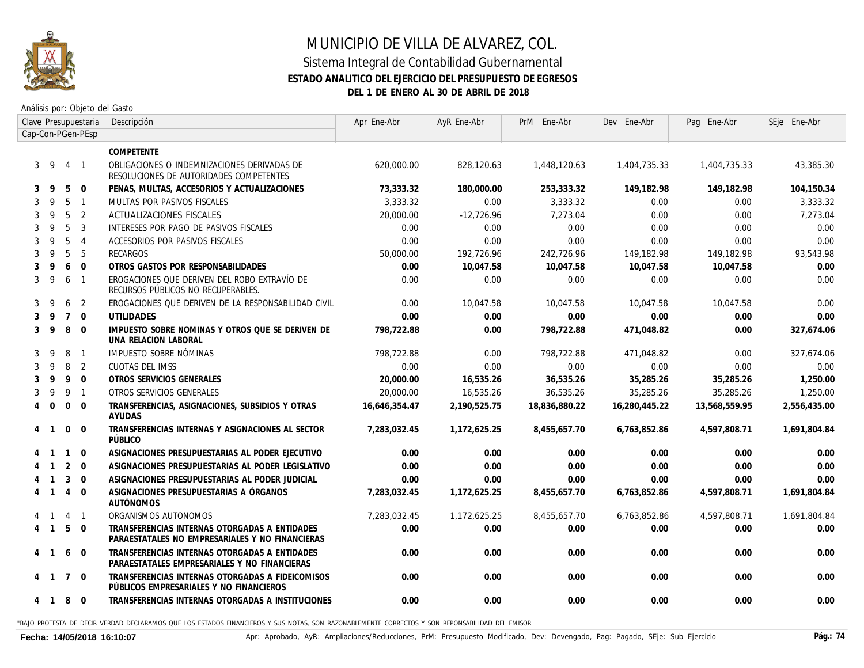

Análisis por: Objeto del Gasto

|   |                |                | Clave Presupuestaria | Descripción                                                                                      | Apr Ene-Abr   | AyR Ene-Abr  | PrM Ene-Abr   | Dev Ene-Abr   | Pag Ene-Abr   | SEje Ene-Abr |
|---|----------------|----------------|----------------------|--------------------------------------------------------------------------------------------------|---------------|--------------|---------------|---------------|---------------|--------------|
|   |                |                | Cap-Con-PGen-PEsp    |                                                                                                  |               |              |               |               |               |              |
|   |                |                |                      | COMPETENTE                                                                                       |               |              |               |               |               |              |
|   | $3 \quad 9$    | $\overline{4}$ | $\overline{1}$       | OBLIGACIONES O INDEMNIZACIONES DERIVADAS DE<br>RESOLUCIONES DE AUTORIDADES COMPETENTES           | 620,000,00    | 828,120.63   | 1,448,120.63  | 1,404,735.33  | 1,404,735.33  | 43,385.30    |
| 3 | -9             | 5              | $\Omega$             | PENAS, MULTAS, ACCESORIOS Y ACTUALIZACIONES                                                      | 73,333.32     | 180,000.00   | 253,333.32    | 149,182.98    | 149,182.98    | 104,150.34   |
|   | q              | 5              | $\overline{1}$       | MULTAS POR PASIVOS FISCALES                                                                      | 3.333.32      | 0.00         | 3,333,32      | 0.00          | 0.00          | 3,333.32     |
| 3 | 9              | 5              | 2                    | <b>ACTUALIZACIONES FISCALES</b>                                                                  | 20,000.00     | $-12,726.96$ | 7,273.04      | 0.00          | 0.00          | 7,273.04     |
|   | 9              | 5              | 3                    | INTERESES POR PAGO DE PASIVOS FISCALES                                                           | 0.00          | 0.00         | 0.00          | 0.00          | 0.00          | 0.00         |
|   | 9              | 5              | $\overline{4}$       | ACCESORIOS POR PASIVOS FISCALES                                                                  | 0.00          | 0.00         | 0.00          | 0.00          | 0.00          | 0.00         |
|   | 9              | 5              | 5                    | RECARGOS                                                                                         | 50,000.00     | 192,726.96   | 242,726.96    | 149,182.98    | 149, 182.98   | 93,543.98    |
|   | 9              | 6              | $\Omega$             | OTROS GASTOS POR RESPONSABILIDADES                                                               | 0.00          | 10.047.58    | 10.047.58     | 10.047.58     | 10.047.58     | 0.00         |
| 3 | 9              | 6              | $\overline{1}$       | EROGACIONES QUE DERIVEN DEL ROBO EXTRAVÍO DE<br>RECURSOS PÚBLICOS NO RECUPERABLES.               | 0.00          | 0.00         | 0.00          | 0.00          | 0.00          | 0.00         |
| 3 | 9              | 6              | 2                    | EROGACIONES QUE DERIVEN DE LA RESPONSABILIDAD CIVIL                                              | 0.00          | 10,047.58    | 10,047.58     | 10.047.58     | 10.047.58     | 0.00         |
|   | 9              | $\overline{7}$ | $\Omega$             | <b>UTILIDADES</b>                                                                                | 0.00          | 0.00         | 0.00          | 0.00          | 0.00          | 0.00         |
| 3 | 9              | 8              | $\Omega$             | IMPUESTO SOBRE NOMINAS Y OTROS QUE SE DERIVEN DE<br>UNA RELACION LABORAL                         | 798,722.88    | 0.00         | 798,722.88    | 471.048.82    | 0.00          | 327,674.06   |
| 3 | 9              | 8              | $\overline{1}$       | IMPUESTO SOBRE NÓMINAS                                                                           | 798,722.88    | 0.00         | 798,722.88    | 471,048.82    | 0.00          | 327,674.06   |
|   | 9              | 8              | 2                    | CUOTAS DEL IMSS                                                                                  | 0.00          | 0.00         | 0.00          | 0.00          | 0.00          | 0.00         |
|   | 9              | 9              | $\overline{0}$       | OTROS SERVICIOS GENERALES                                                                        | 20,000.00     | 16,535.26    | 36,535.26     | 35,285.26     | 35,285.26     | 1,250.00     |
|   | 9              | 9              | $\overline{1}$       | OTROS SERVICIOS GENERALES                                                                        | 20,000.00     | 16,535.26    | 36,535.26     | 35,285.26     | 35,285.26     | 1,250.00     |
| 4 | $\Omega$       | $\mathbf 0$    | $\Omega$             | TRANSFERENCIAS, ASIGNACIONES, SUBSIDIOS Y OTRAS<br>AYUDAS                                        | 16.646.354.47 | 2.190.525.75 | 18,836,880.22 | 16.280.445.22 | 13.568.559.95 | 2,556,435.00 |
|   |                | $\Omega$       | $\Omega$             | TRANSFERENCIAS INTERNAS Y ASIGNACIONES AL SECTOR<br>PÚBLICO                                      | 7.283.032.45  | 1,172,625.25 | 8,455,657.70  | 6,763,852.86  | 4.597.808.71  | 1,691,804.84 |
|   |                | $\mathbf{1}$   | $\Omega$             | ASIGNACIONES PRESUPUESTARIAS AL PODER EJECUTIVO                                                  | 0.00          | 0.00         | 0.00          | 0.00          | 0.00          | 0.00         |
|   |                | 2              | $\Omega$             | ASIGNACIONES PRESUPUESTARIAS AL PODER LEGISLATIVO                                                | 0.00          | 0.00         | 0.00          | 0.00          | 0.00          | 0.00         |
|   |                | 3              | $\Omega$             | ASIGNACIONES PRESUPUESTARIAS AL PODER JUDICIAL                                                   | 0.00          | 0.00         | 0.00          | 0.00          | 0.00          | 0.00         |
|   |                | 4              | $\Omega$             | ASIGNACIONES PRESUPUESTARIAS A ÓRGANOS<br><b>AUTÓNOMOS</b>                                       | 7,283,032.45  | 1,172,625.25 | 8,455,657.70  | 6,763,852.86  | 4,597,808.71  | 1,691,804.84 |
|   |                | 4              | $\overline{1}$       | ORGANISMOS AUTONOMOS                                                                             | 7,283,032.45  | 1,172,625.25 | 8,455,657.70  | 6,763,852.86  | 4,597,808.71  | 1,691,804.84 |
|   | $4 \quad 1$    | 5              | $\Omega$             | TRANSFERENCIAS INTERNAS OTORGADAS A ENTIDADES<br>PARAESTATALES NO EMPRESARIALES Y NO FINANCIERAS | 0.00          | 0.00         | 0.00          | 0.00          | 0.00          | 0.00         |
| 4 |                | 6              | $\Omega$             | TRANSFERENCIAS INTERNAS OTORGADAS A ENTIDADES<br>PARAESTATALES EMPRESARIALES Y NO FINANCIERAS    | 0.00          | 0.00         | 0.00          | 0.00          | 0.00          | 0.00         |
| 4 | $\overline{1}$ | $\overline{7}$ | $\mathbf 0$          | TRANSFERENCIAS INTERNAS OTORGADAS A FIDEICOMISOS<br>PÚBLICOS EMPRESARIALES Y NO FINANCIEROS      | 0.00          | 0.00         | 0.00          | 0.00          | 0.00          | 0.00         |
|   | 41             | 8              | $\overline{0}$       | TRANSFERENCIAS INTERNAS OTORGADAS A INSTITUCIONES                                                | 0.00          | 0.00         | 0.00          | 0.00          | 0.00          | 0.00         |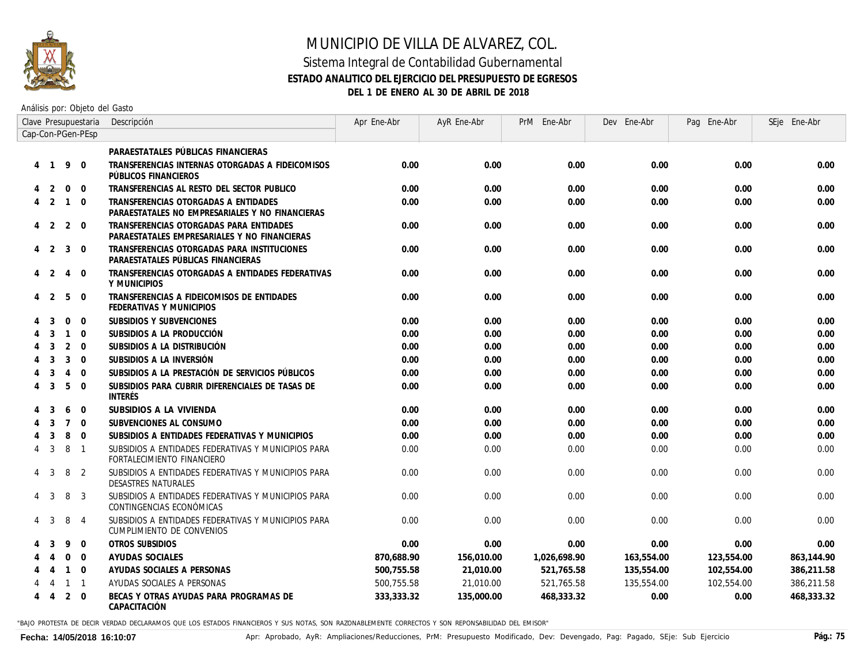

#### Sistema Integral de Contabilidad Gubernamental **ESTADO ANALITICO DEL EJERCICIO DEL PRESUPUESTO DE EGRESOS DEL 1 DE ENERO AL 30 DE ABRIL DE 2018**

Análisis por: Objeto del Gasto

|   |                |                | Clave Presupuestaria | Descripción                                                                             | Apr Ene-Abr | AyR Ene-Abr | PrM Ene-Abr  | Dev Ene-Abr | Pag Ene-Abr | SEje Ene-Abr |
|---|----------------|----------------|----------------------|-----------------------------------------------------------------------------------------|-------------|-------------|--------------|-------------|-------------|--------------|
|   |                |                | Cap-Con-PGen-PEsp    |                                                                                         |             |             |              |             |             |              |
|   |                |                |                      | PARAESTATALES PÚBLICAS FINANCIERAS                                                      |             |             |              |             |             |              |
|   | $\overline{1}$ | -9             | $\mathbf 0$          | TRANSFERENCIAS INTERNAS OTORGADAS A FIDEICOMISOS<br>PÚBLICOS FINANCIEROS                | 0.00        | 0.00        | 0.00         | 0.00        | 0.00        | 0.00         |
|   | 2              | $\mathbf 0$    | $\mathbf{0}$         | TRANSFERENCIAS AL RESTO DEL SECTOR PUBLICO                                              | 0.00        | 0.00        | 0.00         | 0.00        | 0.00        | 0.00         |
|   | 2              | $\overline{1}$ | $\Omega$             | TRANSFERENCIAS OTORGADAS A ENTIDADES<br>PARAESTATALES NO EMPRESARIALES Y NO FINANCIERAS | 0.00        | 0.00        | 0.00         | 0.00        | 0.00        | 0.00         |
| 4 | 2              | $\overline{2}$ | $\mathbf 0$          | TRANSFERENCIAS OTORGADAS PARA ENTIDADES<br>PARAESTATALES EMPRESARIALES Y NO FINANCIERAS | 0.00        | 0.00        | 0.00         | 0.00        | 0.00        | 0.00         |
| 4 | $\overline{2}$ | 3              | $\mathbf 0$          | TRANSFERENCIAS OTORGADAS PARA INSTITUCIONES<br>PARAESTATALES PÚBLICAS FINANCIERAS       | 0.00        | 0.00        | 0.00         | 0.00        | 0.00        | 0.00         |
|   | 2              | 4              | $\mathbf 0$          | TRANSFERENCIAS OTORGADAS A ENTIDADES FEDERATIVAS<br>Y MUNICIPIOS                        | 0.00        | 0.00        | 0.00         | 0.00        | 0.00        | 0.00         |
|   | -2             | 5              | $\mathbf 0$          | TRANSFERENCIAS A FIDEICOMISOS DE ENTIDADES<br>FEDERATIVAS Y MUNICIPIOS                  | 0.00        | 0.00        | 0.00         | 0.00        | 0.00        | 0.00         |
|   | 3              | $\Omega$       | $\Omega$             | SUBSIDIOS Y SUBVENCIONES                                                                | 0.00        | 0.00        | 0.00         | 0.00        | 0.00        | 0.00         |
|   | 3              | $\mathbf{1}$   | $\mathbf{0}$         | SUBSIDIOS A LA PRODUCCIÓN                                                               | 0.00        | 0.00        | 0.00         | 0.00        | 0.00        | 0.00         |
|   | 3              | 2              | $\Omega$             | SUBSIDIOS A LA DISTRIBUCIÓN                                                             | 0.00        | 0.00        | 0.00         | 0.00        | 0.00        | 0.00         |
|   | 3              | 3              | $\Omega$             | SUBSIDIOS A LA INVERSIÓN                                                                | 0.00        | 0.00        | 0.00         | 0.00        | 0.00        | 0.00         |
|   | 3              | 4              | $\mathbf 0$          | SUBSIDIOS A LA PRESTACIÓN DE SERVICIOS PÚBLICOS                                         | 0.00        | 0.00        | 0.00         | 0.00        | 0.00        | 0.00         |
|   | 3              | 5              | $\mathbf 0$          | SUBSIDIOS PARA CUBRIR DIFERENCIALES DE TASAS DE<br><b>INTERÉS</b>                       | 0.00        | 0.00        | 0.00         | 0.00        | 0.00        | 0.00         |
|   | 3              | 6              | $\mathbf{0}$         | SUBSIDIOS A LA VIVIENDA                                                                 | 0.00        | 0.00        | 0.00         | 0.00        | 0.00        | 0.00         |
|   | 3              | $\overline{7}$ | $\Omega$             | SUBVENCIONES AL CONSUMO                                                                 | 0.00        | 0.00        | 0.00         | 0.00        | 0.00        | 0.00         |
|   | 3              | 8              | $\mathbf 0$          | SUBSIDIOS A ENTIDADES FEDERATIVAS Y MUNICIPIOS                                          | 0.00        | 0.00        | 0.00         | 0.00        | 0.00        | 0.00         |
| 4 | 3              | 8              | $\overline{1}$       | SUBSIDIOS A ENTIDADES FEDERATIVAS Y MUNICIPIOS PARA<br>FORTALECIMIENTO FINANCIERO       | 0.00        | 0.00        | 0.00         | 0.00        | 0.00        | 0.00         |
| 4 | 3              | 8              | 2                    | SUBSIDIOS A ENTIDADES FEDERATIVAS Y MUNICIPIOS PARA<br><b>DESASTRES NATURALES</b>       | 0.00        | 0.00        | 0.00         | 0.00        | 0.00        | 0.00         |
|   | 3              | 8              | 3                    | SUBSIDIOS A ENTIDADES FEDERATIVAS Y MUNICIPIOS PARA<br>CONTINGENCIAS ECONÓMICAS         | 0.00        | 0.00        | 0.00         | 0.00        | 0.00        | 0.00         |
|   | 3              | 8              | $\overline{4}$       | SUBSIDIOS A ENTIDADES FEDERATIVAS Y MUNICIPIOS PARA<br>CUMPLIMIENTO DE CONVENIOS        | 0.00        | 0.00        | 0.00         | 0.00        | 0.00        | 0.00         |
|   |                | 9              | $\mathbf 0$          | OTROS SUBSIDIOS                                                                         | 0.00        | 0.00        | 0.00         | 0.00        | 0.00        | 0.00         |
|   |                | $\mathbf{0}$   | $\overline{0}$       | AYUDAS SOCIALES                                                                         | 870.688.90  | 156,010.00  | 1,026,698.90 | 163,554.00  | 123,554.00  | 863,144.90   |
|   |                | $\mathbf{1}$   | $\Omega$             | AYUDAS SOCIALES A PERSONAS                                                              | 500.755.58  | 21.010.00   | 521.765.58   | 135,554.00  | 102.554.00  | 386,211.58   |
|   |                | $\mathbf{1}$   | $\overline{1}$       | AYUDAS SOCIALES A PERSONAS                                                              | 500,755.58  | 21,010.00   | 521,765.58   | 135,554.00  | 102,554.00  | 386,211.58   |
| 4 | 4              | 2              | $\Omega$             | BECAS Y OTRAS AYUDAS PARA PROGRAMAS DE<br>CAPACITACIÓN                                  | 333,333.32  | 135,000.00  | 468,333.32   | 0.00        | 0.00        | 468,333.32   |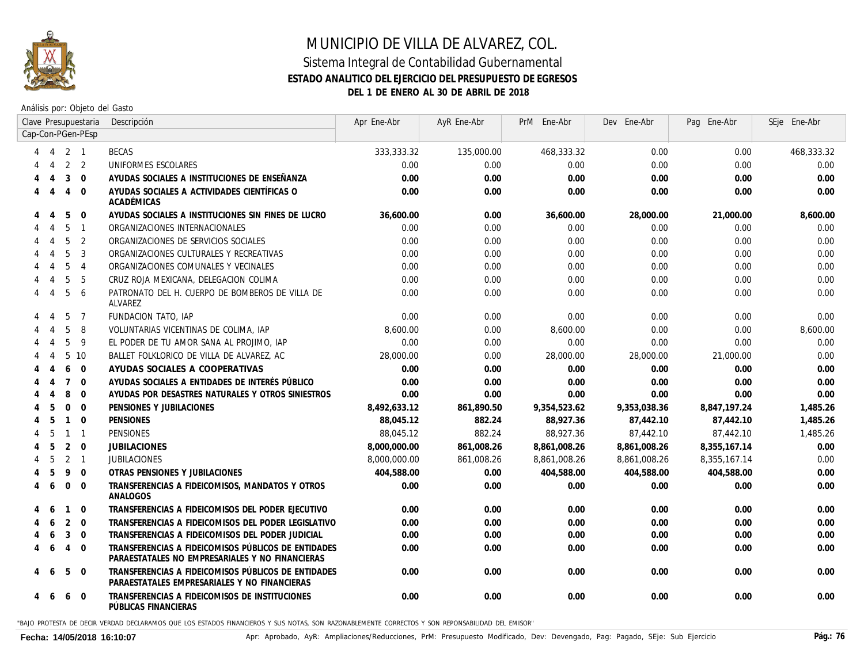

#### **ESTADO ANALITICO DEL EJERCICIO DEL PRESUPUESTO DE EGRESOS**

**DEL 1 DE ENERO AL 30 DE ABRIL DE 2018**

Análisis por: Objeto del Gasto

|                |                             |                | Clave Presupuestaria | Descripción                                                                                            | Apr Ene-Abr  | AyR Ene-Abr | PrM Ene-Abr  | Dev Ene-Abr  | Pag Ene-Abr  | SEje Ene-Abr |
|----------------|-----------------------------|----------------|----------------------|--------------------------------------------------------------------------------------------------------|--------------|-------------|--------------|--------------|--------------|--------------|
|                |                             |                | Cap-Con-PGen-PEsp    |                                                                                                        |              |             |              |              |              |              |
|                | 4                           | 2 1            |                      | <b>BECAS</b>                                                                                           | 333,333.32   | 135,000.00  | 468,333.32   | 0.00         | 0.00         | 468,333.32   |
|                |                             |                | 2 <sub>2</sub>       | UNIFORMES ESCOLARES                                                                                    | 0.00         | 0.00        | 0.00         | 0.00         | 0.00         | 0.00         |
|                | $\overline{4}$              | 3              | $\mathbf{0}$         | AYUDAS SOCIALES A INSTITUCIONES DE ENSEÑANZA                                                           | 0.00         | 0.00        | 0.00         | 0.00         | 0.00         | 0.00         |
|                | $\overline{4}$              | $\overline{4}$ | $\Omega$             | AYUDAS SOCIALES A ACTIVIDADES CIENTÍFICAS O<br>ACADÉMICAS                                              | 0.00         | 0.00        | 0.00         | 0.00         | 0.00         | 0.00         |
|                |                             | 5              | $\mathbf 0$          | AYUDAS SOCIALES A INSTITUCIONES SIN FINES DE LUCRO                                                     | 36.600.00    | 0.00        | 36,600.00    | 28,000.00    | 21,000.00    | 8,600.00     |
|                |                             | 5              | $\overline{1}$       | ORGANIZACIONES INTERNACIONALES                                                                         | 0.00         | 0.00        | 0.00         | 0.00         | 0.00         | 0.00         |
|                |                             | 5              | 2                    | ORGANIZACIONES DE SERVICIOS SOCIALES                                                                   | 0.00         | 0.00        | 0.00         | 0.00         | 0.00         | 0.00         |
|                |                             | 5              | 3                    | ORGANIZACIONES CULTURALES Y RECREATIVAS                                                                | 0.00         | 0.00        | 0.00         | 0.00         | 0.00         | 0.00         |
|                |                             | 5              | $\overline{4}$       | ORGANIZACIONES COMUNALES Y VECINALES                                                                   | 0.00         | 0.00        | 0.00         | 0.00         | 0.00         | 0.00         |
|                |                             | 5              | 5                    | CRUZ ROJA MEXICANA, DELEGACION COLIMA                                                                  | 0.00         | 0.00        | 0.00         | 0.00         | 0.00         | 0.00         |
|                | $\boldsymbol{\vartriangle}$ | 5              | 6                    | PATRONATO DEL H. CUERPO DE BOMBEROS DE VILLA DE<br>ALVAREZ                                             | 0.00         | 0.00        | 0.00         | 0.00         | 0.00         | 0.00         |
|                | $\overline{4}$              | 5              | $\overline{7}$       | FUNDACION TATO, IAP                                                                                    | 0.00         | 0.00        | 0.00         | 0.00         | 0.00         | 0.00         |
|                | $\overline{4}$              | 5              | 8                    | VOLUNTARIAS VICENTINAS DE COLIMA, IAP                                                                  | 8,600.00     | 0.00        | 8,600.00     | 0.00         | 0.00         | 8,600.00     |
|                | $\overline{4}$              | 5              | 9                    | EL PODER DE TU AMOR SANA AL PROJIMO. IAP                                                               | 0.00         | 0.00        | 0.00         | 0.00         | 0.00         | 0.00         |
|                | $\overline{4}$              | 5              | 10                   | BALLET FOLKLORICO DE VILLA DE ALVAREZ, AC                                                              | 28,000,00    | 0.00        | 28,000.00    | 28,000.00    | 21,000.00    | 0.00         |
|                | 4                           | 6              | $\mathbf 0$          | AYUDAS SOCIALES A COOPERATIVAS                                                                         | 0.00         | 0.00        | 0.00         | 0.00         | 0.00         | 0.00         |
|                | $\boldsymbol{\varLambda}$   | $\overline{7}$ | $\mathbf 0$          | AYUDAS SOCIALES A ENTIDADES DE INTERÉS PÚBLICO                                                         | 0.00         | 0.00        | 0.00         | 0.00         | 0.00         | 0.00         |
|                | 4                           | 8              | $\Omega$             | AYUDAS POR DESASTRES NATURALES Y OTROS SINIESTROS                                                      | 0.00         | 0.00        | 0.00         | 0.00         | 0.00         | 0.00         |
|                | 5                           | $\Omega$       | $\Omega$             | PENSIONES Y JUBILACIONES                                                                               | 8,492,633.12 | 861,890.50  | 9,354,523.62 | 9,353,038.36 | 8,847,197.24 | 1,485.26     |
| 4              | 5                           | $\overline{1}$ | $\Omega$             | <b>PENSIONES</b>                                                                                       | 88.045.12    | 882.24      | 88,927.36    | 87,442.10    | 87,442.10    | 1,485.26     |
| 4              | -5                          | $\overline{1}$ | $\overline{1}$       | PENSIONES                                                                                              | 88,045.12    | 882.24      | 88,927.36    | 87,442.10    | 87,442.10    | 1,485.26     |
| 4              | 5                           | 2              | $\mathbf 0$          | <b>JUBILACIONES</b>                                                                                    | 8,000,000.00 | 861,008.26  | 8,861,008.26 | 8,861,008.26 | 8,355,167.14 | 0.00         |
| 4              | 5                           | 2 <sub>1</sub> |                      | <b>JUBILACIONES</b>                                                                                    | 8,000,000,00 | 861,008.26  | 8,861,008.26 | 8,861,008.26 | 8,355,167.14 | 0.00         |
| 4              | 5                           | 9              | $\Omega$             | OTRAS PENSIONES Y JUBILACIONES                                                                         | 404,588.00   | 0.00        | 404,588.00   | 404,588.00   | 404,588.00   | 0.00         |
| $\overline{4}$ | 6                           | $\mathbf 0$    | $\mathbf 0$          | TRANSFERENCIAS A FIDEICOMISOS, MANDATOS Y OTROS<br>ANALOGOS                                            | 0.00         | 0.00        | 0.00         | 0.00         | 0.00         | 0.00         |
|                |                             | $\overline{1}$ | $\Omega$             | TRANSFERENCIAS A FIDEICOMISOS DEL PODER EJECUTIVO                                                      | 0.00         | 0.00        | 0.00         | 0.00         | 0.00         | 0.00         |
|                | 6                           | 2              | $\Omega$             | TRANSFERENCIAS A FIDEICOMISOS DEL PODER LEGISLATIVO                                                    | 0.00         | 0.00        | 0.00         | 0.00         | 0.00         | 0.00         |
|                | 6                           | 3              | $\Omega$             | TRANSFERENCIAS A FIDEICOMISOS DEL PODER JUDICIAL                                                       | 0.00         | 0.00        | 0.00         | 0.00         | 0.00         | 0.00         |
| 4              | 6                           | $\overline{4}$ | $\mathbf 0$          | TRANSFERENCIAS A FIDEICOMISOS PÚBLICOS DE ENTIDADES<br>PARAESTATALES NO EMPRESARIALES Y NO FINANCIERAS | 0.00         | 0.00        | 0.00         | 0.00         | 0.00         | 0.00         |
|                | 6                           | 5              | $\mathbf 0$          | TRANSFERENCIAS A FIDEICOMISOS PÚBLICOS DE ENTIDADES<br>PARAESTATALES EMPRESARIALES Y NO FINANCIERAS    | 0.00         | 0.00        | 0.00         | 0.00         | 0.00         | 0.00         |
| 4              | 6                           | 6              | $\Omega$             | TRANSFERENCIAS A FIDEICOMISOS DE INSTITUCIONES<br>PÚBLICAS FINANCIERAS                                 | 0.00         | 0.00        | 0.00         | 0.00         | 0.00         | 0.00         |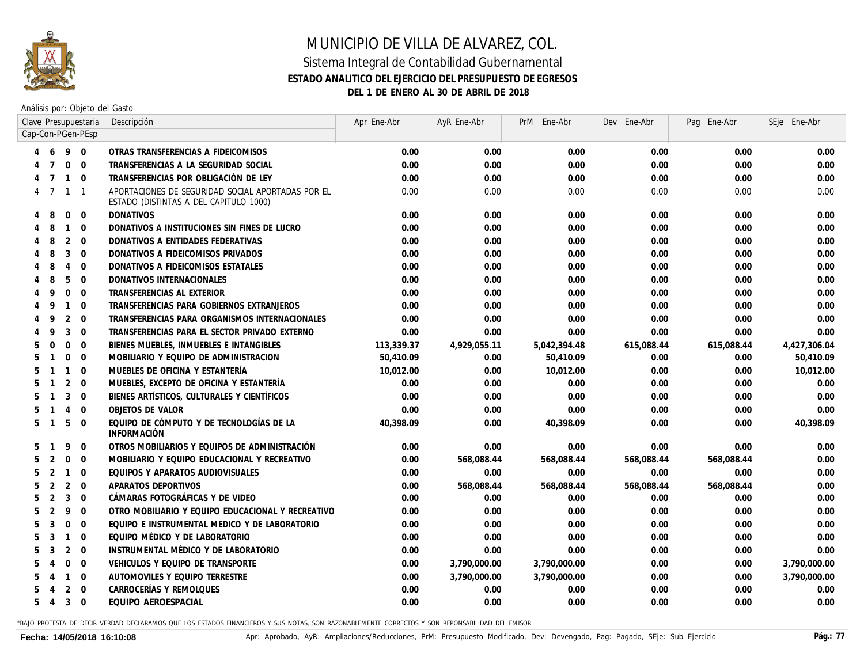

### MUNICIPIO DE VILLA DE ALVAREZ, COL. Sistema Integral de Contabilidad Gubernamental **ESTADO ANALITICO DEL EJERCICIO DEL PRESUPUESTO DE EGRESOS**

**DEL 1 DE ENERO AL 30 DE ABRIL DE 2018**

Análisis por: Objeto del Gasto

|   |                |                | Clave Presupuestaria | Descripción                                                                                 | Apr Ene-Abr | AyR Ene-Abr  | PrM Ene-Abr  | Dev Ene-Abr | Pag Ene-Abr | SEje Ene-Abr |
|---|----------------|----------------|----------------------|---------------------------------------------------------------------------------------------|-------------|--------------|--------------|-------------|-------------|--------------|
|   |                |                | Cap-Con-PGen-PEsp    |                                                                                             |             |              |              |             |             |              |
|   | 6              | 9 0            |                      | OTRAS TRANSFERENCIAS A FIDEICOMISOS                                                         | 0.00        | 0.00         | 0.00         | 0.00        | 0.00        | 0.00         |
|   |                | $\mathbf 0$    | $\Omega$             | TRANSFERENCIAS A LA SEGURIDAD SOCIAL                                                        | 0.00        | 0.00         | 0.00         | 0.00        | 0.00        | 0.00         |
|   |                | $\mathbf{1}$   | $\Omega$             | TRANSFERENCIAS POR OBLIGACIÓN DE LEY                                                        | 0.00        | 0.00         | 0.00         | 0.00        | 0.00        | 0.00         |
|   | $\overline{7}$ | $\mathbf{1}$   | $\overline{1}$       | APORTACIONES DE SEGURIDAD SOCIAL APORTADAS POR EL<br>ESTADO (DISTINTAS A DEL CAPITULO 1000) | 0.00        | 0.00         | 0.00         | 0.00        | 0.00        | 0.00         |
| 4 | 8              | $\mathbf 0$    | $\overline{0}$       | <b>DONATIVOS</b>                                                                            | 0.00        | 0.00         | 0.00         | 0.00        | 0.00        | 0.00         |
|   | 8              | $\mathbf{1}$   | $\overline{0}$       | DONATIVOS A INSTITUCIONES SIN FINES DE LUCRO                                                | 0.00        | 0.00         | 0.00         | 0.00        | 0.00        | 0.00         |
|   | 8              | 2              | $\Omega$             | DONATIVOS A ENTIDADES FEDERATIVAS                                                           | 0.00        | 0.00         | 0.00         | 0.00        | 0.00        | 0.00         |
|   | 8              | 3              | $\Omega$             | DONATIVOS A FIDEICOMISOS PRIVADOS                                                           | 0.00        | 0.00         | 0.00         | 0.00        | 0.00        | 0.00         |
|   | 8              | $\overline{4}$ | $\Omega$             | DONATIVOS A FIDEICOMISOS ESTATALES                                                          | 0.00        | 0.00         | 0.00         | 0.00        | 0.00        | 0.00         |
|   | 8              | 5              | $\mathbf 0$          | DONATIVOS INTERNACIONALES                                                                   | 0.00        | 0.00         | 0.00         | 0.00        | 0.00        | 0.00         |
|   | 9              | $\mathbf 0$    | $\overline{0}$       | TRANSFERENCIAS AL EXTERIOR                                                                  | 0.00        | 0.00         | 0.00         | 0.00        | 0.00        | 0.00         |
|   | 9              | $\mathbf{1}$   | $\overline{0}$       | TRANSFERENCIAS PARA GOBIERNOS EXTRANJEROS                                                   | 0.00        | 0.00         | 0.00         | 0.00        | 0.00        | 0.00         |
|   | 9              | 2              | $\Omega$             | TRANSFERENCIAS PARA ORGANISMOS INTERNACIONALES                                              | 0.00        | 0.00         | 0.00         | 0.00        | 0.00        | 0.00         |
|   | 9              | 3              | $\Omega$             | TRANSFERENCIAS PARA EL SECTOR PRIVADO EXTERNO                                               | 0.00        | 0.00         | 0.00         | 0.00        | 0.00        | 0.00         |
| 5 | $\Omega$       | $\mathbf 0$    | $\Omega$             | BIENES MUEBLES, INMUEBLES E INTANGIBLES                                                     | 113,339.37  | 4,929,055.11 | 5,042,394.48 | 615,088.44  | 615,088.44  | 4,427,306.04 |
| 5 |                | $\mathbf 0$    | $\Omega$             | MOBILIARIO Y EQUIPO DE ADMINISTRACION                                                       | 50,410.09   | 0.00         | 50,410.09    | 0.00        | 0.00        | 50,410.09    |
| 5 |                | $\mathbf{1}$   | $\Omega$             | MUEBLES DE OFICINA Y ESTANTERÍA                                                             | 10,012.00   | 0.00         | 10,012.00    | 0.00        | 0.00        | 10,012.00    |
| 5 |                | $\overline{2}$ | $\Omega$             | MUEBLES, EXCEPTO DE OFICINA Y ESTANTERÍA                                                    | 0.00        | 0.00         | 0.00         | 0.00        | 0.00        | 0.00         |
| 5 |                | 3              | $\Omega$             | BIENES ARTÍSTICOS, CULTURALES Y CIENTÍFICOS                                                 | 0.00        | 0.00         | 0.00         | 0.00        | 0.00        | 0.00         |
| 5 |                | $\overline{4}$ | $\Omega$             | OBJETOS DE VALOR                                                                            | 0.00        | 0.00         | 0.00         | 0.00        | 0.00        | 0.00         |
|   | 5 <sub>1</sub> | 5              | $\Omega$             | EQUIPO DE CÓMPUTO Y DE TECNOLOGÍAS DE LA<br><b>INFORMACIÓN</b>                              | 40,398.09   | 0.00         | 40.398.09    | 0.00        | 0.00        | 40,398.09    |
| 5 |                | 9              | $\mathbf 0$          | OTROS MOBILIARIOS Y EQUIPOS DE ADMINISTRACIÓN                                               | 0.00        | 0.00         | 0.00         | 0.00        | 0.00        | 0.00         |
| 5 | 2              | $\mathbf 0$    | $\Omega$             | MOBILIARIO Y EQUIPO EDUCACIONAL Y RECREATIVO                                                | 0.00        | 568,088.44   | 568,088.44   | 568,088.44  | 568,088.44  | 0.00         |
| 5 | 2              | $\mathbf{1}$   | $\mathbf 0$          | EQUIPOS Y APARATOS AUDIOVISUALES                                                            | 0.00        | 0.00         | 0.00         | 0.00        | 0.00        | 0.00         |
| 5 | 2              | 2              | $\mathbf 0$          | APARATOS DEPORTIVOS                                                                         | 0.00        | 568,088.44   | 568,088.44   | 568,088.44  | 568,088.44  | 0.00         |
| 5 | 2              | 3              | $\mathbf{0}$         | CÁMARAS FOTOGRÁFICAS Y DE VIDEO                                                             | 0.00        | 0.00         | 0.00         | 0.00        | 0.00        | 0.00         |
| 5 | 2              | 9              | $\overline{0}$       | OTRO MOBILIARIO Y EQUIPO EDUCACIONAL Y RECREATIVO                                           | 0.00        | 0.00         | 0.00         | 0.00        | 0.00        | 0.00         |
| 5 | 3              | $\Omega$       | $\Omega$             | EQUIPO E INSTRUMENTAL MEDICO Y DE LABORATORIO                                               | 0.00        | 0.00         | 0.00         | 0.00        | 0.00        | 0.00         |
| 5 | 3              | $\mathbf{1}$   | $\Omega$             | EQUIPO MÉDICO Y DE LABORATORIO                                                              | 0.00        | 0.00         | 0.00         | 0.00        | 0.00        | 0.00         |
| 5 | 3              | 2              | $\Omega$             | INSTRUMENTAL MÉDICO Y DE LABORATORIO                                                        | 0.00        | 0.00         | 0.00         | 0.00        | 0.00        | 0.00         |
| 5 | 4              | $\Omega$       | $\Omega$             | VEHICULOS Y EQUIPO DE TRANSPORTE                                                            | 0.00        | 3,790,000.00 | 3,790,000.00 | 0.00        | 0.00        | 3,790,000.00 |
| 5 | $\overline{4}$ | $\overline{1}$ | $\Omega$             | AUTOMOVILES Y EQUIPO TERRESTRE                                                              | 0.00        | 3,790,000.00 | 3,790,000.00 | 0.00        | 0.00        | 3,790,000.00 |
| 5 |                | 2              | $\Omega$             | CARROCERÍAS Y REMOLQUES                                                                     | 0.00        | 0.00         | 0.00         | 0.00        | 0.00        | 0.00         |
| 5 | $\overline{4}$ | 3              | $\overline{0}$       | EQUIPO AEROESPACIAL                                                                         | 0.00        | 0.00         | 0.00         | 0.00        | 0.00        | 0.00         |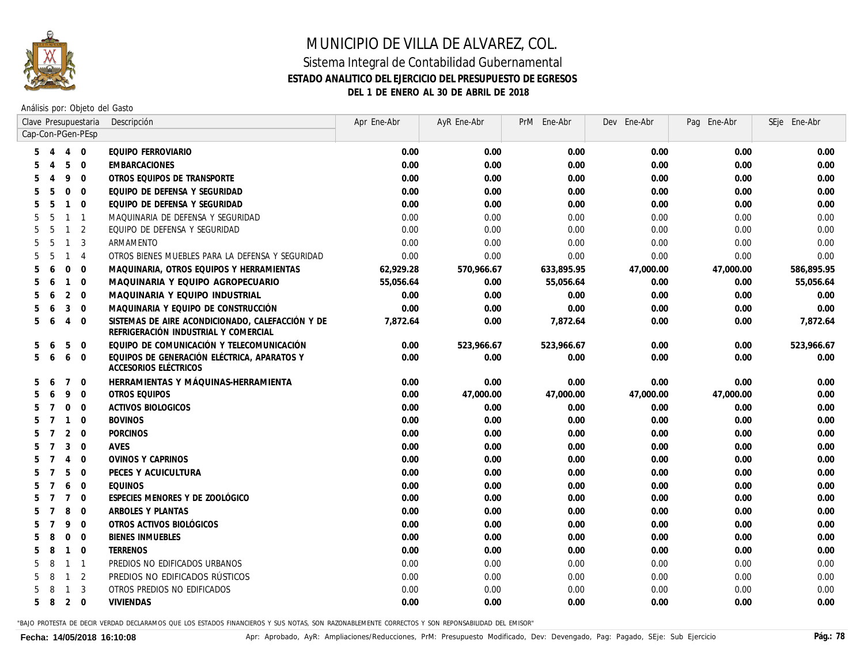

Análisis por: Objeto del Gasto

|                   |                |                | Clave Presupuestaria     | Descripción                                                                              | Apr Ene-Abr | AyR Ene-Abr | PrM Ene-Abr | Dev Ene-Abr | Pag Ene-Abr | SEje Ene-Abr |
|-------------------|----------------|----------------|--------------------------|------------------------------------------------------------------------------------------|-------------|-------------|-------------|-------------|-------------|--------------|
| Cap-Con-PGen-PEsp |                |                |                          |                                                                                          |             |             |             |             |             |              |
| 5                 | $\overline{4}$ | $\overline{4}$ | $\overline{0}$           | EQUIPO FERROVIARIO                                                                       | 0.00        | 0.00        | 0.00        | 0.00        | 0.00        | 0.00         |
|                   |                | 5              | $\overline{0}$           | <b>EMBARCACIONES</b>                                                                     | 0.00        | 0.00        | 0.00        | 0.00        | 0.00        | 0.00         |
|                   |                | 9              | $\overline{0}$           | OTROS EQUIPOS DE TRANSPORTE                                                              | 0.00        | 0.00        | 0.00        | 0.00        | 0.00        | 0.00         |
|                   | 5              | $\Omega$       | $\overline{0}$           | EQUIPO DE DEFENSA Y SEGURIDAD                                                            | 0.00        | 0.00        | 0.00        | 0.00        | 0.00        | 0.00         |
|                   | .5             | $\mathbf{1}$   | $\overline{0}$           | EQUIPO DE DEFENSA Y SEGURIDAD                                                            | 0.00        | 0.00        | 0.00        | 0.00        | 0.00        | 0.00         |
|                   | .5             | $\mathbf{1}$   | $\overline{\phantom{0}}$ | MAQUINARIA DE DEFENSA Y SEGURIDAD                                                        | 0.00        | 0.00        | 0.00        | 0.00        | 0.00        | 0.00         |
|                   | 5              | $\mathbf{1}$   | 2                        | EQUIPO DE DEFENSA Y SEGURIDAD                                                            | 0.00        | 0.00        | 0.00        | 0.00        | 0.00        | 0.00         |
|                   | -5             | $\mathbf{1}$   | $\overline{3}$           | ARMAMENTO                                                                                | 0.00        | 0.00        | 0.00        | 0.00        | 0.00        | 0.00         |
|                   | -5             | $\mathbf{1}$   | $\overline{4}$           | OTROS BIENES MUEBLES PARA LA DEFENSA Y SEGURIDAD                                         | 0.00        | 0.00        | 0.00        | 0.00        | 0.00        | 0.00         |
| 5                 | 6              | $\Omega$       | $\overline{0}$           | MAQUINARIA, OTROS EQUIPOS Y HERRAMIENTAS                                                 | 62,929.28   | 570,966.67  | 633,895.95  | 47,000.00   | 47,000.00   | 586,895.95   |
| 5                 | 6              | $\mathbf{1}$   | $\overline{0}$           | MAQUINARIA Y EQUIPO AGROPECUARIO                                                         | 55,056.64   | 0.00        | 55,056.64   | 0.00        | 0.00        | 55,056.64    |
| 5                 | 6              | 2              | $\overline{0}$           | MAQUINARIA Y EQUIPO INDUSTRIAL                                                           | 0.00        | 0.00        | 0.00        | 0.00        | 0.00        | 0.00         |
| 5                 | 6              | 3              | $\overline{0}$           | MAQUINARIA Y EQUIPO DE CONSTRUCCIÓN                                                      | 0.00        | 0.00        | 0.00        | 0.00        | 0.00        | 0.00         |
| 5                 | 6              | $\overline{4}$ | $\overline{0}$           | SISTEMAS DE AIRE ACONDICIONADO, CALEFACCIÓN Y DE<br>REFRIGERACIÓN INDUSTRIAL Y COMERCIAL | 7,872.64    | 0.00        | 7,872.64    | 0.00        | 0.00        | 7,872.64     |
| 5                 | 6              | 5              | $\overline{0}$           | EQUIPO DE COMUNICACIÓN Y TELECOMUNICACIÓN                                                | 0.00        | 523,966.67  | 523,966.67  | 0.00        | 0.00        | 523,966.67   |
| 5                 | -6             | 6              | $\overline{0}$           | EQUIPOS DE GENERACIÓN ELÉCTRICA, APARATOS Y<br>ACCESORIOS ELÉCTRICOS                     | 0.00        | 0.00        | 0.00        | 0.00        | 0.00        | 0.00         |
| 5                 | 6              | $\overline{7}$ | $\overline{0}$           | HERRAMIENTAS Y MÁQUINAS-HERRAMIENTA                                                      | 0.00        | 0.00        | 0.00        | 0.00        | 0.00        | 0.00         |
| 5                 | 6              | 9              | $\overline{0}$           | OTROS EQUIPOS                                                                            | 0.00        | 47,000.00   | 47,000.00   | 47,000.00   | 47,000.00   | 0.00         |
| 5                 | $\overline{7}$ | $\mathbf{0}$   | $\overline{0}$           | <b>ACTIVOS BIOLOGICOS</b>                                                                | 0.00        | 0.00        | 0.00        | 0.00        | 0.00        | 0.00         |
| 5                 | $\overline{7}$ | $\overline{1}$ | $\overline{0}$           | <b>BOVINOS</b>                                                                           | 0.00        | 0.00        | 0.00        | 0.00        | 0.00        | 0.00         |
|                   | $\overline{7}$ | 2              | $\overline{0}$           | <b>PORCINOS</b>                                                                          | 0.00        | 0.00        | 0.00        | 0.00        | 0.00        | 0.00         |
|                   | $\overline{7}$ | 3              | $\overline{0}$           | AVES                                                                                     | 0.00        | 0.00        | 0.00        | 0.00        | 0.00        | 0.00         |
|                   | $\overline{7}$ | $\overline{4}$ | $\overline{0}$           | <b>OVINOS Y CAPRINOS</b>                                                                 | 0.00        | 0.00        | 0.00        | 0.00        | 0.00        | 0.00         |
| 5                 |                | 5              | $\overline{0}$           | PECES Y ACUICULTURA                                                                      | 0.00        | 0.00        | 0.00        | 0.00        | 0.00        | 0.00         |
|                   |                | 6              | $\overline{0}$           | <b>EQUINOS</b>                                                                           | 0.00        | 0.00        | 0.00        | 0.00        | 0.00        | 0.00         |
|                   |                | $\overline{7}$ | $\overline{0}$           | ESPECIES MENORES Y DE ZOOLÓGICO                                                          | 0.00        | 0.00        | 0.00        | 0.00        | 0.00        | 0.00         |
|                   |                | 8              | $\overline{0}$           | ARBOLES Y PLANTAS                                                                        | 0.00        | 0.00        | 0.00        | 0.00        | 0.00        | 0.00         |
|                   |                | 9              | $\overline{0}$           | OTROS ACTIVOS BIOLÓGICOS                                                                 | 0.00        | 0.00        | 0.00        | 0.00        | 0.00        | 0.00         |
|                   |                | $\mathbf 0$    | $\overline{0}$           | <b>BIENES INMUEBLES</b>                                                                  | 0.00        | 0.00        | 0.00        | 0.00        | 0.00        | 0.00         |
|                   | 8              | $\mathbf{1}$   | $\overline{0}$           | <b>TERRENOS</b>                                                                          | 0.00        | 0.00        | 0.00        | 0.00        | 0.00        | 0.00         |
|                   | 8              | $\mathbf{1}$   | $\overline{1}$           | PREDIOS NO EDIFICADOS URBANOS                                                            | 0.00        | 0.00        | 0.00        | 0.00        | 0.00        | 0.00         |
|                   | 8              | $\mathbf{1}$   | $\overline{2}$           | PREDIOS NO EDIFICADOS RÚSTICOS                                                           | 0.00        | 0.00        | 0.00        | 0.00        | 0.00        | 0.00         |
|                   |                | $\mathbf{1}$   | -3                       | OTROS PREDIOS NO EDIFICADOS                                                              | 0.00        | 0.00        | 0.00        | 0.00        | 0.00        | 0.00         |
| 5                 | -8             | $2 \quad 0$    |                          | <b>VIVIENDAS</b>                                                                         | 0.00        | 0.00        | 0.00        | 0.00        | 0.00        | 0.00         |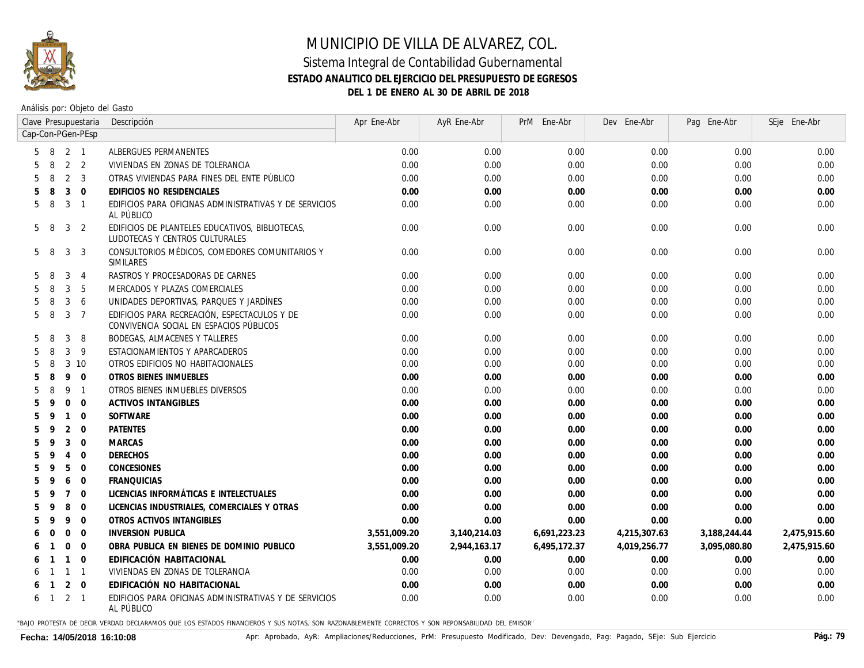

#### Sistema Integral de Contabilidad Gubernamental **ESTADO ANALITICO DEL EJERCICIO DEL PRESUPUESTO DE EGRESOS DEL 1 DE ENERO AL 30 DE ABRIL DE 2018**

Análisis por: Objeto del Gasto

|   |              |                | Clave Presupuestaria | Descripción                                                                             | Apr Ene-Abr  | AyR Ene-Abr  | PrM Ene-Abr  | Dev Ene-Abr  | Pag Ene-Abr  | SEje Ene-Abr |
|---|--------------|----------------|----------------------|-----------------------------------------------------------------------------------------|--------------|--------------|--------------|--------------|--------------|--------------|
|   |              |                | Cap-Con-PGen-PEsp    |                                                                                         |              |              |              |              |              |              |
| 5 | - 8          | 2 1            |                      | ALBERGUES PERMANENTES                                                                   | 0.00         | 0.00         | 0.00         | 0.00         | 0.00         | 0.00         |
|   | 8            |                | 2 <sub>2</sub>       | VIVIENDAS EN ZONAS DE TOLERANCIA                                                        | 0.00         | 0.00         | 0.00         | 0.00         | 0.00         | 0.00         |
| 5 | 8            | 2              | 3                    | OTRAS VIVIENDAS PARA FINES DEL ENTE PÚBLICO                                             | 0.00         | 0.00         | 0.00         | 0.00         | 0.00         | 0.00         |
| 5 | 8            | 3              | $\overline{0}$       | EDIFICIOS NO RESIDENCIALES                                                              | 0.00         | 0.00         | 0.00         | 0.00         | 0.00         | 0.00         |
| 5 | 8            | 3              | $\overline{1}$       | EDIFICIOS PARA OFICINAS ADMINISTRATIVAS Y DE SERVICIOS<br>AL PÚBLICO                    | 0.00         | 0.00         | 0.00         | 0.00         | 0.00         | 0.00         |
| 5 | -8           | 3              | 2                    | EDIFICIOS DE PLANTELES EDUCATIVOS, BIBLIOTECAS,<br>LUDOTECAS Y CENTROS CULTURALES       | 0.00         | 0.00         | 0.00         | 0.00         | 0.00         | 0.00         |
| 5 | -8           | 3              | 3                    | CONSULTORIOS MÉDICOS, COMEDORES COMUNITARIOS Y<br>SIMILARES                             | 0.00         | 0.00         | 0.00         | 0.00         | 0.00         | 0.00         |
| 5 | 8            | 3              | $\overline{4}$       | RASTROS Y PROCESADORAS DE CARNES                                                        | 0.00         | 0.00         | 0.00         | 0.00         | 0.00         | 0.00         |
| 5 | 8            | 3              | 5                    | MERCADOS Y PLAZAS COMERCIALES                                                           | 0.00         | 0.00         | 0.00         | 0.00         | 0.00         | 0.00         |
| 5 | 8            | 3              | 6                    | UNIDADES DEPORTIVAS, PARQUES Y JARDÍNES                                                 | 0.00         | 0.00         | 0.00         | 0.00         | 0.00         | 0.00         |
| 5 | 8            | 3              | $\overline{7}$       | EDIFICIOS PARA RECREACIÓN, ESPECTACULOS Y DE<br>CONVIVENCIA SOCIAL EN ESPACIOS PÚBLICOS | 0.00         | 0.00         | 0.00         | 0.00         | 0.00         | 0.00         |
| 5 | 8            | 3              | 8                    | <b>BODEGAS, ALMACENES Y TALLERES</b>                                                    | 0.00         | 0.00         | 0.00         | 0.00         | 0.00         | 0.00         |
|   | 8            | 3              | -9                   | ESTACIONAMIENTOS Y APARCADEROS                                                          | 0.00         | 0.00         | 0.00         | 0.00         | 0.00         | 0.00         |
| 5 | 8            |                | 3 10                 | OTROS EDIFICIOS NO HABITACIONALES                                                       | 0.00         | 0.00         | 0.00         | 0.00         | 0.00         | 0.00         |
| 5 | 8            | 9              | $\Omega$             | <b>OTROS BIENES INMUEBLES</b>                                                           | 0.00         | 0.00         | 0.00         | 0.00         | 0.00         | 0.00         |
| 5 | 8            | 9              | $\overline{1}$       | OTROS BIENES INMUEBLES DIVERSOS                                                         | 0.00         | 0.00         | 0.00         | 0.00         | 0.00         | 0.00         |
|   | q            | $\mathbf 0$    | $\Omega$             | <b>ACTIVOS INTANGIBLES</b>                                                              | 0.00         | 0.00         | 0.00         | 0.00         | 0.00         | 0.00         |
| 5 | $\mathsf q$  | $\mathbf{1}$   | $\Omega$             | <b>SOFTWARE</b>                                                                         | 0.00         | 0.00         | 0.00         | 0.00         | 0.00         | 0.00         |
|   | q            | 2              | $\overline{0}$       | <b>PATENTES</b>                                                                         | 0.00         | 0.00         | 0.00         | 0.00         | 0.00         | 0.00         |
| 5 | q            | 3              | $\Omega$             | <b>MARCAS</b>                                                                           | 0.00         | 0.00         | 0.00         | 0.00         | 0.00         | 0.00         |
| 5 | q            | $\overline{4}$ | $\Omega$             | <b>DERECHOS</b>                                                                         | 0.00         | 0.00         | 0.00         | 0.00         | 0.00         | 0.00         |
| 5 | q            | 5              | $\overline{0}$       | CONCESIONES                                                                             | 0.00         | 0.00         | 0.00         | 0.00         | 0.00         | 0.00         |
|   | q            | 6              | $\Omega$             | <b>FRANQUICIAS</b>                                                                      | 0.00         | 0.00         | 0.00         | 0.00         | 0.00         | 0.00         |
|   | q            | $\overline{7}$ | $\Omega$             | LICENCIAS INFORMÁTICAS E INTELECTUALES                                                  | 0.00         | 0.00         | 0.00         | 0.00         | 0.00         | 0.00         |
|   | q            | 8              | $\overline{0}$       | LICENCIAS INDUSTRIALES, COMERCIALES Y OTRAS                                             | 0.00         | 0.00         | 0.00         | 0.00         | 0.00         | 0.00         |
|   | q            | 9              | $\Omega$             | OTROS ACTIVOS INTANGIBLES                                                               | 0.00         | 0.00         | 0.00         | 0.00         | 0.00         | 0.00         |
|   | $\Omega$     | $\mathbf 0$    | $\Omega$             | <b>INVERSION PUBLICA</b>                                                                | 3,551,009.20 | 3,140,214.03 | 6,691,223.23 | 4,215,307.63 | 3,188,244.44 | 2,475,915.60 |
|   |              | $\mathbf 0$    | $\overline{0}$       | OBRA PUBLICA EN BIENES DE DOMINIO PUBLICO                                               | 3,551,009.20 | 2,944,163.17 | 6,495,172.37 | 4,019,256.77 | 3,095,080.80 | 2,475,915.60 |
|   |              | $\mathbf{1}$   | $\overline{0}$       | EDIFICACIÓN HABITACIONAL                                                                | 0.00         | 0.00         | 0.00         | 0.00         | 0.00         | 0.00         |
|   |              | $\mathbf{1}$   | $\overline{1}$       | VIVIENDAS EN ZONAS DE TOLERANCIA                                                        | 0.00         | 0.00         | 0.00         | 0.00         | 0.00         | 0.00         |
|   |              | $\overline{2}$ | $\overline{0}$       | EDIFICACIÓN NO HABITACIONAL                                                             | 0.00         | 0.00         | 0.00         | 0.00         | 0.00         | 0.00         |
| 6 | $\mathbf{1}$ | $2 \quad 1$    |                      | EDIFICIOS PARA OFICINAS ADMINISTRATIVAS Y DE SERVICIOS<br>AL PÚBLICO                    | 0.00         | 0.00         | 0.00         | 0.00         | 0.00         | 0.00         |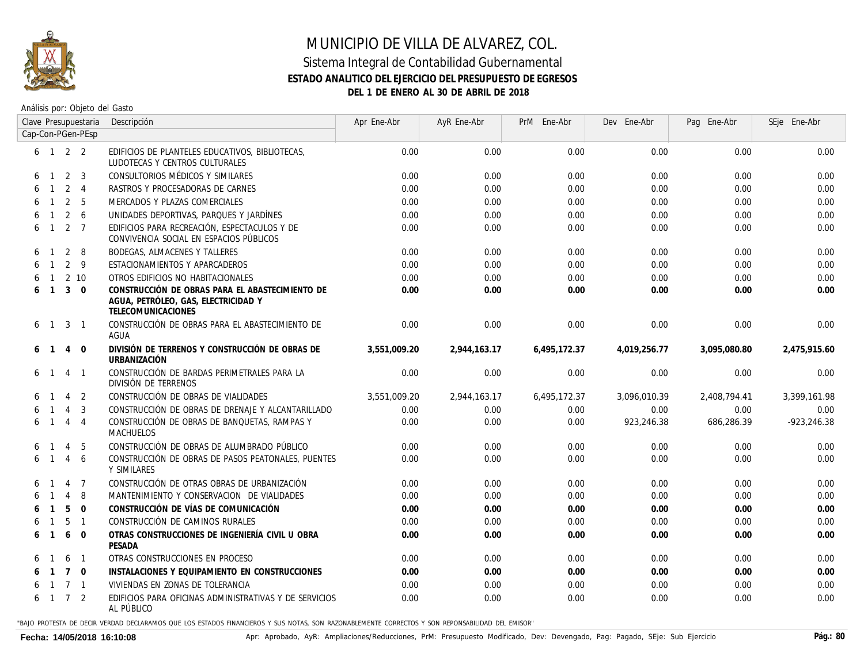

### MUNICIPIO DE VILLA DE ALVAREZ, COL. Sistema Integral de Contabilidad Gubernamental **ESTADO ANALITICO DEL EJERCICIO DEL PRESUPUESTO DE EGRESOS**

**DEL 1 DE ENERO AL 30 DE ABRIL DE 2018**

Análisis por: Objeto del Gasto

|   | Clave Presupuestaria |                |                             | Descripción                                                                                                         | Apr Ene-Abr  | AyR Ene-Abr  | PrM Ene-Abr  | Dev Ene-Abr  | Pag Ene-Abr  | SEje Ene-Abr    |
|---|----------------------|----------------|-----------------------------|---------------------------------------------------------------------------------------------------------------------|--------------|--------------|--------------|--------------|--------------|-----------------|
|   |                      |                | Cap-Con-PGen-PEsp           |                                                                                                                     |              |              |              |              |              |                 |
|   |                      |                | $6 \quad 1 \quad 2 \quad 2$ | EDIFICIOS DE PLANTELES EDUCATIVOS, BIBLIOTECAS,<br>LUDOTECAS Y CENTROS CULTURALES                                   | 0.00         | 0.00         | 0.00         | 0.00         | 0.00         | 0.00            |
| 6 | $\overline{1}$       | 2              | 3                           | CONSULTORIOS MÉDICOS Y SIMILARES                                                                                    | 0.00         | 0.00         | 0.00         | 0.00         | 0.00         | 0.00            |
|   |                      | 2              | $\overline{4}$              | RASTROS Y PROCESADORAS DE CARNES                                                                                    | 0.00         | 0.00         | 0.00         | 0.00         | 0.00         | 0.00            |
|   |                      | 2              | - 5                         | MERCADOS Y PLAZAS COMERCIALES                                                                                       | 0.00         | 0.00         | 0.00         | 0.00         | 0.00         | 0.00            |
|   |                      | 2              | 6                           | UNIDADES DEPORTIVAS, PARQUES Y JARDÍNES                                                                             | 0.00         | 0.00         | 0.00         | 0.00         | 0.00         | 0.00            |
| 6 | -1                   | 2              | $\overline{7}$              | EDIFICIOS PARA RECREACIÓN, ESPECTACULOS Y DE<br>CONVIVENCIA SOCIAL EN ESPACIOS PÚBLICOS                             | 0.00         | 0.00         | 0.00         | 0.00         | 0.00         | 0.00            |
|   | $\mathbf{1}$         | 2              | -8                          | <b>BODEGAS, ALMACENES Y TALLERES</b>                                                                                | 0.00         | 0.00         | 0.00         | 0.00         | 0.00         | 0.00            |
|   | $\overline{1}$       | 2              | - 9                         | ESTACIONAMIENTOS Y APARCADEROS                                                                                      | 0.00         | 0.00         | 0.00         | 0.00         | 0.00         | 0.00            |
|   | $\overline{1}$       |                | 2 10                        | OTROS EDIFICIOS NO HABITACIONALES                                                                                   | 0.00         | 0.00         | 0.00         | 0.00         | 0.00         | 0.00            |
|   | $\overline{1}$       | 3              | $\Omega$                    | CONSTRUCCIÓN DE OBRAS PARA EL ABASTECIMIENTO DE<br>AGUA, PETRÓLEO, GAS, ELECTRICIDAD Y<br><b>TELECOMUNICACIONES</b> | 0.00         | 0.00         | 0.00         | 0.00         | 0.00         | 0.00            |
| 6 | $\overline{1}$       | 3              | $\overline{1}$              | CONSTRUCCIÓN DE OBRAS PARA EL ABASTECIMIENTO DE<br>AGUA                                                             | 0.00         | 0.00         | 0.00         | 0.00         | 0.00         | 0.00            |
| 6 | $\overline{1}$       | 4              | $\overline{0}$              | DIVISIÓN DE TERRENOS Y CONSTRUCCIÓN DE OBRAS DE<br><b>URBANIZACIÓN</b>                                              | 3,551,009.20 | 2,944,163.17 | 6,495,172.37 | 4,019,256.77 | 3,095,080.80 | 2,475,915.60    |
| 6 |                      | $\overline{4}$ | $\overline{1}$              | CONSTRUCCIÓN DE BARDAS PERIMETRALES PARA LA<br>DIVISIÓN DE TERRENOS                                                 | 0.00         | 0.00         | 0.00         | 0.00         | 0.00         | 0.00            |
|   |                      | $\overline{4}$ | 2                           | CONSTRUCCIÓN DE OBRAS DE VIALIDADES                                                                                 | 3,551,009.20 | 2,944,163.17 | 6,495,172.37 | 3,096,010.39 | 2,408,794.41 | 3,399,161.98    |
|   |                      | $\overline{4}$ | 3                           | CONSTRUCCIÓN DE OBRAS DE DRENAJE Y ALCANTARILLADO                                                                   | 0.00         | 0.00         | 0.00         | 0.00         | 0.00         | 0.00            |
|   | $\overline{1}$       | $\overline{4}$ | $\overline{4}$              | CONSTRUCCIÓN DE OBRAS DE BANQUETAS, RAMPAS Y<br><i>MACHUELOS</i>                                                    | 0.00         | 0.00         | 0.00         | 923,246.38   | 686,286.39   | $-923, 246, 38$ |
|   |                      | 4              | 5                           | CONSTRUCCIÓN DE OBRAS DE ALUMBRADO PÚBLICO                                                                          | 0.00         | 0.00         | 0.00         | 0.00         | 0.00         | 0.00            |
| 6 |                      | $\overline{4}$ | 6                           | CONSTRUCCIÓN DE OBRAS DE PASOS PEATONALES, PUENTES<br>Y SIMILARES                                                   | 0.00         | 0.00         | 0.00         | 0.00         | 0.00         | 0.00            |
|   |                      | $\overline{4}$ | $\overline{7}$              | CONSTRUCCIÓN DE OTRAS OBRAS DE URBANIZACIÓN                                                                         | 0.00         | 0.00         | 0.00         | 0.00         | 0.00         | 0.00            |
|   |                      | $\overline{4}$ | 8                           | MANTENIMIENTO Y CONSERVACION DE VIALIDADES                                                                          | 0.00         | 0.00         | 0.00         | 0.00         | 0.00         | 0.00            |
|   |                      | 5              | $\mathbf{0}$                | CONSTRUCCIÓN DE VÍAS DE COMUNICACIÓN                                                                                | 0.00         | 0.00         | 0.00         | 0.00         | 0.00         | 0.00            |
|   |                      | 5              | $\overline{1}$              | CONSTRUCCIÓN DE CAMINOS RURALES                                                                                     | 0.00         | 0.00         | 0.00         | 0.00         | 0.00         | 0.00            |
|   |                      | 6              | $\Omega$                    | OTRAS CONSTRUCCIONES DE INGENIERÍA CIVIL U OBRA<br>PESADA                                                           | 0.00         | 0.00         | 0.00         | 0.00         | 0.00         | 0.00            |
|   |                      | 6              | $\overline{1}$              | OTRAS CONSTRUCCIONES EN PROCESO                                                                                     | 0.00         | 0.00         | 0.00         | 0.00         | 0.00         | 0.00            |
|   |                      | $\overline{7}$ | $\Omega$                    | INSTALACIONES Y EQUIPAMIENTO EN CONSTRUCCIONES                                                                      | 0.00         | 0.00         | 0.00         | 0.00         | 0.00         | 0.00            |
|   |                      | $\overline{7}$ | $\overline{1}$              | VIVIENDAS EN ZONAS DE TOLERANCIA                                                                                    | 0.00         | 0.00         | 0.00         | 0.00         | 0.00         | 0.00            |
| 6 | $\overline{1}$       | $\overline{7}$ | 2                           | EDIFICIOS PARA OFICINAS ADMINISTRATIVAS Y DE SERVICIOS<br>AL PÚBLICO                                                | 0.00         | 0.00         | 0.00         | 0.00         | 0.00         | 0.00            |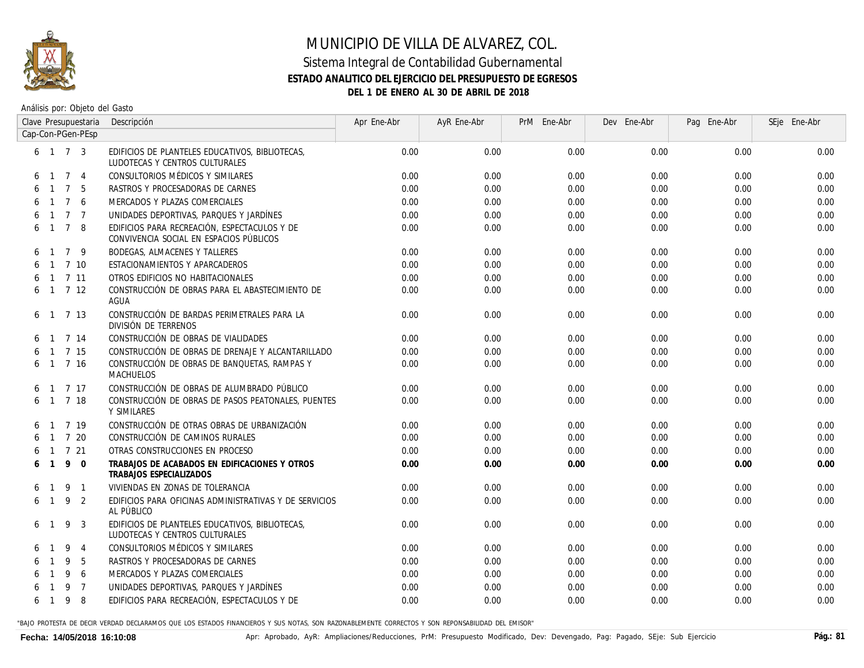

#### **ESTADO ANALITICO DEL EJERCICIO DEL PRESUPUESTO DE EGRESOS**

**DEL 1 DE ENERO AL 30 DE ABRIL DE 2018**

Análisis por: Objeto del Gasto

|   |                |                 | Clave Presupuestaria | Descripción                                                                             | Apr Ene-Abr | AyR Ene-Abr | PrM Ene-Abr | Dev Ene-Abr | Pag Ene-Abr | SEje Ene-Abr |
|---|----------------|-----------------|----------------------|-----------------------------------------------------------------------------------------|-------------|-------------|-------------|-------------|-------------|--------------|
|   |                |                 | Cap-Con-PGen-PEsp    |                                                                                         |             |             |             |             |             |              |
|   |                |                 | 6 1 7 3              | EDIFICIOS DE PLANTELES EDUCATIVOS, BIBLIOTECAS,<br>LUDOTECAS Y CENTROS CULTURALES       | 0.00        | 0.00        | 0.00        | 0.00        | 0.00        | 0.00         |
|   | $\overline{1}$ | $\overline{7}$  | $\overline{4}$       | CONSULTORIOS MÉDICOS Y SIMILARES                                                        | 0.00        | 0.00        | 0.00        | 0.00        | 0.00        | 0.00         |
|   |                | $\overline{7}$  | - 5                  | RASTROS Y PROCESADORAS DE CARNES                                                        | 0.00        | 0.00        | 0.00        | 0.00        | 0.00        | 0.00         |
|   |                | $7\overline{ }$ | 6                    | MERCADOS Y PLAZAS COMERCIALES                                                           | 0.00        | 0.00        | 0.00        | 0.00        | 0.00        | 0.00         |
|   |                | $\overline{7}$  | $\overline{7}$       | UNIDADES DEPORTIVAS, PARQUES Y JARDÍNES                                                 | 0.00        | 0.00        | 0.00        | 0.00        | 0.00        | 0.00         |
| 6 | $\overline{1}$ | $\overline{7}$  | -8                   | EDIFICIOS PARA RECREACIÓN. ESPECTACULOS Y DE<br>CONVIVENCIA SOCIAL EN ESPACIOS PÚBLICOS | 0.00        | 0.00        | 0.00        | 0.00        | 0.00        | 0.00         |
| 6 |                |                 | 79                   | <b>BODEGAS, ALMACENES Y TALLERES</b>                                                    | 0.00        | 0.00        | 0.00        | 0.00        | 0.00        | 0.00         |
| 6 |                |                 | $1 \t7 \t10$         | ESTACIONAMIENTOS Y APARCADEROS                                                          | 0.00        | 0.00        | 0.00        | 0.00        | 0.00        | 0.00         |
| 6 |                |                 | $1 \t7 \t11$         | OTROS EDIFICIOS NO HABITACIONALES                                                       | 0.00        | 0.00        | 0.00        | 0.00        | 0.00        | 0.00         |
|   |                |                 | 6 1 7 12             | CONSTRUCCIÓN DE OBRAS PARA EL ABASTECIMIENTO DE<br>AGUA                                 | 0.00        | 0.00        | 0.00        | 0.00        | 0.00        | 0.00         |
| 6 | $\mathbf{1}$   |                 | 7 13                 | CONSTRUCCIÓN DE BARDAS PERIMETRALES PARA LA<br>DIVISIÓN DE TERRENOS                     | 0.00        | 0.00        | 0.00        | 0.00        | 0.00        | 0.00         |
| 6 |                |                 | $1 \quad 7 \quad 14$ | CONSTRUCCIÓN DE OBRAS DE VIALIDADES                                                     | 0.00        | 0.00        | 0.00        | 0.00        | 0.00        | 0.00         |
| 6 |                |                 | $1 \quad 7 \quad 15$ | CONSTRUCCIÓN DE OBRAS DE DRENAJE Y ALCANTARILLADO                                       | 0.00        | 0.00        | 0.00        | 0.00        | 0.00        | 0.00         |
| 6 | $\overline{1}$ |                 | 7 16                 | CONSTRUCCIÓN DE OBRAS DE BANQUETAS, RAMPAS Y<br>MACHUELOS                               | 0.00        | 0.00        | 0.00        | 0.00        | 0.00        | 0.00         |
|   |                |                 | $1 \t7 \t17$         | CONSTRUCCIÓN DE OBRAS DE ALUMBRADO PÚBLICO                                              | 0.00        | 0.00        | 0.00        | 0.00        | 0.00        | 0.00         |
| 6 |                |                 | $1 \t7 \t18$         | CONSTRUCCIÓN DE OBRAS DE PASOS PEATONALES, PUENTES<br>Y SIMILARES                       | 0.00        | 0.00        | 0.00        | 0.00        | 0.00        | 0.00         |
| 6 |                |                 | 7 19                 | CONSTRUCCIÓN DE OTRAS OBRAS DE URBANIZACIÓN                                             | 0.00        | 0.00        | 0.00        | 0.00        | 0.00        | 0.00         |
|   |                |                 | $1 \quad 7 \quad 20$ | CONSTRUCCIÓN DE CAMINOS RURALES                                                         | 0.00        | 0.00        | 0.00        | 0.00        | 0.00        | 0.00         |
|   |                |                 | $1 \t7 \t21$         | OTRAS CONSTRUCCIONES EN PROCESO                                                         | 0.00        | 0.00        | 0.00        | 0.00        | 0.00        | 0.00         |
|   | $\overline{1}$ | 9               | $\Omega$             | TRABAJOS DE ACABADOS EN EDIFICACIONES Y OTROS<br>TRABAJOS ESPECIALIZADOS                | 0.00        | 0.00        | 0.00        | 0.00        | 0.00        | 0.00         |
| 6 |                | 9               | $\overline{1}$       | VIVIENDAS EN ZONAS DE TOLERANCIA                                                        | 0.00        | 0.00        | 0.00        | 0.00        | 0.00        | 0.00         |
|   | 6 1            | 9               | 2                    | EDIFICIOS PARA OFICINAS ADMINISTRATIVAS Y DE SERVICIOS<br>AL PÚBLICO                    | 0.00        | 0.00        | 0.00        | 0.00        | 0.00        | 0.00         |
| 6 |                | 9               | 3                    | EDIFICIOS DE PLANTELES EDUCATIVOS, BIBLIOTECAS,<br>LUDOTECAS Y CENTROS CULTURALES       | 0.00        | 0.00        | 0.00        | 0.00        | 0.00        | 0.00         |
|   |                | 9               | -4                   | CONSULTORIOS MÉDICOS Y SIMILARES                                                        | 0.00        | 0.00        | 0.00        | 0.00        | 0.00        | 0.00         |
|   |                | 9               | 5                    | RASTROS Y PROCESADORAS DE CARNES                                                        | 0.00        | 0.00        | 0.00        | 0.00        | 0.00        | 0.00         |
|   |                | 9               | 6                    | MERCADOS Y PLAZAS COMERCIALES                                                           | 0.00        | 0.00        | 0.00        | 0.00        | 0.00        | 0.00         |
|   |                | 9               | $\overline{7}$       | UNIDADES DEPORTIVAS, PARQUES Y JARDÍNES                                                 | 0.00        | 0.00        | 0.00        | 0.00        | 0.00        | 0.00         |
| 6 | $\overline{1}$ | 9               | 8                    | EDIFICIOS PARA RECREACIÓN, ESPECTACULOS Y DE                                            | 0.00        | 0.00        | 0.00        | 0.00        | 0.00        | 0.00         |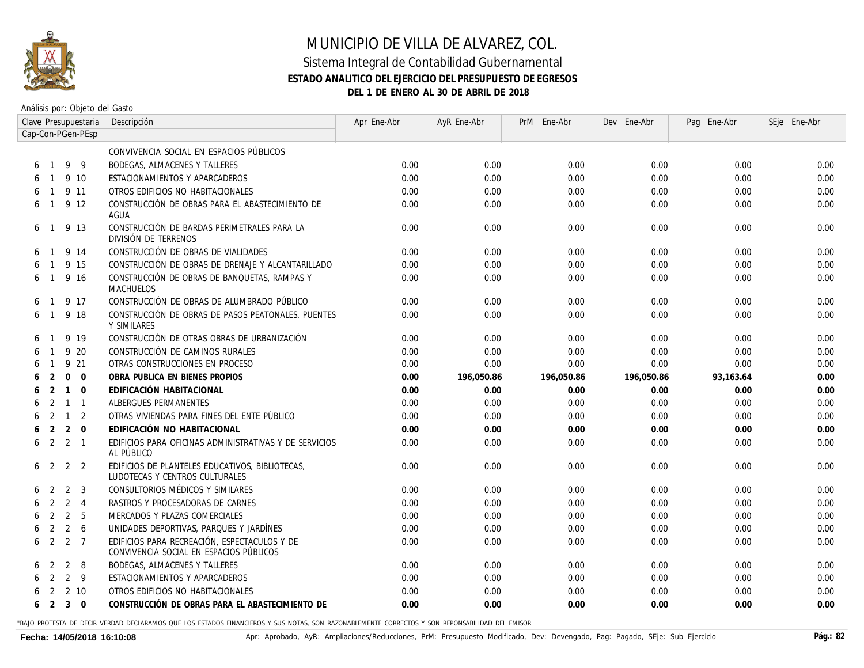

#### Sistema Integral de Contabilidad Gubernamental **ESTADO ANALITICO DEL EJERCICIO DEL PRESUPUESTO DE EGRESOS DEL 1 DE ENERO AL 30 DE ABRIL DE 2018**

Análisis por: Objeto del Gasto

|   | Clave Presupuestaria |                |                       | Descripción                                                                             | Apr Ene-Abr | AyR Ene-Abr | PrM Ene-Abr | Dev Ene-Abr | Pag Ene-Abr | SEje Ene-Abr |
|---|----------------------|----------------|-----------------------|-----------------------------------------------------------------------------------------|-------------|-------------|-------------|-------------|-------------|--------------|
|   |                      |                | Cap-Con-PGen-PEsp     |                                                                                         |             |             |             |             |             |              |
|   |                      |                |                       | CONVIVENCIA SOCIAL EN ESPACIOS PÚBLICOS                                                 |             |             |             |             |             |              |
| 6 | $\overline{1}$       |                | 99                    | BODEGAS, ALMACENES Y TALLERES                                                           | 0.00        | 0.00        | 0.00        | 0.00        | 0.00        | 0.00         |
|   |                      |                | 9 10                  | ESTACIONAMIENTOS Y APARCADEROS                                                          | 0.00        | 0.00        | 0.00        | 0.00        | 0.00        | 0.00         |
|   |                      |                | 9 11                  | OTROS EDIFICIOS NO HABITACIONALES                                                       | 0.00        | 0.00        | 0.00        | 0.00        | 0.00        | 0.00         |
|   |                      |                | 9 12                  | CONSTRUCCIÓN DE OBRAS PARA EL ABASTECIMIENTO DE<br>AGUA                                 | 0.00        | 0.00        | 0.00        | 0.00        | 0.00        | 0.00         |
| 6 | -1                   |                | 9 13                  | CONSTRUCCIÓN DE BARDAS PERIMETRALES PARA LA<br>DIVISIÓN DE TERRENOS                     | 0.00        | 0.00        | 0.00        | 0.00        | 0.00        | 0.00         |
|   |                      |                | 9 14                  | CONSTRUCCIÓN DE OBRAS DE VIALIDADES                                                     | 0.00        | 0.00        | 0.00        | 0.00        | 0.00        | 0.00         |
|   |                      |                | 9 15                  | CONSTRUCCIÓN DE OBRAS DE DRENAJE Y ALCANTARILLADO                                       | 0.00        | 0.00        | 0.00        | 0.00        | 0.00        | 0.00         |
| 6 |                      |                | 9 16                  | CONSTRUCCIÓN DE OBRAS DE BANQUETAS, RAMPAS Y<br><b>MACHUELOS</b>                        | 0.00        | 0.00        | 0.00        | 0.00        | 0.00        | 0.00         |
| 6 | $\mathbf{1}$         |                | 9 17                  | CONSTRUCCIÓN DE OBRAS DE ALUMBRADO PÚBLICO                                              | 0.00        | 0.00        | 0.00        | 0.00        | 0.00        | 0.00         |
| 6 | $\overline{1}$       |                | 9 18                  | CONSTRUCCIÓN DE OBRAS DE PASOS PEATONALES, PUENTES<br>Y SIMILARES                       | 0.00        | 0.00        | 0.00        | 0.00        | 0.00        | 0.00         |
|   |                      |                | 9 19                  | CONSTRUCCIÓN DE OTRAS OBRAS DE URBANIZACIÓN                                             | 0.00        | 0.00        | 0.00        | 0.00        | 0.00        | 0.00         |
|   |                      |                | 9 20                  | CONSTRUCCIÓN DE CAMINOS RURALES                                                         | 0.00        | 0.00        | 0.00        | 0.00        | 0.00        | 0.00         |
|   |                      |                | 9 21                  | OTRAS CONSTRUCCIONES EN PROCESO                                                         | 0.00        | 0.00        | 0.00        | 0.00        | 0.00        | 0.00         |
|   |                      | $\Omega$       | $\Omega$              | OBRA PUBLICA EN BIENES PROPIOS                                                          | 0.00        | 196,050.86  | 196,050.86  | 196,050.86  | 93,163.64   | 0.00         |
|   | $\mathcal{P}$        | $\mathbf{1}$   | $\Omega$              | EDIFICACIÓN HABITACIONAL                                                                | 0.00        | 0.00        | 0.00        | 0.00        | 0.00        | 0.00         |
|   | $\mathcal{P}$        | $\mathbf{1}$   | $\overline{1}$        | ALBERGUES PERMANENTES                                                                   | 0.00        | 0.00        | 0.00        | 0.00        | 0.00        | 0.00         |
|   | -2                   | $\mathbf{1}$   | 2                     | OTRAS VIVIENDAS PARA FINES DEL ENTE PÚBLICO                                             | 0.00        | 0.00        | 0.00        | 0.00        | 0.00        | 0.00         |
| 6 | 2                    | 2              | $\Omega$              | EDIFICACIÓN NO HABITACIONAL                                                             | 0.00        | 0.00        | 0.00        | 0.00        | 0.00        | 0.00         |
| 6 |                      |                | $2 \quad 2 \quad 1$   | EDIFICIOS PARA OFICINAS ADMINISTRATIVAS Y DE SERVICIOS<br>AL PÚBLICO                    | 0.00        | 0.00        | 0.00        | 0.00        | 0.00        | 0.00         |
| 6 | 2                    |                | 2<br>$\overline{2}$   | EDIFICIOS DE PLANTELES EDUCATIVOS, BIBLIOTECAS,<br>LUDOTECAS Y CENTROS CULTURALES       | 0.00        | 0.00        | 0.00        | 0.00        | 0.00        | 0.00         |
| 6 | $\mathcal{P}$        | 2              | -3                    | CONSULTORIOS MÉDICOS Y SIMILARES                                                        | 0.00        | 0.00        | 0.00        | 0.00        | 0.00        | 0.00         |
|   | 2                    | 2              | $\overline{4}$        | RASTROS Y PROCESADORAS DE CARNES                                                        | 0.00        | 0.00        | 0.00        | 0.00        | 0.00        | 0.00         |
|   | 2                    |                | $\overline{2}$<br>- 5 | MERCADOS Y PLAZAS COMERCIALES                                                           | 0.00        | 0.00        | 0.00        | 0.00        | 0.00        | 0.00         |
| 6 | 2                    | $\overline{2}$ | 6                     | UNIDADES DEPORTIVAS, PARQUES Y JARDÍNES                                                 | 0.00        | 0.00        | 0.00        | 0.00        | 0.00        | 0.00         |
| 6 | 2                    | 2              | $\overline{7}$        | EDIFICIOS PARA RECREACIÓN. ESPECTACULOS Y DE<br>CONVIVENCIA SOCIAL EN ESPACIOS PÚBLICOS | 0.00        | 0.00        | 0.00        | 0.00        | 0.00        | 0.00         |
|   | 2                    |                | 2<br>- 8              | BODEGAS, ALMACENES Y TALLERES                                                           | 0.00        | 0.00        | 0.00        | 0.00        | 0.00        | 0.00         |
|   | 2                    |                | $2 \overline{9}$      | ESTACIONAMIENTOS Y APARCADEROS                                                          | 0.00        | 0.00        | 0.00        | 0.00        | 0.00        | 0.00         |
|   | 2                    |                | 2 10                  | OTROS EDIFICIOS NO HABITACIONALES                                                       | 0.00        | 0.00        | 0.00        | 0.00        | 0.00        | 0.00         |
|   | 6 2                  |                | $3 \quad 0$           | CONSTRUCCIÓN DE OBRAS PARA EL ABASTECIMIENTO DE                                         | 0.00        | 0.00        | 0.00        | 0.00        | 0.00        | 0.00         |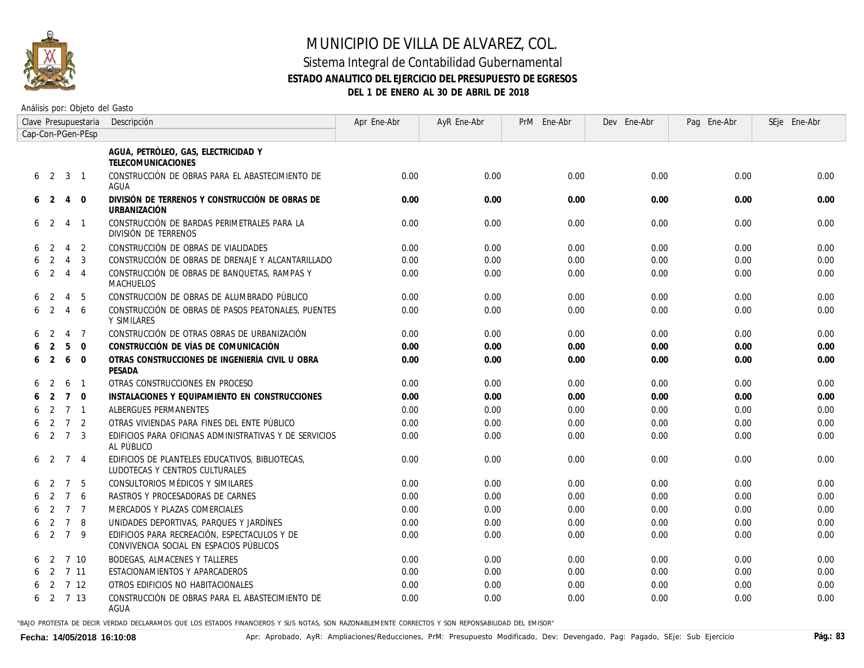

#### Sistema Integral de Contabilidad Gubernamental **ESTADO ANALITICO DEL EJERCICIO DEL PRESUPUESTO DE EGRESOS DEL 1 DE ENERO AL 30 DE ABRIL DE 2018**

Análisis por: Objeto del Gasto

|   | Clave Presupuestaria |                |                   | Descripción                                                                             | Apr Ene-Abr | AyR Ene-Abr | PrM Ene-Abr | Dev Ene-Abr | Pag Ene-Abr | SEje Ene-Abr |
|---|----------------------|----------------|-------------------|-----------------------------------------------------------------------------------------|-------------|-------------|-------------|-------------|-------------|--------------|
|   |                      |                | Cap-Con-PGen-PEsp |                                                                                         |             |             |             |             |             |              |
|   |                      |                |                   | AGUA, PETRÓLEO, GAS, ELECTRICIDAD Y<br><b>TELECOMUNICACIONES</b>                        |             |             |             |             |             |              |
|   | 6 <sub>2</sub>       | 3              | $\overline{1}$    | CONSTRUCCIÓN DE OBRAS PARA EL ABASTECIMIENTO DE<br>AGUA                                 | 0.00        | 0.00        | 0.00        | 0.00        | 0.00        | 0.00         |
| 6 | $\overline{2}$       | $\overline{4}$ | $\mathbf 0$       | DIVISIÓN DE TERRENOS Y CONSTRUCCIÓN DE OBRAS DE<br><b>URBANIZACIÓN</b>                  | 0.00        | 0.00        | 0.00        | 0.00        | 0.00        | 0.00         |
| 6 | $\overline{2}$       | 4              | $\overline{1}$    | CONSTRUCCIÓN DE BARDAS PERIMETRALES PARA LA<br>DIVISIÓN DE TERRENOS                     | 0.00        | 0.00        | 0.00        | 0.00        | 0.00        | 0.00         |
|   | $\mathcal{L}$        | $\overline{4}$ | 2                 | CONSTRUCCIÓN DE OBRAS DE VIALIDADES                                                     | 0.00        | 0.00        | 0.00        | 0.00        | 0.00        | 0.00         |
|   | 2                    | $\overline{4}$ | 3                 | CONSTRUCCIÓN DE OBRAS DE DRENAJE Y ALCANTARILLADO                                       | 0.00        | 0.00        | 0.00        | 0.00        | 0.00        | 0.00         |
| 6 | 2                    | 4              | $\overline{4}$    | CONSTRUCCIÓN DE OBRAS DE BANQUETAS, RAMPAS Y<br>MACHUELOS                               | 0.00        | 0.00        | 0.00        | 0.00        | 0.00        | 0.00         |
|   | 2                    | 4              | 5                 | CONSTRUCCIÓN DE OBRAS DE ALUMBRADO PÚBLICO                                              | 0.00        | 0.00        | 0.00        | 0.00        | 0.00        | 0.00         |
| 6 | 2                    | 4              | 6                 | CONSTRUCCIÓN DE OBRAS DE PASOS PEATONALES, PUENTES<br>Y SIMILARES                       | 0.00        | 0.00        | 0.00        | 0.00        | 0.00        | 0.00         |
| 6 | $\mathcal{L}$        | $\overline{4}$ | $\overline{7}$    | CONSTRUCCIÓN DE OTRAS OBRAS DE URBANIZACIÓN                                             | 0.00        | 0.00        | 0.00        | 0.00        | 0.00        | 0.00         |
|   | 2                    | 5              | $\mathbf 0$       | CONSTRUCCIÓN DE VÍAS DE COMUNICACIÓN                                                    | 0.00        | 0.00        | 0.00        | 0.00        | 0.00        | 0.00         |
| 6 | 2                    | 6              | $\Omega$          | OTRAS CONSTRUCCIONES DE INGENIERÍA CIVIL U OBRA<br>PESADA                               | 0.00        | 0.00        | 0.00        | 0.00        | 0.00        | 0.00         |
| 6 |                      | 6              | $\overline{1}$    | OTRAS CONSTRUCCIONES EN PROCESO                                                         | 0.00        | 0.00        | 0.00        | 0.00        | 0.00        | 0.00         |
|   | 2                    | $\overline{7}$ | $\mathbf 0$       | INSTALACIONES Y EQUIPAMIENTO EN CONSTRUCCIONES                                          | 0.00        | 0.00        | 0.00        | 0.00        | 0.00        | 0.00         |
| 6 | $\overline{2}$       | $\overline{7}$ | $\overline{1}$    | ALBERGUES PERMANENTES                                                                   | 0.00        | 0.00        | 0.00        | 0.00        | 0.00        | 0.00         |
|   | $\overline{2}$       | $\overline{7}$ | 2                 | OTRAS VIVIENDAS PARA FINES DEL ENTE PÚBLICO                                             | 0.00        | 0.00        | 0.00        | 0.00        | 0.00        | 0.00         |
| 6 | 2                    | $\overline{7}$ | 3                 | EDIFICIOS PARA OFICINAS ADMINISTRATIVAS Y DE SERVICIOS<br>AL PÚBLICO                    | 0.00        | 0.00        | 0.00        | 0.00        | 0.00        | 0.00         |
| 6 | -2                   | 7              | $\overline{4}$    | EDIFICIOS DE PLANTELES EDUCATIVOS, BIBLIOTECAS,<br>LUDOTECAS Y CENTROS CULTURALES       | 0.00        | 0.00        | 0.00        | 0.00        | 0.00        | 0.00         |
|   |                      | $\overline{7}$ | -5                | CONSULTORIOS MÉDICOS Y SIMILARES                                                        | 0.00        | 0.00        | 0.00        | 0.00        | 0.00        | 0.00         |
|   |                      | $\overline{7}$ | 6                 | RASTROS Y PROCESADORAS DE CARNES                                                        | 0.00        | 0.00        | 0.00        | 0.00        | 0.00        | 0.00         |
|   | $\mathcal{P}$        | $\overline{7}$ | $\overline{7}$    | MERCADOS Y PLAZAS COMERCIALES                                                           | 0.00        | 0.00        | 0.00        | 0.00        | 0.00        | 0.00         |
|   | 2                    | $\overline{7}$ | 8                 | UNIDADES DEPORTIVAS, PARQUES Y JARDÍNES                                                 | 0.00        | 0.00        | 0.00        | 0.00        | 0.00        | 0.00         |
| 6 | 2                    | $\overline{7}$ | 9                 | EDIFICIOS PARA RECREACIÓN. ESPECTACULOS Y DE<br>CONVIVENCIA SOCIAL EN ESPACIOS PÚBLICOS | 0.00        | 0.00        | 0.00        | 0.00        | 0.00        | 0.00         |
| 6 | 2                    |                | 7 10              | <b>BODEGAS, ALMACENES Y TALLERES</b>                                                    | 0.00        | 0.00        | 0.00        | 0.00        | 0.00        | 0.00         |
| 6 | 2                    | 7 11           |                   | ESTACIONAMIENTOS Y APARCADEROS                                                          | 0.00        | 0.00        | 0.00        | 0.00        | 0.00        | 0.00         |
| 6 | 2                    |                | 7 12              | OTROS EDIFICIOS NO HABITACIONALES                                                       | 0.00        | 0.00        | 0.00        | 0.00        | 0.00        | 0.00         |
| 6 |                      | 2 7 13         |                   | CONSTRUCCIÓN DE OBRAS PARA EL ABASTECIMIENTO DE<br>AGUA                                 | 0.00        | 0.00        | 0.00        | 0.00        | 0.00        | 0.00         |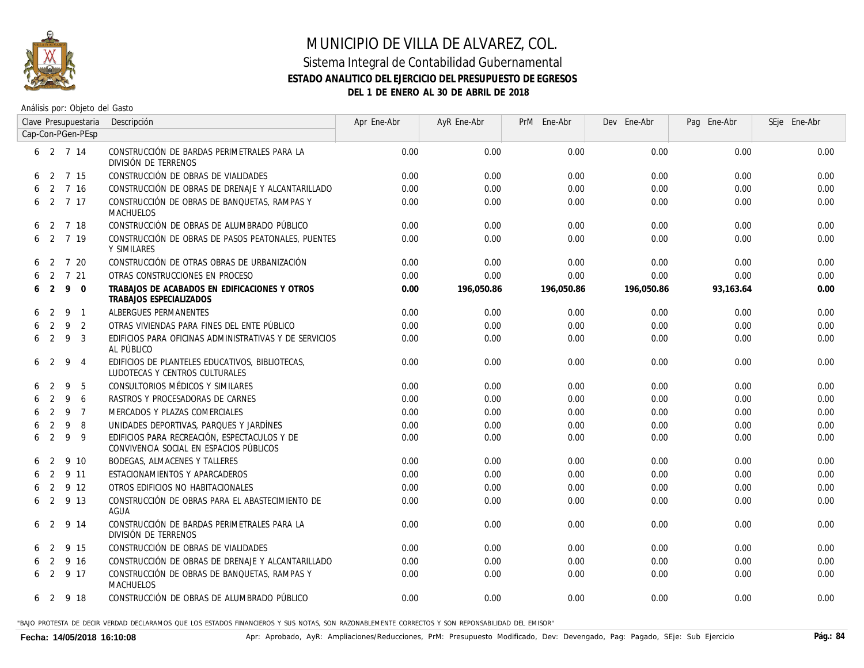

### MUNICIPIO DE VILLA DE ALVAREZ, COL. Sistema Integral de Contabilidad Gubernamental **ESTADO ANALITICO DEL EJERCICIO DEL PRESUPUESTO DE EGRESOS**

**DEL 1 DE ENERO AL 30 DE ABRIL DE 2018**

Análisis por: Objeto del Gasto

|   |                |    | Clave Presupuestaria | Descripción                                                                             | Apr Ene-Abr | AyR Ene-Abr | PrM Ene-Abr | Dev Ene-Abr | Pag Ene-Abr | SEje Ene-Abr |
|---|----------------|----|----------------------|-----------------------------------------------------------------------------------------|-------------|-------------|-------------|-------------|-------------|--------------|
|   |                |    | Cap-Con-PGen-PEsp    |                                                                                         |             |             |             |             |             |              |
|   | 6, 2, 7, 14    |    |                      | CONSTRUCCIÓN DE BARDAS PERIMETRALES PARA LA<br>DIVISIÓN DE TERRENOS                     | 0.00        | 0.00        | 0.00        | 0.00        | 0.00        | 0.00         |
|   | 6 <sup>2</sup> |    | 7 15                 | CONSTRUCCIÓN DE OBRAS DE VIALIDADES                                                     | 0.00        | 0.00        | 0.00        | 0.00        | 0.00        | 0.00         |
| 6 | 2              |    | 7 16                 | CONSTRUCCIÓN DE OBRAS DE DRENAJE Y ALCANTARILLADO                                       | 0.00        | 0.00        | 0.00        | 0.00        | 0.00        | 0.00         |
| 6 |                |    | 2 7 17               | CONSTRUCCIÓN DE OBRAS DE BANQUETAS, RAMPAS Y<br>MACHUELOS                               | 0.00        | 0.00        | 0.00        | 0.00        | 0.00        | 0.00         |
| 6 |                |    | 2 7 18               | CONSTRUCCIÓN DE OBRAS DE ALUMBRADO PÚBLICO                                              | 0.00        | 0.00        | 0.00        | 0.00        | 0.00        | 0.00         |
| 6 |                |    | 2 7 19               | CONSTRUCCIÓN DE OBRAS DE PASOS PEATONALES, PUENTES<br>Y SIMILARES                       | 0.00        | 0.00        | 0.00        | 0.00        | 0.00        | 0.00         |
| 6 | 2              |    | 7 20                 | CONSTRUCCIÓN DE OTRAS OBRAS DE URBANIZACIÓN                                             | 0.00        | 0.00        | 0.00        | 0.00        | 0.00        | 0.00         |
|   | 2              |    | 7 21                 | OTRAS CONSTRUCCIONES EN PROCESO                                                         | 0.00        | 0.00        | 0.00        | 0.00        | 0.00        | 0.00         |
| 6 | 2              | 9  | $\Omega$             | TRABAJOS DE ACABADOS EN EDIFICACIONES Y OTROS<br>TRABAJOS ESPECIALIZADOS                | 0.00        | 196,050.86  | 196,050.86  | 196,050.86  | 93,163.64   | 0.00         |
| 6 | 2              | 9  | $\overline{1}$       | ALBERGUES PERMANENTES                                                                   | 0.00        | 0.00        | 0.00        | 0.00        | 0.00        | 0.00         |
| 6 | 2              | 9  | 2                    | OTRAS VIVIENDAS PARA FINES DEL ENTE PÚBLICO                                             | 0.00        | 0.00        | 0.00        | 0.00        | 0.00        | 0.00         |
| 6 | 2              | 9  | 3                    | EDIFICIOS PARA OFICINAS ADMINISTRATIVAS Y DE SERVICIOS<br>AL PÚBLICO                    | 0.00        | 0.00        | 0.00        | 0.00        | 0.00        | 0.00         |
| 6 | 2              | -9 | $\overline{4}$       | EDIFICIOS DE PLANTELES EDUCATIVOS, BIBLIOTECAS,<br>LUDOTECAS Y CENTROS CULTURALES       | 0.00        | 0.00        | 0.00        | 0.00        | 0.00        | 0.00         |
|   | $\mathcal{L}$  | 9  | 5                    | CONSULTORIOS MÉDICOS Y SIMILARES                                                        | 0.00        | 0.00        | 0.00        | 0.00        | 0.00        | 0.00         |
|   | $\mathcal{P}$  | 9  | 6                    | RASTROS Y PROCESADORAS DE CARNES                                                        | 0.00        | 0.00        | 0.00        | 0.00        | 0.00        | 0.00         |
|   | 2              | 9  | $\overline{7}$       | MERCADOS Y PLAZAS COMERCIALES                                                           | 0.00        | 0.00        | 0.00        | 0.00        | 0.00        | 0.00         |
|   | 2              | 9  | 8                    | UNIDADES DEPORTIVAS, PARQUES Y JARDÍNES                                                 | 0.00        | 0.00        | 0.00        | 0.00        | 0.00        | 0.00         |
| 6 | 2              | 9  | 9                    | EDIFICIOS PARA RECREACIÓN. ESPECTACULOS Y DE<br>CONVIVENCIA SOCIAL EN ESPACIOS PÚBLICOS | 0.00        | 0.00        | 0.00        | 0.00        | 0.00        | 0.00         |
| 6 | -2             |    | 9 10                 | <b>BODEGAS, ALMACENES Y TALLERES</b>                                                    | 0.00        | 0.00        | 0.00        | 0.00        | 0.00        | 0.00         |
| 6 | 2              |    | 9 11                 | ESTACIONAMIENTOS Y APARCADEROS                                                          | 0.00        | 0.00        | 0.00        | 0.00        | 0.00        | 0.00         |
| 6 | 2              |    | 9 12                 | OTROS EDIFICIOS NO HABITACIONALES                                                       | 0.00        | 0.00        | 0.00        | 0.00        | 0.00        | 0.00         |
| 6 | 2              |    | 9 13                 | CONSTRUCCIÓN DE OBRAS PARA EL ABASTECIMIENTO DE<br>AGUA                                 | 0.00        | 0.00        | 0.00        | 0.00        | 0.00        | 0.00         |
|   | 6 <sub>2</sub> |    | 9 14                 | CONSTRUCCIÓN DE BARDAS PERIMETRALES PARA LA<br>DIVISIÓN DE TERRENOS                     | 0.00        | 0.00        | 0.00        | 0.00        | 0.00        | 0.00         |
| 6 | $\overline{2}$ |    | 9 15                 | CONSTRUCCIÓN DE OBRAS DE VIALIDADES                                                     | 0.00        | 0.00        | 0.00        | 0.00        | 0.00        | 0.00         |
| 6 | $\overline{2}$ |    | 9 16                 | CONSTRUCCIÓN DE OBRAS DE DRENAJE Y ALCANTARILLADO                                       | 0.00        | 0.00        | 0.00        | 0.00        | 0.00        | 0.00         |
|   | 6 <sub>2</sub> |    | 9 17                 | CONSTRUCCIÓN DE OBRAS DE BANQUETAS, RAMPAS Y<br>MACHUELOS                               | 0.00        | 0.00        | 0.00        | 0.00        | 0.00        | 0.00         |
|   | 6 2 9 18       |    |                      | CONSTRUCCIÓN DE OBRAS DE ALUMBRADO PÚBLICO                                              | 0.00        | 0.00        | 0.00        | 0.00        | 0.00        | 0.00         |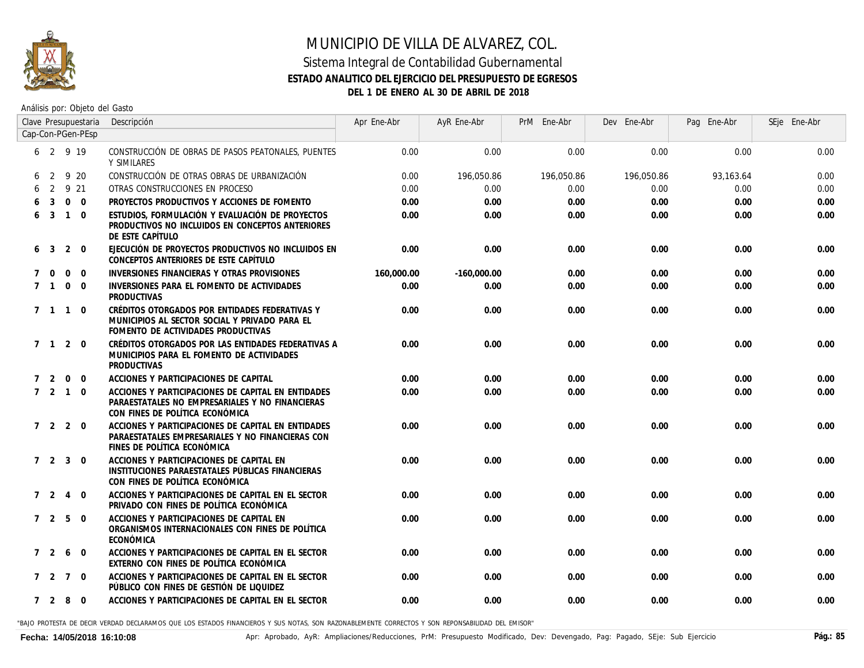

#### **ESTADO ANALITICO DEL EJERCICIO DEL PRESUPUESTO DE EGRESOS**

**DEL 1 DE ENERO AL 30 DE ABRIL DE 2018**

Análisis por: Objeto del Gasto

|             |                     |                 | Clave Presupuestaria | Descripción                                                                                                                              | Apr Ene-Abr | AyR Ene-Abr   | PrM Ene-Abr | Dev Ene-Abr | Pag Ene-Abr | SEje Ene-Abr |
|-------------|---------------------|-----------------|----------------------|------------------------------------------------------------------------------------------------------------------------------------------|-------------|---------------|-------------|-------------|-------------|--------------|
|             |                     |                 | Cap-Con-PGen-PEsp    |                                                                                                                                          |             |               |             |             |             |              |
|             | 6 2 9 19            |                 |                      | CONSTRUCCIÓN DE OBRAS DE PASOS PEATONALES, PUENTES<br>Y SIMILARES                                                                        | 0.00        | 0.00          | 0.00        | 0.00        | 0.00        | 0.00         |
| 6           | 2                   |                 | 9 20                 | CONSTRUCCIÓN DE OTRAS OBRAS DE URBANIZACIÓN                                                                                              | 0.00        | 196,050.86    | 196,050.86  | 196,050.86  | 93.163.64   | 0.00         |
|             | 2                   |                 | 9 21                 | OTRAS CONSTRUCCIONES EN PROCESO                                                                                                          | 0.00        | 0.00          | 0.00        | 0.00        | 0.00        | 0.00         |
|             | 3                   | $\Omega$        | $\overline{0}$       | PROYECTOS PRODUCTIVOS Y ACCIONES DE FOMENTO                                                                                              | 0.00        | 0.00          | 0.00        | 0.00        | 0.00        | 0.00         |
| 6           | 3                   | $\overline{1}$  | $\Omega$             | ESTUDIOS, FORMULACIÓN Y EVALUACIÓN DE PROYECTOS<br>PRODUCTIVOS NO INCLUIDOS EN CONCEPTOS ANTERIORES<br>DE ESTE CAPÍTULO                  | 0.00        | 0.00          | 0.00        | 0.00        | 0.00        | 0.00         |
| 6           | -3                  | 2               | $\Omega$             | EJECUCIÓN DE PROYECTOS PRODUCTIVOS NO INCLUIDOS EN<br>CONCEPTOS ANTERIORES DE ESTE CAPÍTULO                                              | 0.00        | 0.00          | 0.00        | 0.00        | 0.00        | 0.00         |
|             | $\Omega$            | $\mathbf 0$     | $\mathbf 0$          | INVERSIONES FINANCIERAS Y OTRAS PROVISIONES                                                                                              | 160,000.00  | $-160,000.00$ | 0.00        | 0.00        | 0.00        | 0.00         |
| 7           | $\overline{1}$      | $\mathbf{0}$    | $\Omega$             | INVERSIONES PARA EL FOMENTO DE ACTIVIDADES<br><b>PRODUCTIVAS</b>                                                                         | 0.00        | 0.00          | 0.00        | 0.00        | 0.00        | 0.00         |
|             | 7 1 1 0             |                 |                      | CRÉDITOS OTORGADOS POR ENTIDADES FEDERATIVAS Y<br>MUNICIPIOS AL SECTOR SOCIAL Y PRIVADO PARA EL<br>FOMENTO DE ACTIVIDADES PRODUCTIVAS    | 0.00        | 0.00          | 0.00        | 0.00        | 0.00        | 0.00         |
|             | $7 \quad 1 \quad 2$ |                 | $\overline{0}$       | CRÉDITOS OTORGADOS POR LAS ENTIDADES FEDERATIVAS A<br>MUNICIPIOS PARA EL FOMENTO DE ACTIVIDADES<br><b>PRODUCTIVAS</b>                    | 0.00        | 0.00          | 0.00        | 0.00        | 0.00        | 0.00         |
| $7^{\circ}$ | 2                   | $\Omega$        | $\Omega$             | ACCIONES Y PARTICIPACIONES DE CAPITAL                                                                                                    | 0.00        | 0.00          | 0.00        | 0.00        | 0.00        | 0.00         |
|             | $7\quad 2\quad 1$   |                 | $\Omega$             | ACCIONES Y PARTICIPACIONES DE CAPITAL EN ENTIDADES<br>PARAESTATALES NO EMPRESARIALES Y NO FINANCIERAS<br>CON FINES DE POLÍTICA ECONÓMICA | 0.00        | 0.00          | 0.00        | 0.00        | 0.00        | 0.00         |
|             | 7 2 2               |                 | $\Omega$             | ACCIONES Y PARTICIPACIONES DE CAPITAL EN ENTIDADES<br>PARAESTATALES EMPRESARIALES Y NO FINANCIERAS CON<br>FINES DE POLÍTICA ECONÓMICA    | 0.00        | 0.00          | 0.00        | 0.00        | 0.00        | 0.00         |
|             | 7 2 3               |                 | $\Omega$             | ACCIONES Y PARTICIPACIONES DE CAPITAL EN<br>INSTITUCIONES PARAESTATALES PÚBLICAS FINANCIERAS<br>CON FINES DE POLÍTICA ECONÓMICA          | 0.00        | 0.00          | 0.00        | 0.00        | 0.00        | 0.00         |
|             | 7 <sup>2</sup>      | $\overline{4}$  | $\Omega$             | ACCIONES Y PARTICIPACIONES DE CAPITAL EN EL SECTOR<br>PRIVADO CON FINES DE POLÍTICA ECONÓMICA                                            | 0.00        | 0.00          | 0.00        | 0.00        | 0.00        | 0.00         |
|             | 7 <sub>2</sub>      | 5               | $\Omega$             | ACCIONES Y PARTICIPACIONES DE CAPITAL EN<br>ORGANISMOS INTERNACIONALES CON FINES DE POLÍTICA<br>ECONÓMICA                                | 0.00        | 0.00          | 0.00        | 0.00        | 0.00        | 0.00         |
|             | 7 <sub>2</sub>      | 6               | $\mathbf 0$          | ACCIONES Y PARTICIPACIONES DE CAPITAL EN EL SECTOR<br>EXTERNO CON FINES DE POLÍTICA ECONÓMICA                                            | 0.00        | 0.00          | 0.00        | 0.00        | 0.00        | 0.00         |
|             | 7 <sub>2</sub>      | $7\overline{ }$ | $\overline{0}$       | ACCIONES Y PARTICIPACIONES DE CAPITAL EN EL SECTOR<br>PÚBLICO CON FINES DE GESTIÓN DE LIQUIDEZ                                           | 0.00        | 0.00          | 0.00        | 0.00        | 0.00        | 0.00         |
|             | 7 2 8               |                 | $\Omega$             | ACCIONES Y PARTICIPACIONES DE CAPITAL EN EL SECTOR                                                                                       | 0.00        | 0.00          | 0.00        | 0.00        | 0.00        | 0.00         |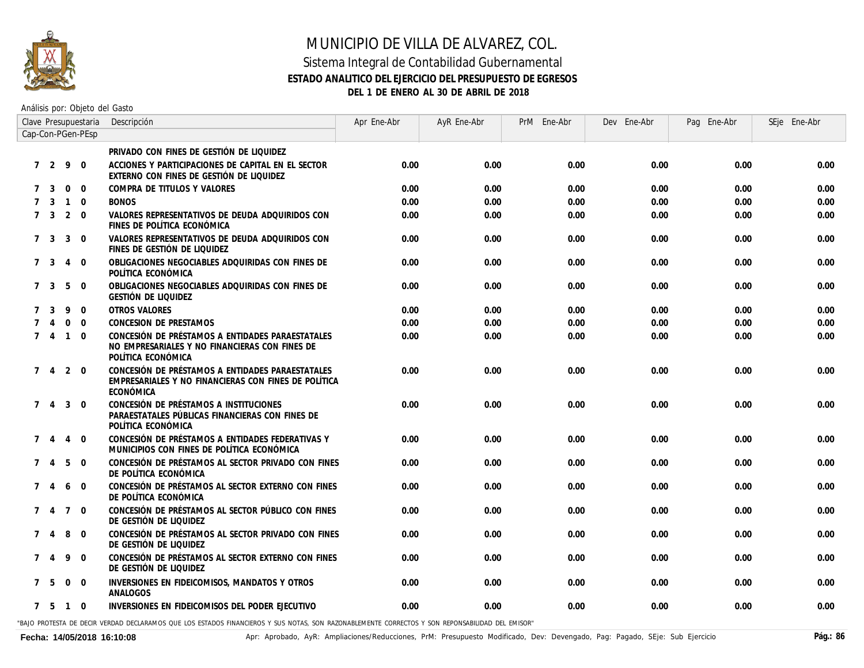

#### Sistema Integral de Contabilidad Gubernamental **ESTADO ANALITICO DEL EJERCICIO DEL PRESUPUESTO DE EGRESOS DEL 1 DE ENERO AL 30 DE ABRIL DE 2018**

Análisis por: Objeto del Gasto

|   | Clave Presupuestaria |                 |                   | Descripción                                                                                                              | Apr Ene-Abr | AyR Ene-Abr | PrM Ene-Abr | Dev Ene-Abr | Pag Ene-Abr | SEje Ene-Abr |
|---|----------------------|-----------------|-------------------|--------------------------------------------------------------------------------------------------------------------------|-------------|-------------|-------------|-------------|-------------|--------------|
|   |                      |                 | Cap-Con-PGen-PEsp |                                                                                                                          |             |             |             |             |             |              |
|   |                      |                 |                   | PRIVADO CON FINES DE GESTIÓN DE LIQUIDEZ                                                                                 |             |             |             |             |             |              |
|   | 7 <sup>2</sup>       | 9               | $\overline{0}$    | ACCIONES Y PARTICIPACIONES DE CAPITAL EN EL SECTOR<br>EXTERNO CON FINES DE GESTIÓN DE LIQUIDEZ                           | 0.00        | 0.00        | 0.00        | 0.00        | 0.00        | 0.00         |
| 7 | -3                   | $\overline{0}$  | $\overline{0}$    | COMPRA DE TITULOS Y VALORES                                                                                              | 0.00        | 0.00        | 0.00        | 0.00        | 0.00        | 0.00         |
|   | 3                    | $\overline{1}$  | $\mathbf 0$       | <b>BONOS</b>                                                                                                             | 0.00        | 0.00        | 0.00        | 0.00        | 0.00        | 0.00         |
|   | 7 <sub>3</sub>       |                 | $2 \quad 0$       | VALORES REPRESENTATIVOS DE DEUDA ADQUIRIDOS CON<br>FINES DE POLÍTICA ECONÓMICA                                           | 0.00        | 0.00        | 0.00        | 0.00        | 0.00        | 0.00         |
|   | 7 <sub>3</sub>       | 3               | $\Omega$          | VALORES REPRESENTATIVOS DE DEUDA ADQUIRIDOS CON<br>FINES DE GESTIÓN DE LIQUIDEZ                                          | 0.00        | 0.00        | 0.00        | 0.00        | 0.00        | 0.00         |
|   | 7 <sub>3</sub>       | $\overline{4}$  | $\mathbf 0$       | OBLIGACIONES NEGOCIABLES ADQUIRIDAS CON FINES DE<br>POLÍTICA ECONÓMICA                                                   | 0.00        | 0.00        | 0.00        | 0.00        | 0.00        | 0.00         |
|   | 7 <sub>3</sub>       | 5               | $\overline{0}$    | OBLIGACIONES NEGOCIABLES ADQUIRIDAS CON FINES DE<br>GESTIÓN DE LIQUIDEZ                                                  | 0.00        | 0.00        | 0.00        | 0.00        | 0.00        | 0.00         |
|   | -3                   | 9               | $\overline{0}$    | <b>OTROS VALORES</b>                                                                                                     | 0.00        | 0.00        | 0.00        | 0.00        | 0.00        | 0.00         |
|   | 4                    | $\Omega$        | $\Omega$          | CONCESION DE PRESTAMOS                                                                                                   | 0.00        | 0.00        | 0.00        | 0.00        | 0.00        | 0.00         |
|   | $7\quad 4$           | $\overline{1}$  | $\Omega$          | CONCESIÓN DE PRÉSTAMOS A ENTIDADES PARAESTATALES<br>NO EMPRESARIALES Y NO FINANCIERAS CON FINES DE<br>POLÍTICA ECONÓMICA | 0.00        | 0.00        | 0.00        | 0.00        | 0.00        | 0.00         |
|   | $7\quad 4$           | $\overline{2}$  | $\mathbf 0$       | CONCESIÓN DE PRÉSTAMOS A ENTIDADES PARAESTATALES<br>EMPRESARIALES Y NO FINANCIERAS CON FINES DE POLÍTICA<br>ECONÓMICA    | 0.00        | 0.00        | 0.00        | 0.00        | 0.00        | 0.00         |
|   | $\overline{4}$       | 3               | $\mathbf 0$       | CONCESIÓN DE PRÉSTAMOS A INSTITUCIONES<br>PARAESTATALES PÚBLICAS FINANCIERAS CON FINES DE<br>POLÍTICA ECONÓMICA          | 0.00        | 0.00        | 0.00        | 0.00        | 0.00        | 0.00         |
|   | $\overline{4}$       | $\overline{4}$  | $\Omega$          | CONCESIÓN DE PRÉSTAMOS A ENTIDADES FEDERATIVAS Y<br>MUNICIPIOS CON FINES DE POLÍTICA ECONÓMICA                           | 0.00        | 0.00        | 0.00        | 0.00        | 0.00        | 0.00         |
|   | 74                   | 5               | $\Omega$          | CONCESIÓN DE PRÉSTAMOS AL SECTOR PRIVADO CON FINES<br>DE POLÍTICA ECONÓMICA                                              | 0.00        | 0.00        | 0.00        | 0.00        | 0.00        | 0.00         |
|   | 4                    | 6               | $\mathbf 0$       | CONCESIÓN DE PRÉSTAMOS AL SECTOR EXTERNO CON FINES<br>DE POLÍTICA ECONÓMICA                                              | 0.00        | 0.00        | 0.00        | 0.00        | 0.00        | 0.00         |
|   | 74                   | $7\overline{ }$ | $\overline{0}$    | CONCESIÓN DE PRÉSTAMOS AL SECTOR PÚBLICO CON FINES<br>DE GESTIÓN DE LIQUIDEZ                                             | 0.00        | 0.00        | 0.00        | 0.00        | 0.00        | 0.00         |
|   | $\overline{4}$       | 8               | $\mathbf 0$       | CONCESIÓN DE PRÉSTAMOS AL SECTOR PRIVADO CON FINES<br>DE GESTIÓN DE LIQUIDEZ                                             | 0.00        | 0.00        | 0.00        | 0.00        | 0.00        | 0.00         |
|   |                      | 9               | $\mathbf 0$       | CONCESIÓN DE PRÉSTAMOS AL SECTOR EXTERNO CON FINES<br>DE GESTIÓN DE LIQUIDEZ                                             | 0.00        | 0.00        | 0.00        | 0.00        | 0.00        | 0.00         |
|   | 7 5                  | $\overline{0}$  | $\mathbf 0$       | INVERSIONES EN FIDEICOMISOS, MANDATOS Y OTROS<br>ANALOGOS                                                                | 0.00        | 0.00        | 0.00        | 0.00        | 0.00        | 0.00         |
|   | 7 5                  | $\overline{1}$  | $\mathbf 0$       | INVERSIONES EN FIDEICOMISOS DEL PODER EJECUTIVO                                                                          | 0.00        | 0.00        | 0.00        | 0.00        | 0.00        | 0.00         |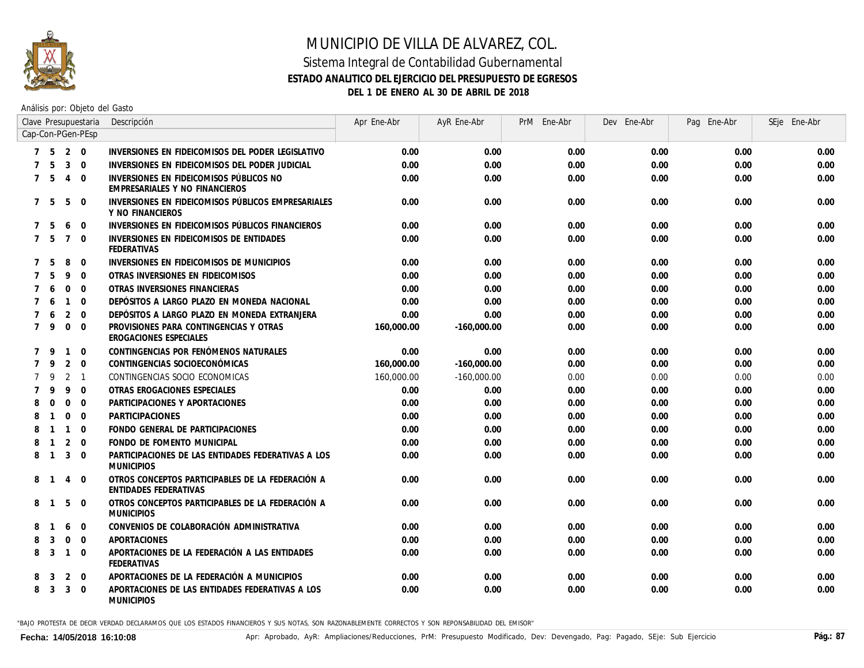

#### Sistema Integral de Contabilidad Gubernamental **ESTADO ANALITICO DEL EJERCICIO DEL PRESUPUESTO DE EGRESOS DEL 1 DE ENERO AL 30 DE ABRIL DE 2018**

Análisis por: Objeto del Gasto

|                |                |                | Clave Presupuestaria | Descripción                                                               | Apr Ene-Abr | AyR Ene-Abr   | PrM Ene-Abr | Dev Ene-Abr | Pag<br>Ene-Abr | SEje Ene-Abr |
|----------------|----------------|----------------|----------------------|---------------------------------------------------------------------------|-------------|---------------|-------------|-------------|----------------|--------------|
|                |                |                | Cap-Con-PGen-PEsp    |                                                                           |             |               |             |             |                |              |
|                | 7 <sub>5</sub> |                | $2 \quad 0$          | INVERSIONES EN FIDEICOMISOS DEL PODER LEGISLATIVO                         | 0.00        | 0.00          | 0.00        | 0.00        | 0.00           | 0.00         |
|                | -5             | $\overline{3}$ | $\Omega$             | INVERSIONES EN FIDEICOMISOS DEL PODER JUDICIAL                            | 0.00        | 0.00          | 0.00        | 0.00        | 0.00           | 0.00         |
| $7^{\circ}$    | -5             | $\overline{4}$ | $\Omega$             | INVERSIONES EN FIDEICOMISOS PÚBLICOS NO<br>EMPRESARIALES Y NO FINANCIEROS | 0.00        | 0.00          | 0.00        | 0.00        | 0.00           | 0.00         |
| $7^{\circ}$    | - 5            | 5              | $\mathbf 0$          | INVERSIONES EN FIDEICOMISOS PÚBLICOS EMPRESARIALES<br>Y NO FINANCIEROS    | 0.00        | 0.00          | 0.00        | 0.00        | 0.00           | 0.00         |
| $7^{\circ}$    | -5             | 6              | $\Omega$             | INVERSIONES EN FIDEICOMISOS PÚBLICOS FINANCIEROS                          | 0.00        | 0.00          | 0.00        | 0.00        | 0.00           | 0.00         |
|                | 7 <sub>5</sub> | $\overline{7}$ | $\Omega$             | INVERSIONES EN FIDEICOMISOS DE ENTIDADES<br>FEDERATIVAS                   | 0.00        | 0.00          | 0.00        | 0.00        | 0.00           | 0.00         |
|                | 5              | 8              | $\mathbf 0$          | INVERSIONES EN FIDEICOMISOS DE MUNICIPIOS                                 | 0.00        | 0.00          | 0.00        | 0.00        | 0.00           | 0.00         |
|                | 5              | 9              | $\mathbf 0$          | OTRAS INVERSIONES EN FIDEICOMISOS                                         | 0.00        | 0.00          | 0.00        | 0.00        | 0.00           | 0.00         |
|                | 6              | $\mathbf{0}$   | $\mathbf 0$          | OTRAS INVERSIONES FINANCIERAS                                             | 0.00        | 0.00          | 0.00        | 0.00        | 0.00           | 0.00         |
|                | 6              | $\overline{1}$ | $\mathbf 0$          | DEPÓSITOS A LARGO PLAZO EN MONEDA NACIONAL                                | 0.00        | 0.00          | 0.00        | 0.00        | 0.00           | 0.00         |
|                | 6              | 2              | $\Omega$             | DEPÓSITOS A LARGO PLAZO EN MONEDA EXTRANJERA                              | 0.00        | 0.00          | 0.00        | 0.00        | 0.00           | 0.00         |
| $7^{\circ}$    | 9              | $\mathbf 0$    | $\Omega$             | PROVISIONES PARA CONTINGENCIAS Y OTRAS<br>EROGACIONES ESPECIALES          | 160,000.00  | $-160,000.00$ | 0.00        | 0.00        | 0.00           | 0.00         |
|                | - 9            | $\overline{1}$ | $\mathbf{0}$         | CONTINGENCIAS POR FENÓMENOS NATURALES                                     | 0.00        | 0.00          | 0.00        | 0.00        | 0.00           | 0.00         |
| $\overline{7}$ | 9              | 2              | $\mathbf 0$          | CONTINGENCIAS SOCIOECONÓMICAS                                             | 160,000.00  | $-160,000.00$ | 0.00        | 0.00        | 0.00           | 0.00         |
|                | 9              | 2              | $\overline{1}$       | CONTINGENCIAS SOCIO ECONOMICAS                                            | 160,000.00  | -160,000.00   | 0.00        | 0.00        | 0.00           | 0.00         |
|                | 9              | 9              | $\mathbf 0$          | OTRAS EROGACIONES ESPECIALES                                              | 0.00        | 0.00          | 0.00        | 0.00        | 0.00           | 0.00         |
| 8              | $\Omega$       | $\mathbf 0$    | $\Omega$             | PARTICIPACIONES Y APORTACIONES                                            | 0.00        | 0.00          | 0.00        | 0.00        | 0.00           | 0.00         |
| 8              | $\overline{1}$ | $\Omega$       | $\Omega$             | <b>PARTICIPACIONES</b>                                                    | 0.00        | 0.00          | 0.00        | 0.00        | 0.00           | 0.00         |
|                | $\overline{1}$ | $\overline{1}$ | $\Omega$             | FONDO GENERAL DE PARTICIPACIONES                                          | 0.00        | 0.00          | 0.00        | 0.00        | 0.00           | 0.00         |
| 8              | $\overline{1}$ | 2              | $\Omega$             | FONDO DE FOMENTO MUNICIPAL                                                | 0.00        | 0.00          | 0.00        | 0.00        | 0.00           | 0.00         |
| 8              | $\overline{1}$ | 3              | $\Omega$             | PARTICIPACIONES DE LAS ENTIDADES FEDERATIVAS A LOS<br><b>MUNICIPIOS</b>   | 0.00        | 0.00          | 0.00        | 0.00        | 0.00           | 0.00         |
| 8              |                | 4              | $\mathbf 0$          | OTROS CONCEPTOS PARTICIPABLES DE LA FEDERACIÓN A<br>ENTIDADES FEDERATIVAS | 0.00        | 0.00          | 0.00        | 0.00        | 0.00           | 0.00         |
| 8              |                | 5              | $\mathbf 0$          | OTROS CONCEPTOS PARTICIPABLES DE LA FEDERACIÓN A<br><b>MUNICIPIOS</b>     | 0.00        | 0.00          | 0.00        | 0.00        | 0.00           | 0.00         |
| 8              |                | 6              | $\mathbf 0$          | CONVENIOS DE COLABORACIÓN ADMINISTRATIVA                                  | 0.00        | 0.00          | 0.00        | 0.00        | 0.00           | 0.00         |
| 8              | 3              | $\Omega$       | $\Omega$             | <b>APORTACIONES</b>                                                       | 0.00        | 0.00          | 0.00        | 0.00        | 0.00           | 0.00         |
| 8              | 3              | $\overline{1}$ | $\Omega$             | APORTACIONES DE LA FEDERACIÓN A LAS ENTIDADES<br><b>FEDERATIVAS</b>       | 0.00        | 0.00          | 0.00        | 0.00        | 0.00           | 0.00         |
| 8              | 3              | 2              | $\mathbf 0$          | APORTACIONES DE LA FEDERACIÓN A MUNICIPIOS                                | 0.00        | 0.00          | 0.00        | 0.00        | 0.00           | 0.00         |
| 8              | 3              | $\mathbf{3}$   | $\overline{0}$       | APORTACIONES DE LAS ENTIDADES FEDERATIVAS A LOS<br><b>MUNICIPIOS</b>      | 0.00        | 0.00          | 0.00        | 0.00        | 0.00           | 0.00         |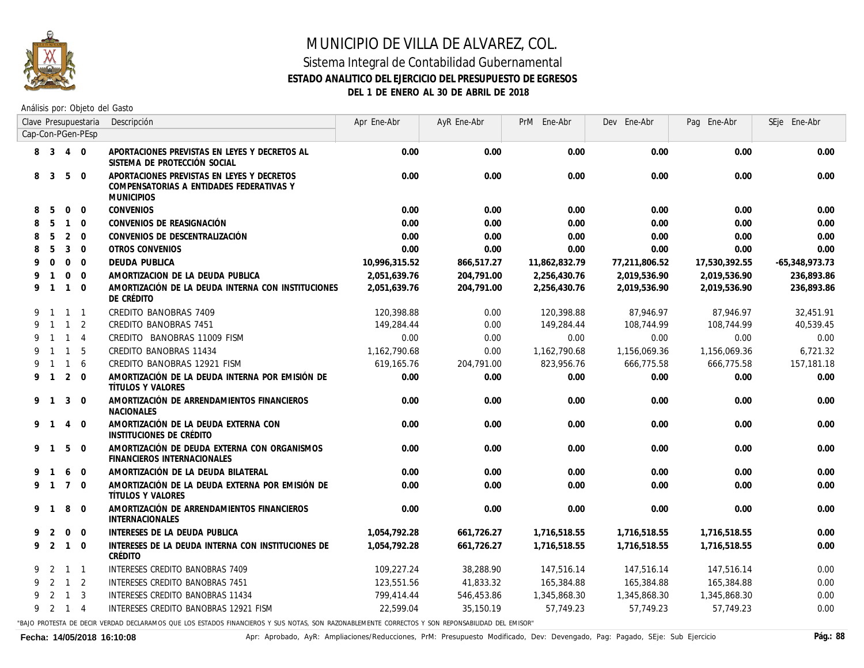

#### Sistema Integral de Contabilidad Gubernamental **ESTADO ANALITICO DEL EJERCICIO DEL PRESUPUESTO DE EGRESOS DEL 1 DE ENERO AL 30 DE ABRIL DE 2018**

Análisis por: Objeto del Gasto

|   | Clave Presupuestaria |                |                   | Descripción                                                                                                                                     | Apr Ene-Abr   | AyR Ene-Abr | PrM Ene-Abr   | Dev Ene-Abr   | Pag Ene-Abr   | SEje Ene-Abr     |
|---|----------------------|----------------|-------------------|-------------------------------------------------------------------------------------------------------------------------------------------------|---------------|-------------|---------------|---------------|---------------|------------------|
|   |                      |                | Cap-Con-PGen-PEsp |                                                                                                                                                 |               |             |               |               |               |                  |
|   | 8 3                  | $\overline{4}$ | $\overline{0}$    | APORTACIONES PREVISTAS EN LEYES Y DECRETOS AL<br>SISTEMA DE PROTECCIÓN SOCIAL                                                                   | 0.00          | 0.00        | 0.00          | 0.00          | 0.00          | 0.00             |
| 8 | 3                    | 5              | $\mathbf{0}$      | APORTACIONES PREVISTAS EN LEYES Y DECRETOS<br>COMPENSATORIAS A ENTIDADES FEDERATIVAS Y<br><b>MUNICIPIOS</b>                                     | 0.00          | 0.00        | 0.00          | 0.00          | 0.00          | 0.00             |
| 8 | 5                    | $\Omega$       | $\mathbf{0}$      | <b>CONVENIOS</b>                                                                                                                                | 0.00          | 0.00        | 0.00          | 0.00          | 0.00          | 0.00             |
| 8 | 5                    | $\mathbf{1}$   | $\Omega$          | CONVENIOS DE REASIGNACIÓN                                                                                                                       | 0.00          | 0.00        | 0.00          | 0.00          | 0.00          | 0.00             |
| 8 | 5                    | 2              | $\Omega$          | CONVENIOS DE DESCENTRALIZACIÓN                                                                                                                  | 0.00          | 0.00        | 0.00          | 0.00          | 0.00          | 0.00             |
|   | 5                    | 3              | $\overline{0}$    | OTROS CONVENIOS                                                                                                                                 | 0.00          | 0.00        | 0.00          | 0.00          | 0.00          | 0.00             |
|   | $\Omega$             | $\mathbf{0}$   | $\overline{0}$    | DEUDA PUBLICA                                                                                                                                   | 10,996,315.52 | 866,517.27  | 11,862,832.79 | 77,211,806.52 | 17,530,392.55 | $-65,348,973.73$ |
|   | $\mathbf{1}$         | $\mathbf 0$    | $\Omega$          | AMORTIZACION DE LA DEUDA PUBLICA                                                                                                                | 2,051,639.76  | 204,791.00  | 2,256,430.76  | 2,019,536.90  | 2,019,536.90  | 236,893.86       |
| 9 | $\overline{1}$       | $\mathbf{1}$   | $\Omega$          | AMORTIZACIÓN DE LA DEUDA INTERNA CON INSTITUCIONES<br>DE CRÉDITO                                                                                | 2,051,639.76  | 204,791.00  | 2,256,430.76  | 2,019,536.90  | 2,019,536.90  | 236,893.86       |
| 9 | $\overline{1}$       |                | $1 \quad 1$       | CREDITO BANOBRAS 7409                                                                                                                           | 120,398.88    | 0.00        | 120,398.88    | 87.946.97     | 87.946.97     | 32.451.91        |
| 9 | $\overline{1}$       | $\mathbf{1}$   | 2                 | CREDITO BANOBRAS 7451                                                                                                                           | 149,284.44    | 0.00        | 149,284.44    | 108,744.99    | 108,744,99    | 40.539.45        |
|   | $\mathbf{1}$         | $\mathbf{1}$   | $\overline{4}$    | CREDITO BANOBRAS 11009 FISM                                                                                                                     | 0.00          | 0.00        | 0.00          | 0.00          | 0.00          | 0.00             |
|   | $\mathbf{1}$         | $\mathbf{1}$   | 5                 | CREDITO BANOBRAS 11434                                                                                                                          | 1,162,790.68  | 0.00        | 1,162,790.68  | 1,156,069.36  | 1,156,069.36  | 6,721.32         |
|   | $\overline{1}$       | $\mathbf{1}$   | 6                 | CREDITO BANOBRAS 12921 FISM                                                                                                                     | 619,165.76    | 204,791.00  | 823,956.76    | 666,775.58    | 666,775.58    | 157, 181.18      |
|   | 9 1                  | 2              | $\overline{0}$    | AMORTIZACIÓN DE LA DEUDA INTERNA POR EMISIÓN DE<br>TÍTULOS Y VALORES                                                                            | 0.00          | 0.00        | 0.00          | 0.00          | 0.00          | 0.00             |
|   | 9 1                  | 3              | $\Omega$          | AMORTIZACIÓN DE ARRENDAMIENTOS FINANCIEROS<br><b>NACIONALES</b>                                                                                 | 0.00          | 0.00        | 0.00          | 0.00          | 0.00          | 0.00             |
|   | 9 1                  | $\overline{4}$ | $\Omega$          | AMORTIZACIÓN DE LA DEUDA EXTERNA CON<br>INSTITUCIONES DE CRÉDITO                                                                                | 0.00          | 0.00        | 0.00          | 0.00          | 0.00          | 0.00             |
| 9 | $\overline{1}$       | 5              | $\Omega$          | AMORTIZACIÓN DE DEUDA EXTERNA CON ORGANISMOS<br><b>FINANCIEROS INTERNACIONALES</b>                                                              | 0.00          | 0.00        | 0.00          | 0.00          | 0.00          | 0.00             |
| 9 | $\mathbf{1}$         | 6              | $\Omega$          | AMORTIZACIÓN DE LA DEUDA BILATERAL                                                                                                              | 0.00          | 0.00        | 0.00          | 0.00          | 0.00          | 0.00             |
| 9 | $\overline{1}$       | $\overline{7}$ | $\Omega$          | AMORTIZACIÓN DE LA DEUDA EXTERNA POR EMISIÓN DE<br>TÍTULOS Y VALORES                                                                            | 0.00          | 0.00        | 0.00          | 0.00          | 0.00          | 0.00             |
| 9 | $\mathbf 1$          | 8              | $\Omega$          | AMORTIZACIÓN DE ARRENDAMIENTOS FINANCIEROS<br><b>INTERNACIONALES</b>                                                                            | 0.00          | 0.00        | 0.00          | 0.00          | 0.00          | 0.00             |
|   | 2                    | $\mathbf 0$    | $\overline{0}$    | INTERESES DE LA DEUDA PUBLICA                                                                                                                   | 1,054,792.28  | 661,726.27  | 1,716,518.55  | 1,716,518.55  | 1,716,518.55  | 0.00             |
| 9 | 2                    | $\mathbf{1}$   | $\overline{0}$    | INTERESES DE LA DEUDA INTERNA CON INSTITUCIONES DE<br>CRÉDITO                                                                                   | 1,054,792.28  | 661,726.27  | 1,716,518.55  | 1,716,518.55  | 1,716,518.55  | 0.00             |
| 9 | 2                    |                | $1 \quad 1$       | INTERESES CREDITO BANOBRAS 7409                                                                                                                 | 109,227.24    | 38,288.90   | 147,516.14    | 147,516.14    | 147,516.14    | 0.00             |
| 9 | 2                    | $\mathbf{1}$   | 2                 | INTERESES CREDITO BANOBRAS 7451                                                                                                                 | 123.551.56    | 41,833.32   | 165,384.88    | 165,384.88    | 165,384.88    | 0.00             |
|   | 2                    | $\mathbf{1}$   | $\overline{3}$    | INTERESES CREDITO BANOBRAS 11434                                                                                                                | 799,414.44    | 546,453.86  | 1,345,868.30  | 1,345,868.30  | 1,345,868.30  | 0.00             |
|   | 9 2 1                |                | $\overline{4}$    | INTERESES CREDITO BANOBRAS 12921 FISM                                                                                                           | 22,599.04     | 35,150,19   | 57.749.23     | 57.749.23     | 57.749.23     | 0.00             |
|   |                      |                |                   | BAIO PROTESTA DE DECIR VERDAD DECLARAMOS OLIE LOS ESTADOS FINANCIEROS Y SUS NOTAS SON RAZONABLEMENTE CORRECTOS Y SON REPONSABILIDAD DEL EMISOR" |               |             |               |               |               |                  |